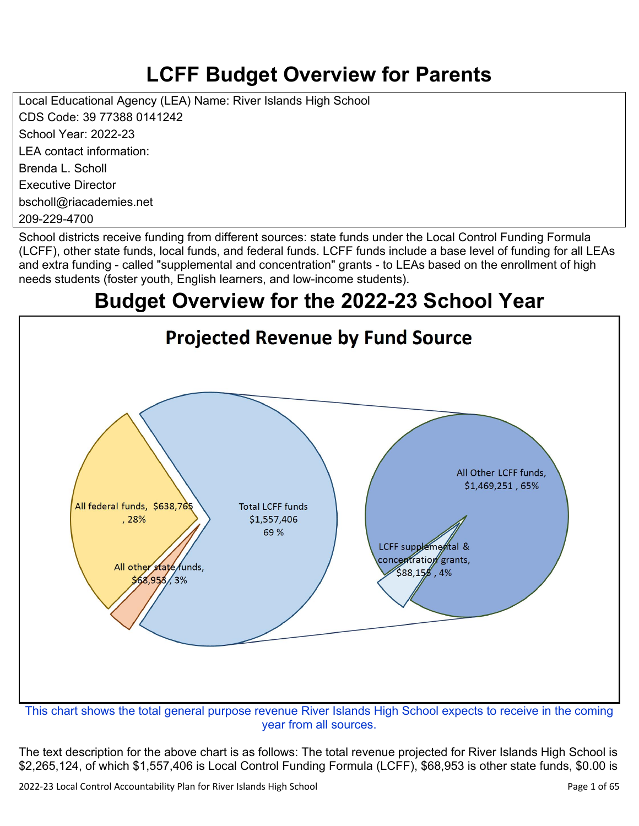# **LCFF Budget Overview for Parents**

Local Educational Agency (LEA) Name: River Islands High School CDS Code: 39 77388 0141242 School Year: 2022-23 LEA contact information: Brenda L. Scholl Executive Director bscholl@riacademies.net 209-229-4700

School districts receive funding from different sources: state funds under the Local Control Funding Formula (LCFF), other state funds, local funds, and federal funds. LCFF funds include a base level of funding for all LEAs and extra funding - called "supplemental and concentration" grants - to LEAs based on the enrollment of high needs students (foster youth, English learners, and low-income students).

# **Budget Overview for the 2022-23 School Year**



year from all sources.

The text description for the above chart is as follows: The total revenue projected for River Islands High School is \$2,265,124, of which \$1,557,406 is Local Control Funding Formula (LCFF), \$68,953 is other state funds, \$0.00 is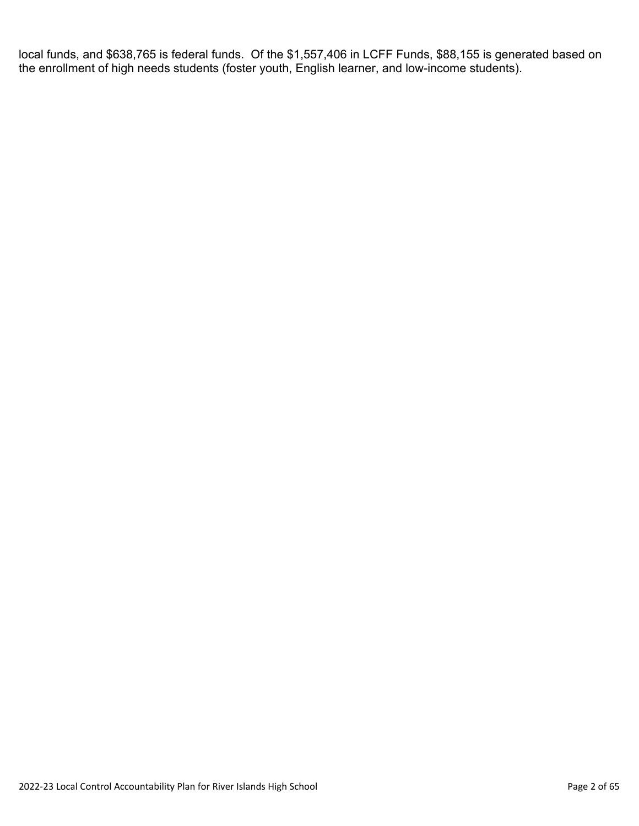local funds, and \$638,765 is federal funds. Of the \$1,557,406 in LCFF Funds, \$88,155 is generated based on the enrollment of high needs students (foster youth, English learner, and low-income students).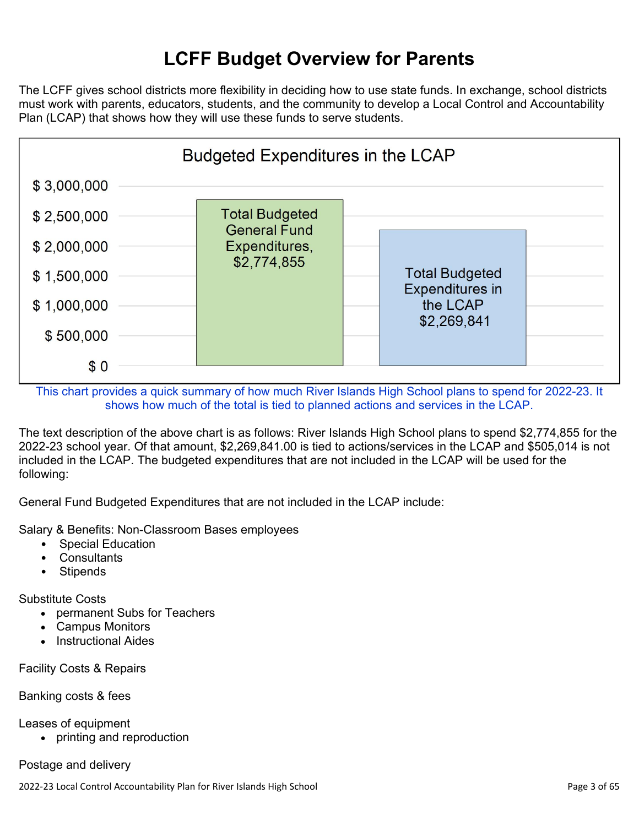# **LCFF Budget Overview for Parents**

The LCFF gives school districts more flexibility in deciding how to use state funds. In exchange, school districts must work with parents, educators, students, and the community to develop a Local Control and Accountability Plan (LCAP) that shows how they will use these funds to serve students.



This chart provides a quick summary of how much River Islands High School plans to spend for 2022-23. It shows how much of the total is tied to planned actions and services in the LCAP.

The text description of the above chart is as follows: River Islands High School plans to spend \$2,774,855 for the 2022-23 school year. Of that amount, \$2,269,841.00 is tied to actions/services in the LCAP and \$505,014 is not included in the LCAP. The budgeted expenditures that are not included in the LCAP will be used for the following:

General Fund Budgeted Expenditures that are not included in the LCAP include:

Salary & Benefits: Non-Classroom Bases employees

- Special Education
- Consultants
- Stipends

Substitute Costs

- permanent Subs for Teachers
- Campus Monitors
- Instructional Aides

Facility Costs & Repairs

#### Banking costs & fees

Leases of equipment

• printing and reproduction

#### Postage and delivery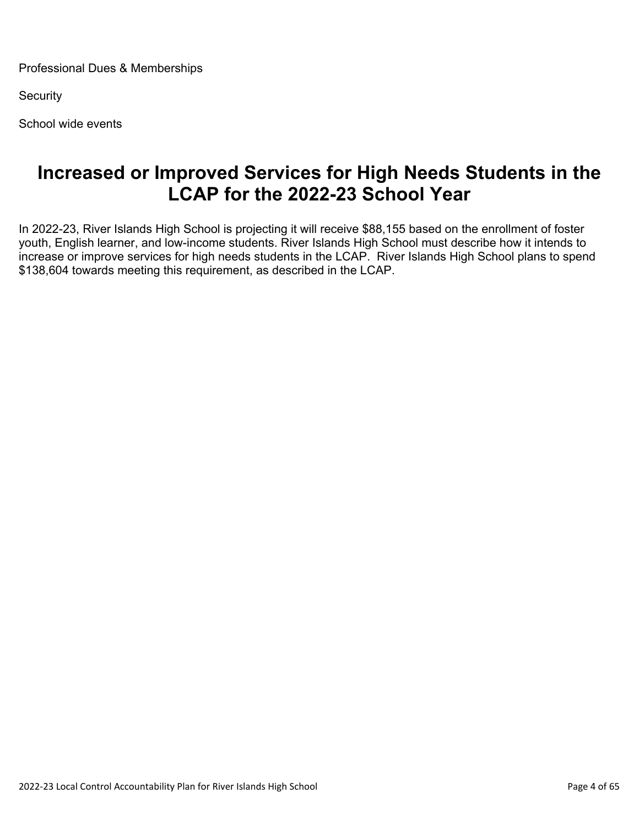Professional Dues & Memberships

**Security** 

School wide events

## **Increased or Improved Services for High Needs Students in the LCAP for the 2022-23 School Year**

In 2022-23, River Islands High School is projecting it will receive \$88,155 based on the enrollment of foster youth, English learner, and low-income students. River Islands High School must describe how it intends to increase or improve services for high needs students in the LCAP. River Islands High School plans to spend \$138,604 towards meeting this requirement, as described in the LCAP.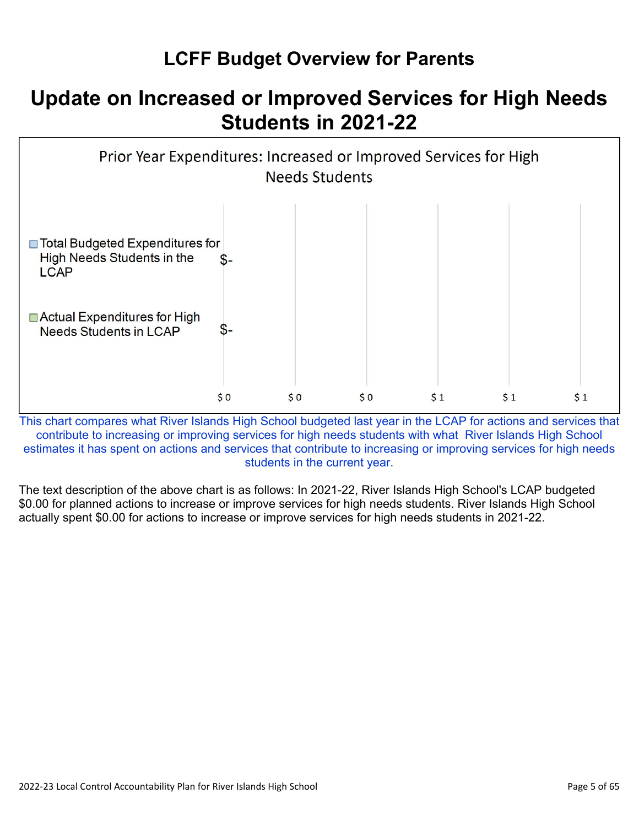## **LCFF Budget Overview for Parents**

# **Update on Increased or Improved Services for High Needs Students in 2021-22**



This chart compares what River Islands High School budgeted last year in the LCAP for actions and services that contribute to increasing or improving services for high needs students with what River Islands High School estimates it has spent on actions and services that contribute to increasing or improving services for high needs students in the current year.

The text description of the above chart is as follows: In 2021-22, River Islands High School's LCAP budgeted \$0.00 for planned actions to increase or improve services for high needs students. River Islands High School actually spent \$0.00 for actions to increase or improve services for high needs students in 2021-22.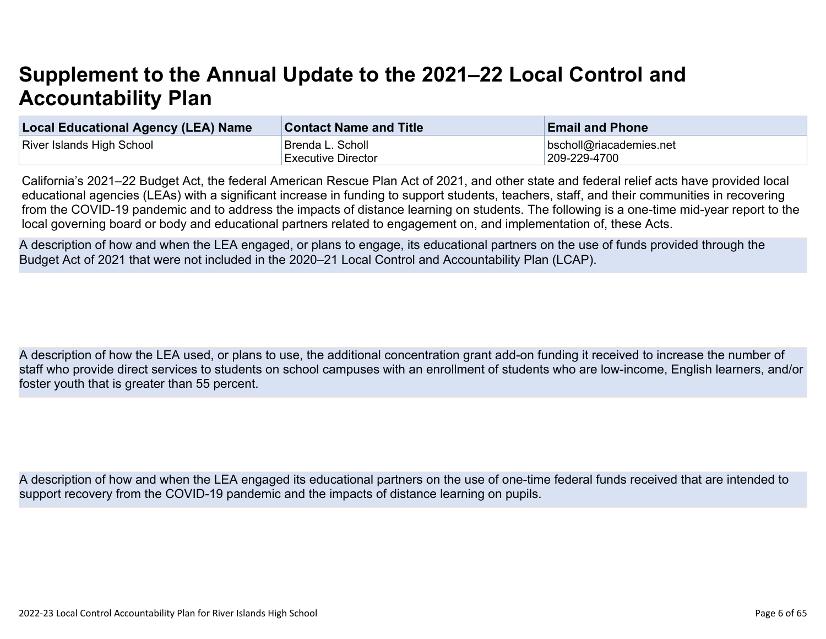# **Supplement to the Annual Update to the 2021–22 Local Control and Accountability Plan**

| <b>Local Educational Agency (LEA) Name</b> | <b>Contact Name and Title</b> | <b>Email and Phone</b>  |
|--------------------------------------------|-------------------------------|-------------------------|
| River Islands High School                  | Brenda L. Scholl_             | bscholl@riacademies.net |
|                                            | Executive Director            | 209-229-4700            |

California's 2021–22 Budget Act, the federal American Rescue Plan Act of 2021, and other state and federal relief acts have provided local educational agencies (LEAs) with a significant increase in funding to support students, teachers, staff, and their communities in recovering from the COVID-19 pandemic and to address the impacts of distance learning on students. The following is a one-time mid-year report to the local governing board or body and educational partners related to engagement on, and implementation of, these Acts.

A description of how and when the LEA engaged, or plans to engage, its educational partners on the use of funds provided through the Budget Act of 2021 that were not included in the 2020–21 Local Control and Accountability Plan (LCAP).

A description of how the LEA used, or plans to use, the additional concentration grant add-on funding it received to increase the number of staff who provide direct services to students on school campuses with an enrollment of students who are low-income, English learners, and/or foster youth that is greater than 55 percent.

A description of how and when the LEA engaged its educational partners on the use of one-time federal funds received that are intended to support recovery from the COVID-19 pandemic and the impacts of distance learning on pupils.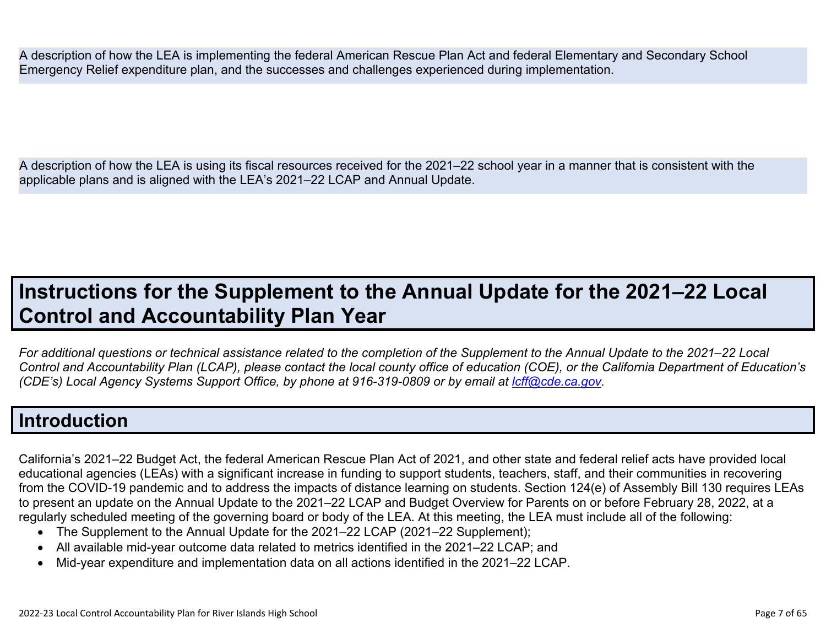A description of how the LEA is implementing the federal American Rescue Plan Act and federal Elementary and Secondary School Emergency Relief expenditure plan, and the successes and challenges experienced during implementation.

A description of how the LEA is using its fiscal resources received for the 2021–22 school year in a manner that is consistent with the applicable plans and is aligned with the LEA's 2021–22 LCAP and Annual Update.

# **Instructions for the Supplement to the Annual Update for the 2021–22 Local Control and Accountability Plan Year**

*For additional questions or technical assistance related to the completion of the Supplement to the Annual Update to the 2021–22 Local Control and Accountability Plan (LCAP), please contact the local county office of education (COE), or the California Department of Education's (CDE's)* Local Agency Systems Support Office, by phone at 916-319-0809 or by email at *[lcff@cde.ca.gov](mailto:lcff@cde.ca.gov)*.

### **Introduction**

California's 2021–22 Budget Act, the federal American Rescue Plan Act of 2021, and other state and federal relief acts have provided local educational agencies (LEAs) with a significant increase in funding to support students, teachers, staff, and their communities in recovering from the COVID-19 pandemic and to address the impacts of distance learning on students. Section 124(e) of Assembly Bill 130 requires LEAs to present an update on the Annual Update to the 2021–22 LCAP and Budget Overview for Parents on or before February 28, 2022, at a regularly scheduled meeting of the governing board or body of the LEA. At this meeting, the LEA must include all of the following:

- The Supplement to the Annual Update for the 2021–22 LCAP (2021–22 Supplement);
- All available mid-year outcome data related to metrics identified in the 2021–22 LCAP; and
- Mid-year expenditure and implementation data on all actions identified in the 2021–22 LCAP.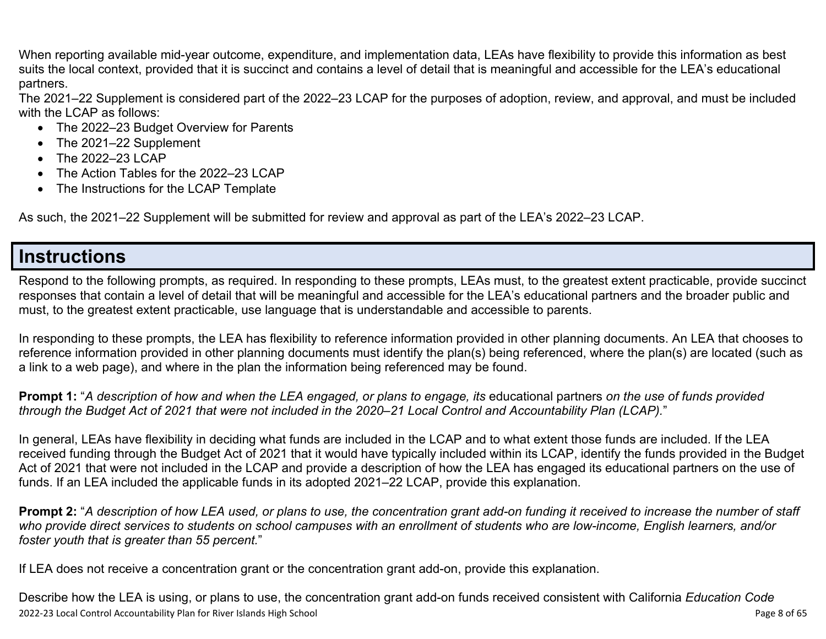When reporting available mid-year outcome, expenditure, and implementation data, LEAs have flexibility to provide this information as best suits the local context, provided that it is succinct and contains a level of detail that is meaningful and accessible for the LEA's educational partners.

The 2021–22 Supplement is considered part of the 2022–23 LCAP for the purposes of adoption, review, and approval, and must be included with the LCAP as follows:

- The 2022–23 Budget Overview for Parents
- The 2021–22 Supplement
- The 2022-23 LCAP
- The Action Tables for the 2022–23 LCAP
- The Instructions for the LCAP Template

As such, the 2021–22 Supplement will be submitted for review and approval as part of the LEA's 2022–23 LCAP.

### **Instructions**

Respond to the following prompts, as required. In responding to these prompts, LEAs must, to the greatest extent practicable, provide succinct responses that contain a level of detail that will be meaningful and accessible for the LEA's educational partners and the broader public and must, to the greatest extent practicable, use language that is understandable and accessible to parents.

In responding to these prompts, the LEA has flexibility to reference information provided in other planning documents. An LEA that chooses to reference information provided in other planning documents must identify the plan(s) being referenced, where the plan(s) are located (such as a link to a web page), and where in the plan the information being referenced may be found.

**Prompt 1:** "*A description of how and when the LEA engaged, or plans to engage, its* educational partners *on the use of funds provided through the Budget Act of 2021 that were not included in the 2020–21 Local Control and Accountability Plan (LCAP).*"

In general, LEAs have flexibility in deciding what funds are included in the LCAP and to what extent those funds are included. If the LEA received funding through the Budget Act of 2021 that it would have typically included within its LCAP, identify the funds provided in the Budget Act of 2021 that were not included in the LCAP and provide a description of how the LEA has engaged its educational partners on the use of funds. If an LEA included the applicable funds in its adopted 2021–22 LCAP, provide this explanation.

**Prompt 2:** "*A description of how LEA used, or plans to use, the concentration grant add-on funding it received to increase the number of staff who provide direct services to students on school campuses with an enrollment of students who are low-income, English learners, and/or foster youth that is greater than 55 percent.*"

If LEA does not receive a concentration grant or the concentration grant add-on, provide this explanation.

2022-23 Local Control Accountability Plan for River Islands High School Page 8 of 65 Describe how the LEA is using, or plans to use, the concentration grant add-on funds received consistent with California *Education Code*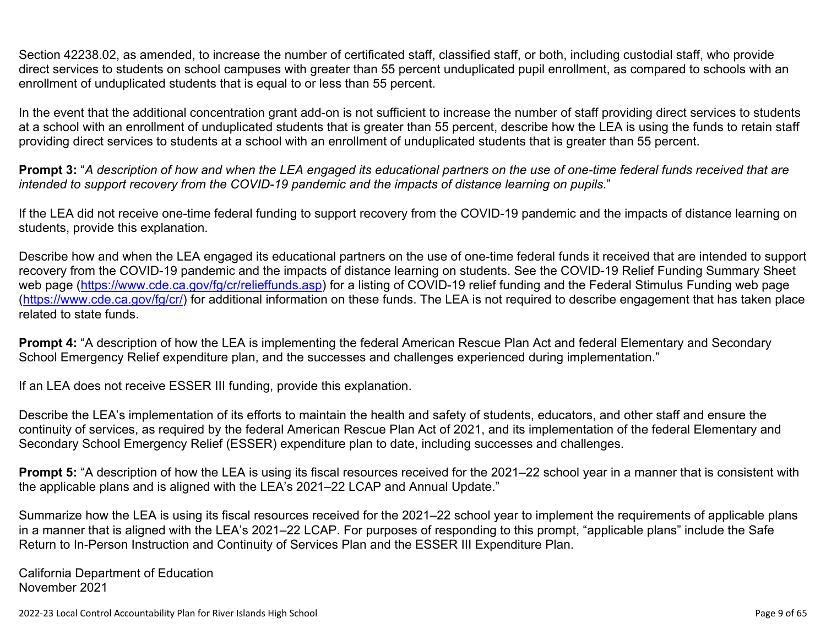Section 42238.02, as amended, to increase the number of certificated staff, classified staff, or both, including custodial staff, who provide direct services to students on school campuses with greater than 55 percent unduplicated pupil enrollment, as compared to schools with an enrollment of unduplicated students that is equal to or less than 55 percent.

In the event that the additional concentration grant add-on is not sufficient to increase the number of staff providing direct services to students at a school with an enrollment of unduplicated students that is greater than 55 percent, describe how the LEA is using the funds to retain staff providing direct services to students at a school with an enrollment of unduplicated students that is greater than 55 percent.

**Prompt 3:** "*A description of how and when the LEA engaged its educational partners on the use of one-time federal funds received that are intended to support recovery from the COVID-19 pandemic and the impacts of distance learning on pupils.*"

If the LEA did not receive one-time federal funding to support recovery from the COVID-19 pandemic and the impacts of distance learning on students, provide this explanation.

Describe how and when the LEA engaged its educational partners on the use of one-time federal funds it received that are intended to support recovery from the COVID-19 pandemic and the impacts of distance learning on students. See the COVID-19 Relief Funding Summary Sheet web page [\(https://www.cde.ca.gov/fg/cr/relieffunds.asp\)](https://www.cde.ca.gov/fg/cr/relieffunds.asp) for a listing of COVID-19 relief funding and the Federal Stimulus Funding web page (<https://www.cde.ca.gov/fg/cr/>) for additional information on these funds. The LEA is not required to describe engagement that has taken place related to state funds.

**Prompt 4:** "A description of how the LEA is implementing the federal American Rescue Plan Act and federal Elementary and Secondary School Emergency Relief expenditure plan, and the successes and challenges experienced during implementation."

If an LEA does not receive ESSER III funding, provide this explanation.

Describe the LEA's implementation of its efforts to maintain the health and safety of students, educators, and other staff and ensure the continuity of services, as required by the federal American Rescue Plan Act of 2021, and its implementation of the federal Elementary and Secondary School Emergency Relief (ESSER) expenditure plan to date, including successes and challenges.

**Prompt 5:** "A description of how the LEA is using its fiscal resources received for the 2021–22 school year in a manner that is consistent with the applicable plans and is aligned with the LEA's 2021–22 LCAP and Annual Update."

Summarize how the LEA is using its fiscal resources received for the 2021–22 school year to implement the requirements of applicable plans in a manner that is aligned with the LEA's 2021–22 LCAP. For purposes of responding to this prompt, "applicable plans" include the Safe Return to In-Person Instruction and Continuity of Services Plan and the ESSER III Expenditure Plan.

California Department of Education November 2021

2022-23 Local Control Accountability Plan for River Islands High School Page 9 of 65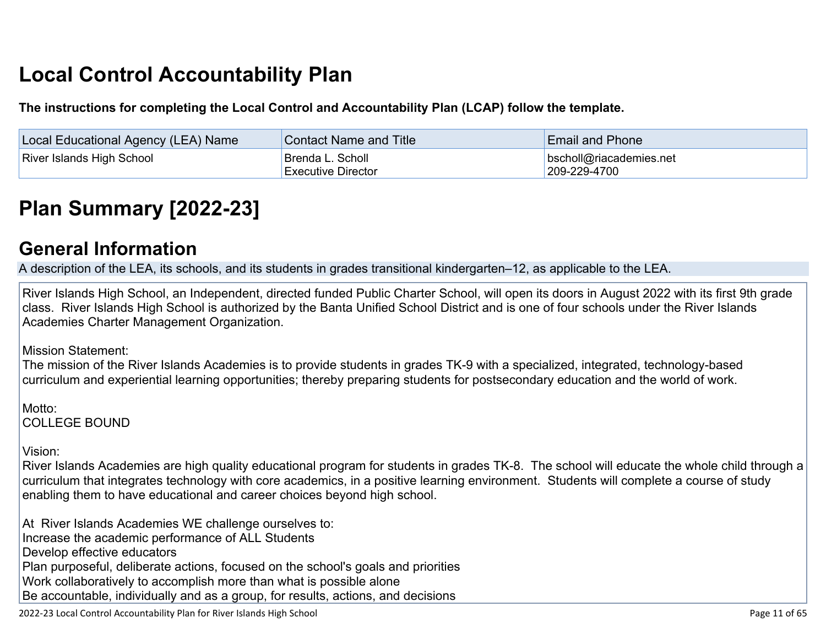# **Local Control Accountability Plan**

**The instructions for completing the Local Control and Accountability Plan (LCAP) follow the template.**

| Local Educational Agency (LEA) Name | <b>Contact Name and Title</b>                 | <b>Email and Phone</b>                          |
|-------------------------------------|-----------------------------------------------|-------------------------------------------------|
| <b>River Islands High School</b>    | Brenda L. Scholl<br><b>Executive Director</b> | $\vert$ bscholl@riacademies.net<br>209-229-4700 |

# **[Plan Summary \[2022-23\]](http://www.doc-tracking.com/screenshots/22LCAP/Instructions/22LCAPInstructions.htm#PlanSummary)**

### **[General Information](http://www.doc-tracking.com/screenshots/22LCAP/Instructions/22LCAPInstructions.htm#generalinformation)**

A description of the LEA, its schools, and its students in grades transitional kindergarten–12, as applicable to the LEA.

River Islands High School, an Independent, directed funded Public Charter School, will open its doors in August 2022 with its first 9th grade class. River Islands High School is authorized by the Banta Unified School District and is one of four schools under the River Islands Academies Charter Management Organization.

Mission Statement:

The mission of the River Islands Academies is to provide students in grades TK-9 with a specialized, integrated, technology-based curriculum and experiential learning opportunities; thereby preparing students for postsecondary education and the world of work.

Motto: COLLEGE BOUND

Vision:

River Islands Academies are high quality educational program for students in grades TK-8. The school will educate the whole child through a curriculum that integrates technology with core academics, in a positive learning environment. Students will complete a course of study enabling them to have educational and career choices beyond high school.

At River Islands Academies WE challenge ourselves to: Increase the academic performance of ALL Students Develop effective educators Plan purposeful, deliberate actions, focused on the school's goals and priorities Work collaboratively to accomplish more than what is possible alone Be accountable, individually and as a group, for results, actions, and decisions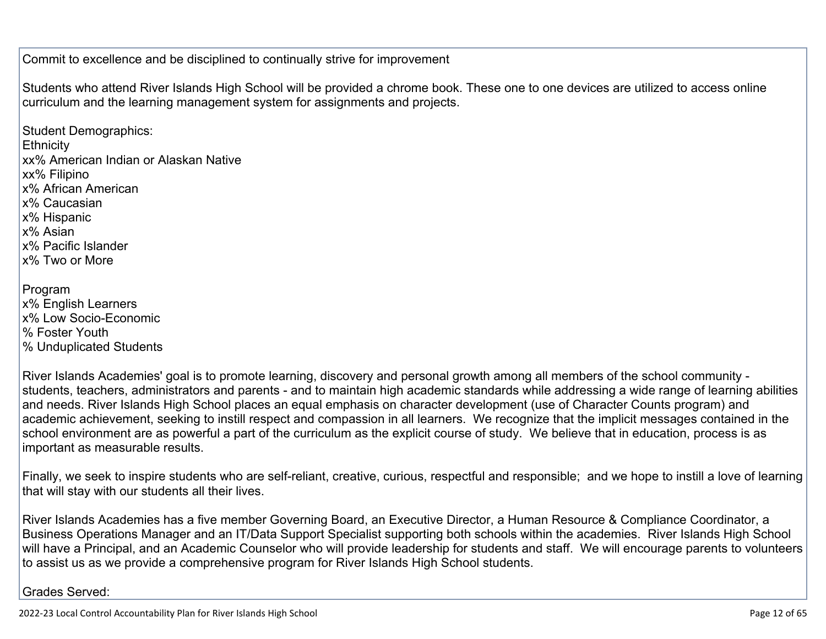Commit to excellence and be disciplined to continually strive for improvement

Students who attend River Islands High School will be provided a chrome book. These one to one devices are utilized to access online curriculum and the learning management system for assignments and projects.

Student Demographics: **Ethnicity** xx% American Indian or Alaskan Native xx% Filipino x% African American x% Caucasian x% Hispanic x% Asian x% Pacific Islander x% Two or More Program x% English Learners x% Low Socio-Economic % Foster Youth

% Unduplicated Students

River Islands Academies' goal is to promote learning, discovery and personal growth among all members of the school community students, teachers, administrators and parents - and to maintain high academic standards while addressing a wide range of learning abilities and needs. River Islands High School places an equal emphasis on character development (use of Character Counts program) and academic achievement, seeking to instill respect and compassion in all learners. We recognize that the implicit messages contained in the school environment are as powerful a part of the curriculum as the explicit course of study. We believe that in education, process is as important as measurable results.

Finally, we seek to inspire students who are self-reliant, creative, curious, respectful and responsible; and we hope to instill a love of learning that will stay with our students all their lives.

River Islands Academies has a five member Governing Board, an Executive Director, a Human Resource & Compliance Coordinator, a Business Operations Manager and an IT/Data Support Specialist supporting both schools within the academies. River Islands High School will have a Principal, and an Academic Counselor who will provide leadership for students and staff. We will encourage parents to volunteers to assist us as we provide a comprehensive program for River Islands High School students.

Grades Served: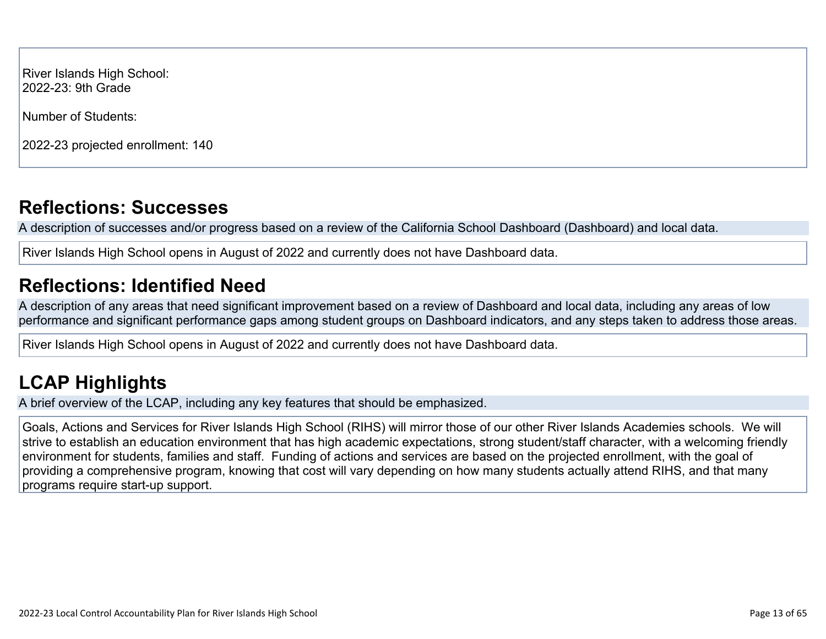River Islands High School: 2022-23: 9th Grade

Number of Students:

2022-23 projected enrollment: 140

## **[Reflections: Successes](http://www.doc-tracking.com/screenshots/22LCAP/Instructions/22LCAPInstructions.htm#ReflectionsSuccesses)**

A description of successes and/or progress based on a review of the California School Dashboard (Dashboard) and local data.

River Islands High School opens in August of 2022 and currently does not have Dashboard data.

# **[Reflections: Identified Need](http://www.doc-tracking.com/screenshots/22LCAP/Instructions/22LCAPInstructions.htm#ReflectionsIdentifiedNeed)**

A description of any areas that need significant improvement based on a review of Dashboard and local data, including any areas of low performance and significant performance gaps among student groups on Dashboard indicators, and any steps taken to address those areas.

River Islands High School opens in August of 2022 and currently does not have Dashboard data.

# **[LCAP Highlights](http://www.doc-tracking.com/screenshots/22LCAP/Instructions/22LCAPInstructions.htm#LCAPHighlights)**

A brief overview of the LCAP, including any key features that should be emphasized.

Goals, Actions and Services for River Islands High School (RIHS) will mirror those of our other River Islands Academies schools. We will strive to establish an education environment that has high academic expectations, strong student/staff character, with a welcoming friendly environment for students, families and staff. Funding of actions and services are based on the projected enrollment, with the goal of providing a comprehensive program, knowing that cost will vary depending on how many students actually attend RIHS, and that many programs require start-up support.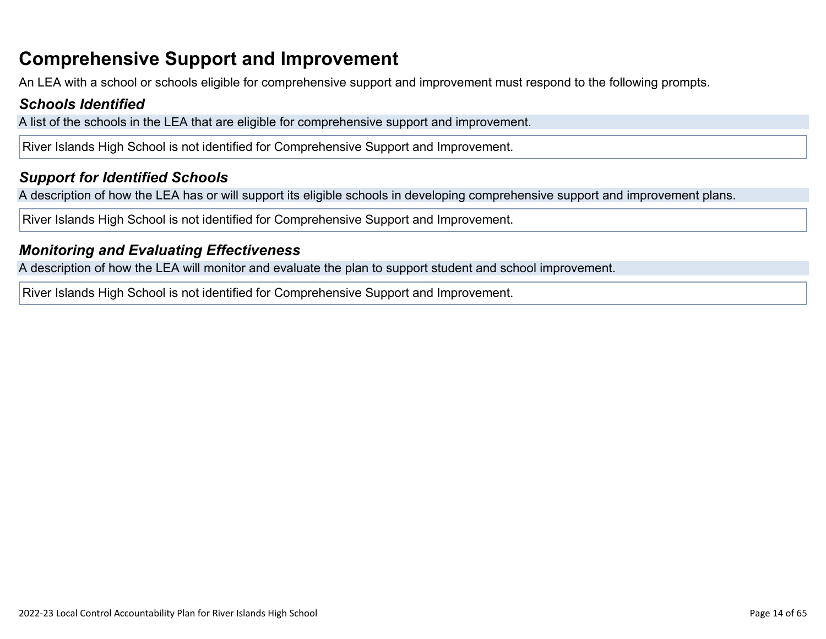## **Comprehensive Support and Improvement**

An LEA with a school or schools eligible for comprehensive support and improvement must respond to the following prompts.

#### *[Schools Identified](http://www.doc-tracking.com/screenshots/22LCAP/Instructions/22LCAPInstructions.htm#SchoolsIdentified)*

A list of the schools in the LEA that are eligible for comprehensive support and improvement.

River Islands High School is not identified for Comprehensive Support and Improvement.

#### *[Support for Identified Schools](http://www.doc-tracking.com/screenshots/22LCAP/Instructions/22LCAPInstructions.htm#SupportforIdentifiedSchools)*

A description of how the LEA has or will support its eligible schools in developing comprehensive support and improvement plans.

River Islands High School is not identified for Comprehensive Support and Improvement.

#### *[Monitoring and Evaluating Effectiveness](http://www.doc-tracking.com/screenshots/22LCAP/Instructions/22LCAPInstructions.htm#MonitoringandEvaluatingEffectiveness)*

A description of how the LEA will monitor and evaluate the plan to support student and school improvement.

River Islands High School is not identified for Comprehensive Support and Improvement.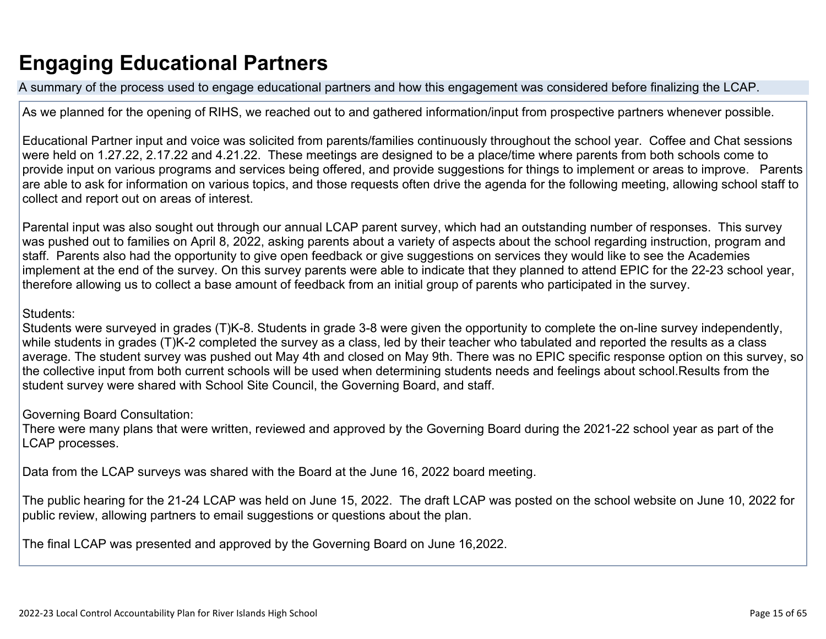# **Engaging Educational Partners**

A summary of the process used to engage educational partners and how this engagement was considered before finalizing the LCAP.

As we planned for the opening of RIHS, we reached out to and gathered information/input from prospective partners whenever possible.

Educational Partner input and voice was solicited from parents/families continuously throughout the school year. Coffee and Chat sessions were held on 1.27.22, 2.17.22 and 4.21.22. These meetings are designed to be a place/time where parents from both schools come to provide input on various programs and services being offered, and provide suggestions for things to implement or areas to improve. Parents are able to ask for information on various topics, and those requests often drive the agenda for the following meeting, allowing school staff to collect and report out on areas of interest.

Parental input was also sought out through our annual LCAP parent survey, which had an outstanding number of responses. This survey was pushed out to families on April 8, 2022, asking parents about a variety of aspects about the school regarding instruction, program and staff. Parents also had the opportunity to give open feedback or give suggestions on services they would like to see the Academies implement at the end of the survey. On this survey parents were able to indicate that they planned to attend EPIC for the 22-23 school year, therefore allowing us to collect a base amount of feedback from an initial group of parents who participated in the survey.

#### Students:

Students were surveyed in grades (T)K-8. Students in grade 3-8 were given the opportunity to complete the on-line survey independently, while students in grades (T)K-2 completed the survey as a class, led by their teacher who tabulated and reported the results as a class average. The student survey was pushed out May 4th and closed on May 9th. There was no EPIC specific response option on this survey, so the collective input from both current schools will be used when determining students needs and feelings about school.Results from the student survey were shared with School Site Council, the Governing Board, and staff.

Governing Board Consultation:

There were many plans that were written, reviewed and approved by the Governing Board during the 2021-22 school year as part of the LCAP processes.

Data from the LCAP surveys was shared with the Board at the June 16, 2022 board meeting.

The public hearing for the 21-24 LCAP was held on June 15, 2022. The draft LCAP was posted on the school website on June 10, 2022 for public review, allowing partners to email suggestions or questions about the plan.

The final LCAP was presented and approved by the Governing Board on June 16,2022.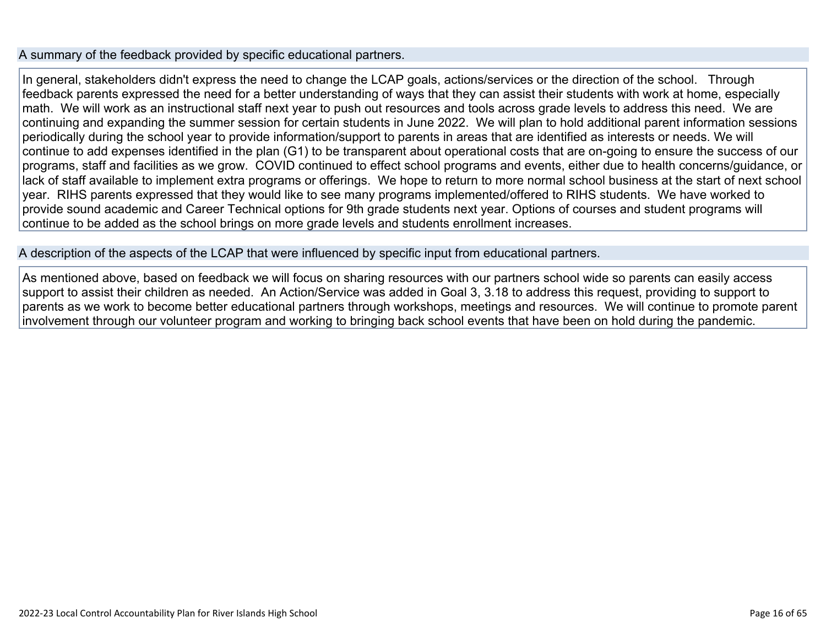#### A summary of the feedback provided by specific educational partners.

In general, stakeholders didn't express the need to change the LCAP goals, actions/services or the direction of the school. Through feedback parents expressed the need for a better understanding of ways that they can assist their students with work at home, especially math. We will work as an instructional staff next year to push out resources and tools across grade levels to address this need. We are continuing and expanding the summer session for certain students in June 2022. We will plan to hold additional parent information sessions periodically during the school year to provide information/support to parents in areas that are identified as interests or needs. We will continue to add expenses identified in the plan (G1) to be transparent about operational costs that are on-going to ensure the success of our programs, staff and facilities as we grow. COVID continued to effect school programs and events, either due to health concerns/guidance, or lack of staff available to implement extra programs or offerings. We hope to return to more normal school business at the start of next school year. RIHS parents expressed that they would like to see many programs implemented/offered to RIHS students. We have worked to provide sound academic and Career Technical options for 9th grade students next year. Options of courses and student programs will continue to be added as the school brings on more grade levels and students enrollment increases.

A description of the aspects of the LCAP that were influenced by specific input from educational partners.

As mentioned above, based on feedback we will focus on sharing resources with our partners school wide so parents can easily access support to assist their children as needed. An Action/Service was added in Goal 3, 3.18 to address this request, providing to support to parents as we work to become better educational partners through workshops, meetings and resources. We will continue to promote parent involvement through our volunteer program and working to bringing back school events that have been on hold during the pandemic.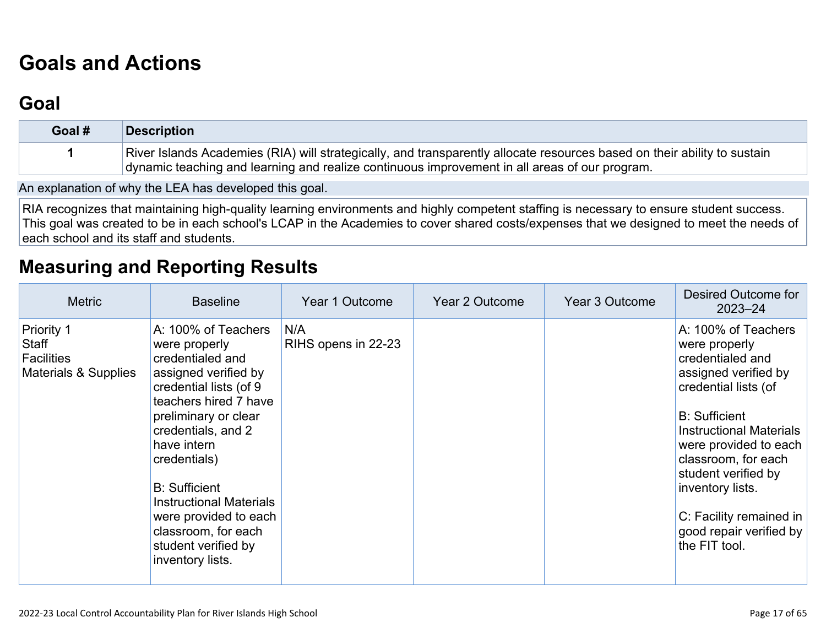# **[Goals and Actions](http://www.doc-tracking.com/screenshots/22LCAP/Instructions/22LCAPInstructions.htm#GoalsandActions)**

## **[Goal](http://www.doc-tracking.com/screenshots/22LCAP/Instructions/22LCAPInstructions.htm#goalDescription)**

| Goal # | Description                                                                                                                                                                                                               |
|--------|---------------------------------------------------------------------------------------------------------------------------------------------------------------------------------------------------------------------------|
|        | River Islands Academies (RIA) will strategically, and transparently allocate resources based on their ability to sustain<br>dynamic teaching and learning and realize continuous improvement in all areas of our program. |
|        |                                                                                                                                                                                                                           |

An explanation of why the LEA has developed this goal.

RIA recognizes that maintaining high-quality learning environments and highly competent staffing is necessary to ensure student success. This goal was created to be in each school's LCAP in the Academies to cover shared costs/expenses that we designed to meet the needs of each school and its staff and students.

### **[Measuring and Reporting Results](http://www.doc-tracking.com/screenshots/22LCAP/Instructions/22LCAPInstructions.htm#MeasuringandReportingResults)**

| <b>Metric</b>                                                    | <b>Baseline</b>                                                                                                                                                                                                                                                                                                                                                       | Year 1 Outcome             | Year 2 Outcome | Year 3 Outcome | Desired Outcome for<br>$2023 - 24$                                                                                                                                                                                                                                                                                                   |
|------------------------------------------------------------------|-----------------------------------------------------------------------------------------------------------------------------------------------------------------------------------------------------------------------------------------------------------------------------------------------------------------------------------------------------------------------|----------------------------|----------------|----------------|--------------------------------------------------------------------------------------------------------------------------------------------------------------------------------------------------------------------------------------------------------------------------------------------------------------------------------------|
| Priority 1<br>Staff<br><b>Facilities</b><br>Materials & Supplies | A: 100% of Teachers<br>were properly<br>credentialed and<br>assigned verified by<br>credential lists (of 9<br>teachers hired 7 have<br>preliminary or clear<br>credentials, and 2<br>have intern<br>credentials)<br><b>B:</b> Sufficient<br><b>Instructional Materials</b><br>were provided to each<br>classroom, for each<br>student verified by<br>inventory lists. | N/A<br>RIHS opens in 22-23 |                |                | A: 100% of Teachers<br>were properly<br>credentialed and<br>assigned verified by<br>credential lists (of<br><b>B: Sufficient</b><br><b>Instructional Materials</b><br>were provided to each<br>classroom, for each<br>student verified by<br>inventory lists.<br>C: Facility remained in<br>good repair verified by<br>the FIT tool. |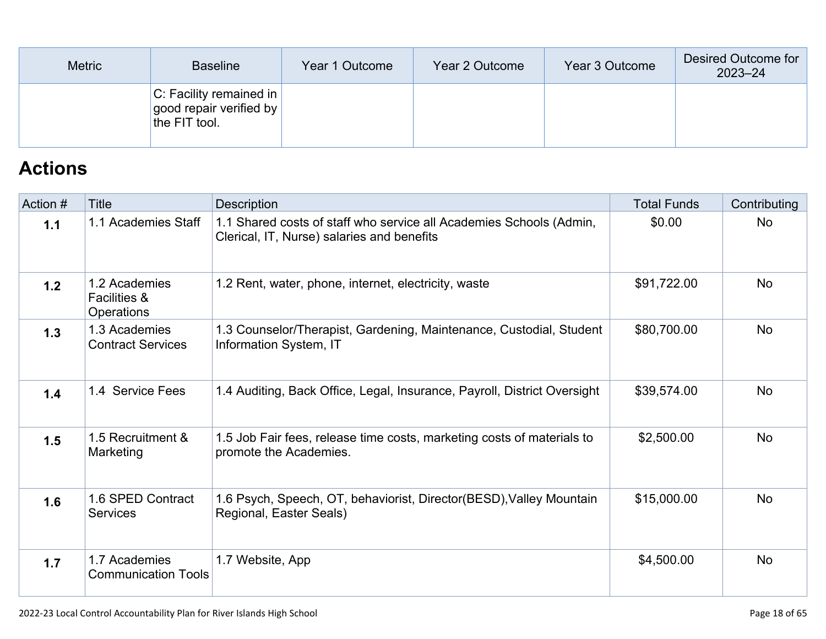| <b>Metric</b> | <b>Baseline</b>                                                            | Year 1 Outcome | Year 2 Outcome | Year 3 Outcome | Desired Outcome for<br>$2023 - 24$ |
|---------------|----------------------------------------------------------------------------|----------------|----------------|----------------|------------------------------------|
|               | <b>C:</b> Facility remained in<br>good repair verified by<br>the FIT tool. |                |                |                |                                    |

# **[Actions](http://www.doc-tracking.com/screenshots/22LCAP/Instructions/22LCAPInstructions.htm#actions)**

| Action # | <b>Title</b>                                                  | Description                                                                                                       | <b>Total Funds</b> | Contributing |
|----------|---------------------------------------------------------------|-------------------------------------------------------------------------------------------------------------------|--------------------|--------------|
| 1.1      | 1.1 Academies Staff                                           | 1.1 Shared costs of staff who service all Academies Schools (Admin,<br>Clerical, IT, Nurse) salaries and benefits | \$0.00             | <b>No</b>    |
| 1.2      | 1.2 Academies<br><b>Facilities &amp;</b><br><b>Operations</b> | 1.2 Rent, water, phone, internet, electricity, waste                                                              | \$91,722.00        | <b>No</b>    |
| 1.3      | 1.3 Academies<br><b>Contract Services</b>                     | 1.3 Counselor/Therapist, Gardening, Maintenance, Custodial, Student<br>Information System, IT                     | \$80,700.00        | <b>No</b>    |
| 1.4      | 1.4 Service Fees                                              | 1.4 Auditing, Back Office, Legal, Insurance, Payroll, District Oversight                                          | \$39,574.00        | <b>No</b>    |
| 1.5      | 1.5 Recruitment &<br>Marketing                                | 1.5 Job Fair fees, release time costs, marketing costs of materials to<br>promote the Academies.                  | \$2,500.00         | <b>No</b>    |
| 1.6      | 1.6 SPED Contract<br><b>Services</b>                          | 1.6 Psych, Speech, OT, behaviorist, Director(BESD), Valley Mountain<br>Regional, Easter Seals)                    | \$15,000.00        | <b>No</b>    |
| 1.7      | 1.7 Academies<br><b>Communication Tools</b>                   | 1.7 Website, App                                                                                                  | \$4,500.00         | <b>No</b>    |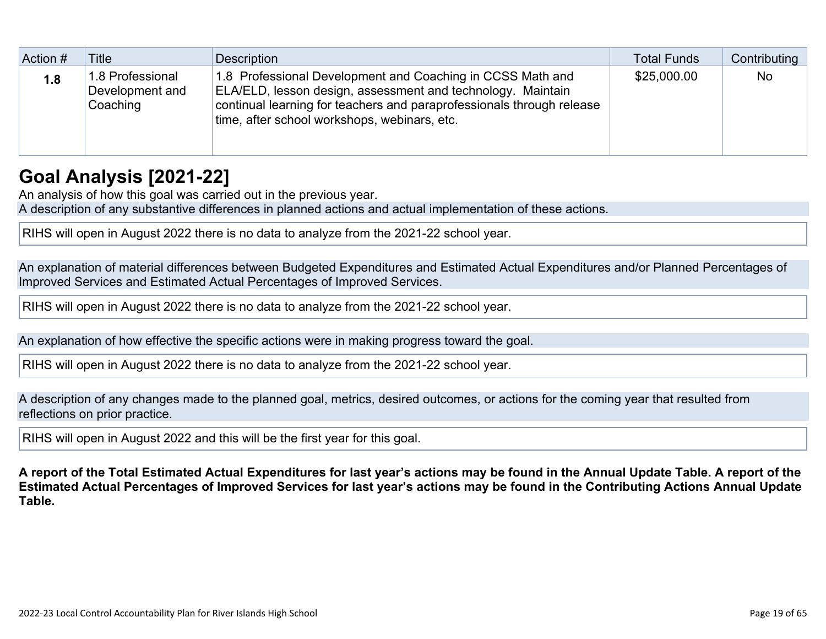| Action # | Title                                           | Description                                                                                                                                                                                                                                        | <b>Total Funds</b> | Contributing |
|----------|-------------------------------------------------|----------------------------------------------------------------------------------------------------------------------------------------------------------------------------------------------------------------------------------------------------|--------------------|--------------|
| 1.8      | 1.8 Professional<br>Development and<br>Coaching | 1.8 Professional Development and Coaching in CCSS Math and<br>ELA/ELD, lesson design, assessment and technology. Maintain<br>continual learning for teachers and paraprofessionals through release<br>time, after school workshops, webinars, etc. | \$25,000.00        | No           |

## **[Goal Analysis \[2021-22\]](http://www.doc-tracking.com/screenshots/22LCAP/Instructions/22LCAPInstructions.htm#GoalAnalysis)**

An analysis of how this goal was carried out in the previous year.

A description of any substantive differences in planned actions and actual implementation of these actions.

RIHS will open in August 2022 there is no data to analyze from the 2021-22 school year.

An explanation of material differences between Budgeted Expenditures and Estimated Actual Expenditures and/or Planned Percentages of Improved Services and Estimated Actual Percentages of Improved Services.

RIHS will open in August 2022 there is no data to analyze from the 2021-22 school year.

An explanation of how effective the specific actions were in making progress toward the goal.

RIHS will open in August 2022 there is no data to analyze from the 2021-22 school year.

A description of any changes made to the planned goal, metrics, desired outcomes, or actions for the coming year that resulted from reflections on prior practice.

RIHS will open in August 2022 and this will be the first year for this goal.

**A report of the Total Estimated Actual Expenditures for last year's actions may be found in the Annual Update Table. A report of the Estimated Actual Percentages of Improved Services for last year's actions may be found in the Contributing Actions Annual Update Table.**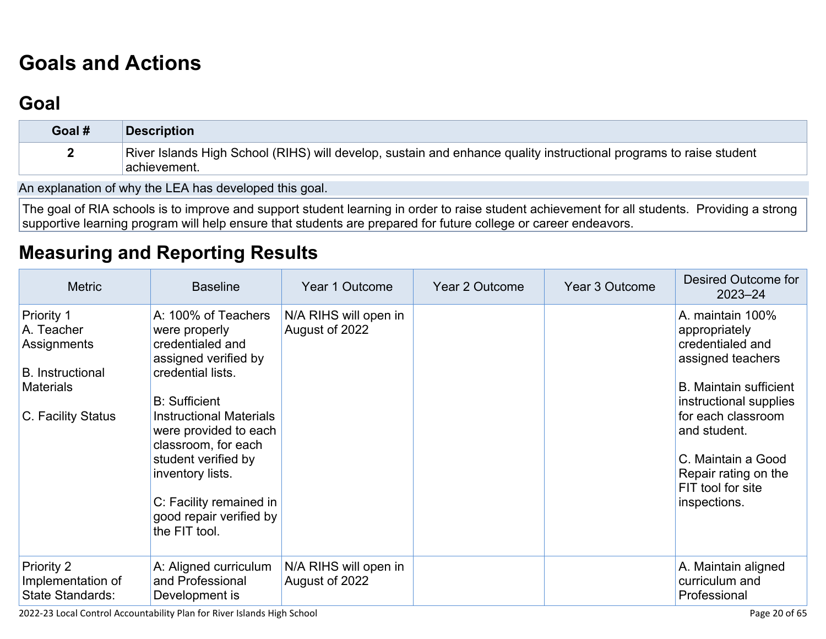# **[Goals and Actions](http://www.doc-tracking.com/screenshots/22LCAP/Instructions/22LCAPInstructions.htm#GoalsandActions)**

## **[Goal](http://www.doc-tracking.com/screenshots/22LCAP/Instructions/22LCAPInstructions.htm#goalDescription)**

| Goal # | <b>Description</b>                                                                                                                  |
|--------|-------------------------------------------------------------------------------------------------------------------------------------|
|        | River Islands High School (RIHS) will develop, sustain and enhance quality instructional programs to raise student<br>⊺achievement. |

An explanation of why the LEA has developed this goal.

The goal of RIA schools is to improve and support student learning in order to raise student achievement for all students. Providing a strong supportive learning program will help ensure that students are prepared for future college or career endeavors.

### **[Measuring and Reporting Results](http://www.doc-tracking.com/screenshots/22LCAP/Instructions/22LCAPInstructions.htm#MeasuringandReportingResults)**

| <b>Metric</b>                                                                                                | <b>Baseline</b>                                                                                                                                                                                                                                                                                                                   | Year 1 Outcome                          | Year 2 Outcome | Year 3 Outcome | <b>Desired Outcome for</b><br>$2023 - 24$                                                                                                                                                                                                                      |
|--------------------------------------------------------------------------------------------------------------|-----------------------------------------------------------------------------------------------------------------------------------------------------------------------------------------------------------------------------------------------------------------------------------------------------------------------------------|-----------------------------------------|----------------|----------------|----------------------------------------------------------------------------------------------------------------------------------------------------------------------------------------------------------------------------------------------------------------|
| Priority 1<br>A. Teacher<br>Assignments<br><b>B.</b> Instructional<br><b>Materials</b><br>C. Facility Status | A: 100% of Teachers<br>were properly<br>credentialed and<br>assigned verified by<br>credential lists.<br><b>B:</b> Sufficient<br><b>Instructional Materials</b><br>were provided to each<br>classroom, for each<br>student verified by<br>inventory lists.<br>C: Facility remained in<br>good repair verified by<br>the FIT tool. | N/A RIHS will open in<br>August of 2022 |                |                | A. maintain 100%<br>appropriately<br>credentialed and<br>assigned teachers<br><b>B. Maintain sufficient</b><br>instructional supplies<br>for each classroom<br>and student.<br>C. Maintain a Good<br>Repair rating on the<br>FIT tool for site<br>inspections. |
| <b>Priority 2</b><br>Implementation of<br>State Standards:                                                   | A: Aligned curriculum<br>and Professional<br>Development is                                                                                                                                                                                                                                                                       | N/A RIHS will open in<br>August of 2022 |                |                | A. Maintain aligned<br>curriculum and<br>Professional                                                                                                                                                                                                          |

2022-23 Local Control Accountability Plan for River Islands High School Page 20 of 65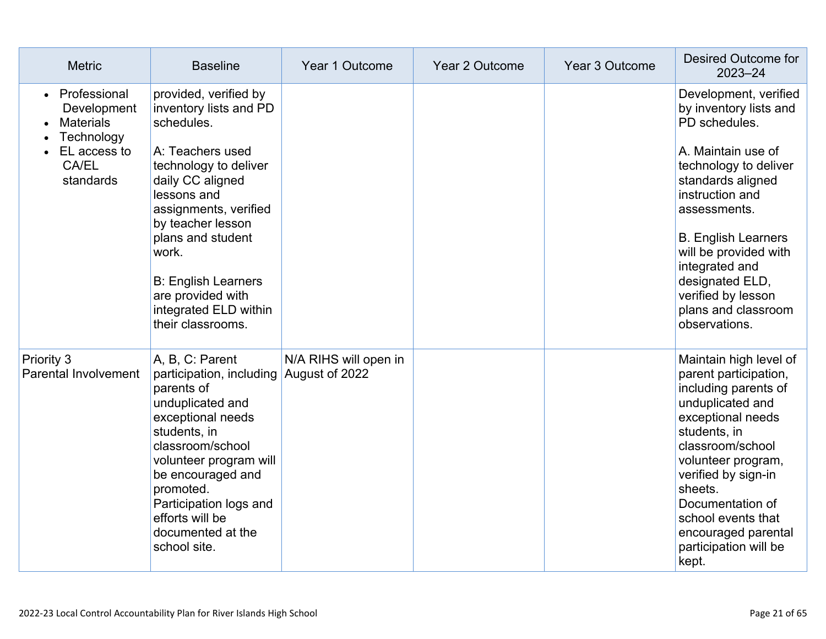| <b>Metric</b>                                                                                                    | <b>Baseline</b>                                                                                                                                                                                                                                                                                                            | Year 1 Outcome                          | Year 2 Outcome | Year 3 Outcome | Desired Outcome for<br>2023-24                                                                                                                                                                                                                                                                                                    |
|------------------------------------------------------------------------------------------------------------------|----------------------------------------------------------------------------------------------------------------------------------------------------------------------------------------------------------------------------------------------------------------------------------------------------------------------------|-----------------------------------------|----------------|----------------|-----------------------------------------------------------------------------------------------------------------------------------------------------------------------------------------------------------------------------------------------------------------------------------------------------------------------------------|
| Professional<br>$\bullet$<br>Development<br><b>Materials</b><br>Technology<br>EL access to<br>CA/EL<br>standards | provided, verified by<br>inventory lists and PD<br>schedules.<br>A: Teachers used<br>technology to deliver<br>daily CC aligned<br>lessons and<br>assignments, verified<br>by teacher lesson<br>plans and student<br>work.<br><b>B: English Learners</b><br>are provided with<br>integrated ELD within<br>their classrooms. |                                         |                |                | Development, verified<br>by inventory lists and<br>PD schedules.<br>A. Maintain use of<br>technology to deliver<br>standards aligned<br>instruction and<br>assessments.<br><b>B. English Learners</b><br>will be provided with<br>integrated and<br>designated ELD,<br>verified by lesson<br>plans and classroom<br>observations. |
| Priority 3<br>Parental Involvement                                                                               | A, B, C: Parent<br>participation, including<br>parents of<br>unduplicated and<br>exceptional needs<br>students, in<br>classroom/school<br>volunteer program will<br>be encouraged and<br>promoted.<br>Participation logs and<br>efforts will be<br>documented at the<br>school site.                                       | N/A RIHS will open in<br>August of 2022 |                |                | Maintain high level of<br>parent participation,<br>including parents of<br>unduplicated and<br>exceptional needs<br>students, in<br>classroom/school<br>volunteer program,<br>verified by sign-in<br>sheets.<br>Documentation of<br>school events that<br>encouraged parental<br>participation will be<br>kept.                   |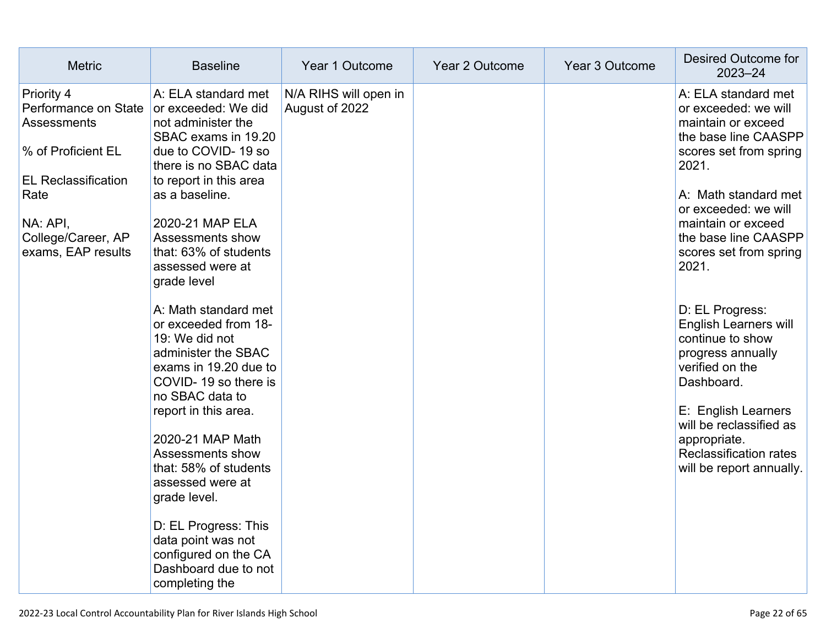| <b>Metric</b>                                                                                                                                                                | <b>Baseline</b>                                                                                                                                                                                                                                                                                                                                                                                                                                                                                                                                                                                                               | Year 1 Outcome                          | Year 2 Outcome | Year 3 Outcome | Desired Outcome for<br>$2023 - 24$                                                                                                                                                                                                                                                                                                                                                                                                                                                                                        |
|------------------------------------------------------------------------------------------------------------------------------------------------------------------------------|-------------------------------------------------------------------------------------------------------------------------------------------------------------------------------------------------------------------------------------------------------------------------------------------------------------------------------------------------------------------------------------------------------------------------------------------------------------------------------------------------------------------------------------------------------------------------------------------------------------------------------|-----------------------------------------|----------------|----------------|---------------------------------------------------------------------------------------------------------------------------------------------------------------------------------------------------------------------------------------------------------------------------------------------------------------------------------------------------------------------------------------------------------------------------------------------------------------------------------------------------------------------------|
| Priority 4<br>Performance on State<br><b>Assessments</b><br>% of Proficient EL<br><b>EL Reclassification</b><br>Rate<br>NA: API,<br>College/Career, AP<br>exams, EAP results | A: ELA standard met<br>or exceeded: We did<br>not administer the<br>SBAC exams in 19.20<br>due to COVID-19 so<br>there is no SBAC data<br>to report in this area<br>as a baseline.<br>2020-21 MAP ELA<br>Assessments show<br>that: 63% of students<br>assessed were at<br>grade level<br>A: Math standard met<br>or exceeded from 18-<br>19: We did not<br>administer the SBAC<br>exams in 19.20 due to<br>COVID-19 so there is<br>no SBAC data to<br>report in this area.<br>2020-21 MAP Math<br>Assessments show<br>that: 58% of students<br>assessed were at<br>grade level.<br>D: EL Progress: This<br>data point was not | N/A RIHS will open in<br>August of 2022 |                |                | A: ELA standard met<br>or exceeded: we will<br>maintain or exceed<br>the base line CAASPP<br>scores set from spring<br>2021.<br>A: Math standard met<br>or exceeded: we will<br>maintain or exceed<br>the base line CAASPP<br>scores set from spring<br>2021.<br>D: EL Progress:<br><b>English Learners will</b><br>continue to show<br>progress annually<br>verified on the<br>Dashboard.<br>E: English Learners<br>will be reclassified as<br>appropriate.<br><b>Reclassification rates</b><br>will be report annually. |
|                                                                                                                                                                              | configured on the CA<br>Dashboard due to not<br>completing the                                                                                                                                                                                                                                                                                                                                                                                                                                                                                                                                                                |                                         |                |                |                                                                                                                                                                                                                                                                                                                                                                                                                                                                                                                           |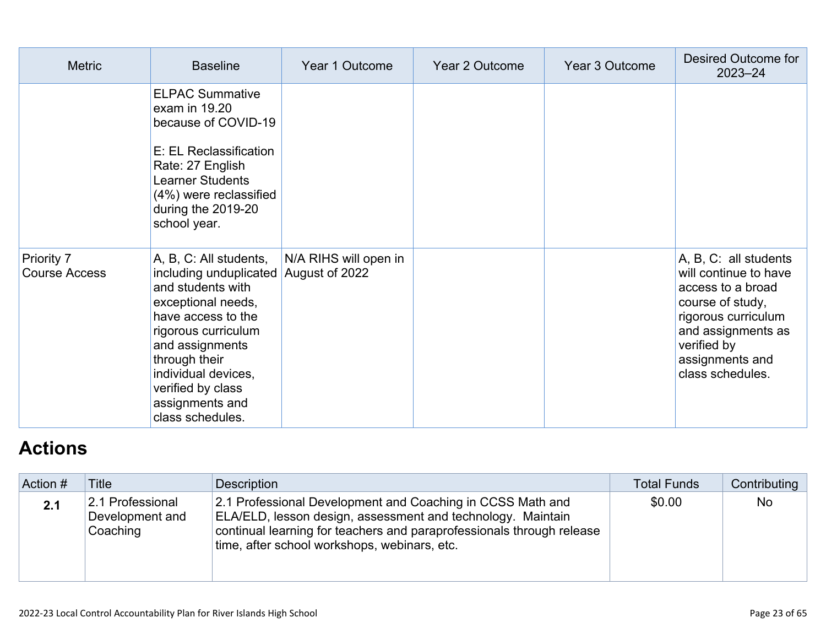| <b>Metric</b>                      | <b>Baseline</b>                                                                                                                                                                                                                                                 | Year 1 Outcome                          | Year 2 Outcome | Year 3 Outcome | Desired Outcome for<br>$2023 - 24$                                                                                                                                                         |
|------------------------------------|-----------------------------------------------------------------------------------------------------------------------------------------------------------------------------------------------------------------------------------------------------------------|-----------------------------------------|----------------|----------------|--------------------------------------------------------------------------------------------------------------------------------------------------------------------------------------------|
|                                    | <b>ELPAC Summative</b><br>exam in 19.20<br>because of COVID-19<br>E: EL Reclassification<br>Rate: 27 English<br><b>Learner Students</b><br>(4%) were reclassified<br>during the 2019-20<br>school year.                                                         |                                         |                |                |                                                                                                                                                                                            |
| Priority 7<br><b>Course Access</b> | A, B, C: All students,<br>including unduplicated<br>and students with<br>exceptional needs,<br>have access to the<br>rigorous curriculum<br>and assignments<br>through their<br>individual devices,<br>verified by class<br>assignments and<br>class schedules. | N/A RIHS will open in<br>August of 2022 |                |                | A, B, C: all students<br>will continue to have<br>access to a broad<br>course of study,<br>rigorous curriculum<br>and assignments as<br>verified by<br>assignments and<br>class schedules. |

# **[Actions](http://www.doc-tracking.com/screenshots/22LCAP/Instructions/22LCAPInstructions.htm#actions)**

| Action # | <b>Title</b>                                    | Description                                                                                                                                                                                                                                        | <b>Total Funds</b> | Contributing |
|----------|-------------------------------------------------|----------------------------------------------------------------------------------------------------------------------------------------------------------------------------------------------------------------------------------------------------|--------------------|--------------|
| 2.1      | 2.1 Professional<br>Development and<br>Coaching | 2.1 Professional Development and Coaching in CCSS Math and<br>ELA/ELD, lesson design, assessment and technology. Maintain<br>continual learning for teachers and paraprofessionals through release<br>time, after school workshops, webinars, etc. | \$0.00             | <b>No</b>    |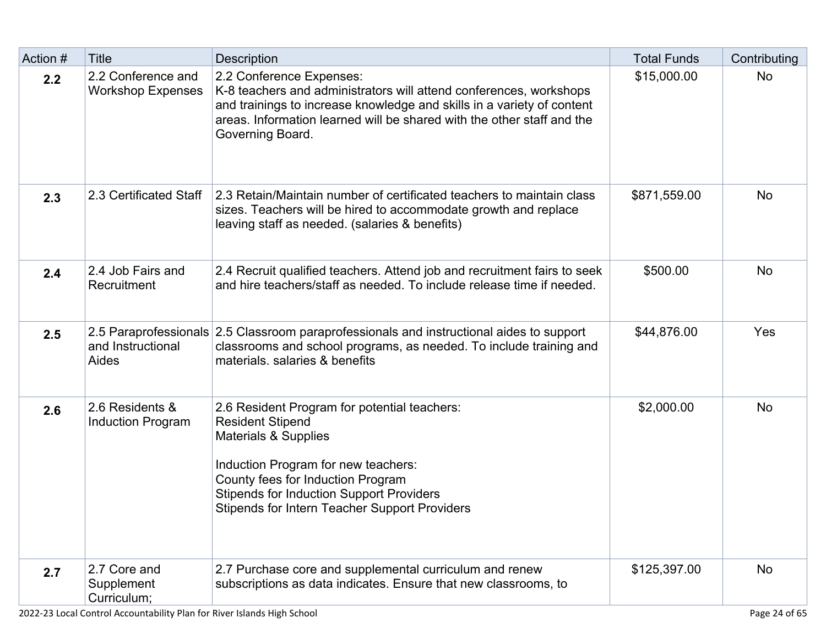| Action # | <b>Title</b>                                   | <b>Description</b>                                                                                                                                                                                                                                                                     | <b>Total Funds</b> | Contributing |
|----------|------------------------------------------------|----------------------------------------------------------------------------------------------------------------------------------------------------------------------------------------------------------------------------------------------------------------------------------------|--------------------|--------------|
| 2.2      | 2.2 Conference and<br><b>Workshop Expenses</b> | 2.2 Conference Expenses:<br>K-8 teachers and administrators will attend conferences, workshops<br>and trainings to increase knowledge and skills in a variety of content<br>areas. Information learned will be shared with the other staff and the<br>Governing Board.                 | \$15,000.00        | <b>No</b>    |
| 2.3      | 2.3 Certificated Staff                         | 2.3 Retain/Maintain number of certificated teachers to maintain class<br>sizes. Teachers will be hired to accommodate growth and replace<br>leaving staff as needed. (salaries & benefits)                                                                                             | \$871,559.00       | <b>No</b>    |
| 2.4      | 2.4 Job Fairs and<br>Recruitment               | 2.4 Recruit qualified teachers. Attend job and recruitment fairs to seek<br>and hire teachers/staff as needed. To include release time if needed.                                                                                                                                      | \$500.00           | <b>No</b>    |
| 2.5      | and Instructional<br>Aides                     | 2.5 Paraprofessionals 2.5 Classroom paraprofessionals and instructional aides to support<br>classrooms and school programs, as needed. To include training and<br>materials, salaries & benefits                                                                                       | \$44,876.00        | Yes          |
| 2.6      | 2.6 Residents &<br><b>Induction Program</b>    | 2.6 Resident Program for potential teachers:<br><b>Resident Stipend</b><br>Materials & Supplies<br>Induction Program for new teachers:<br>County fees for Induction Program<br><b>Stipends for Induction Support Providers</b><br><b>Stipends for Intern Teacher Support Providers</b> | \$2,000.00         | <b>No</b>    |
| 2.7      | 2.7 Core and<br>Supplement<br>Curriculum;      | 2.7 Purchase core and supplemental curriculum and renew<br>subscriptions as data indicates. Ensure that new classrooms, to                                                                                                                                                             | \$125,397.00       | <b>No</b>    |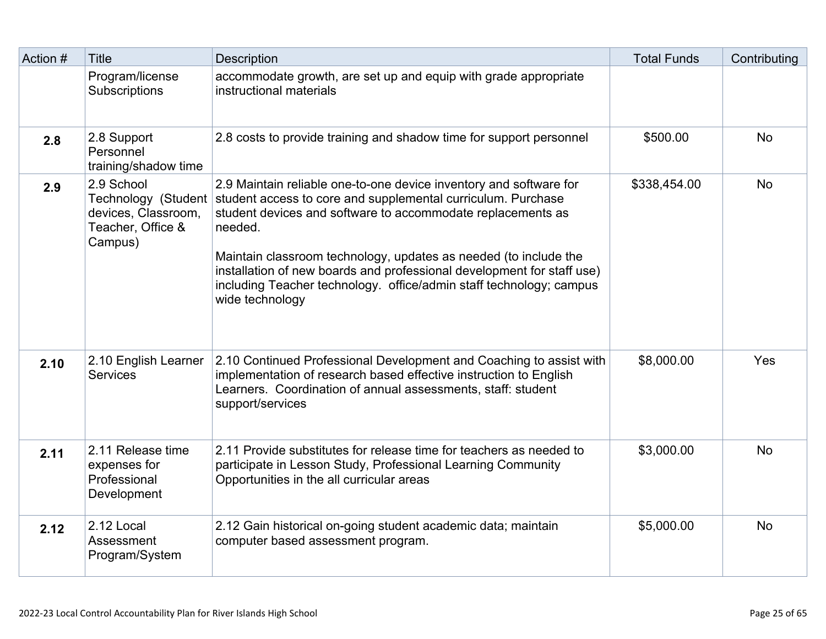| Action # | <b>Title</b>                                                                             | <b>Description</b>                                                                                                                                                                                                                                                                                                                                                                                                                                   | <b>Total Funds</b> | Contributing |
|----------|------------------------------------------------------------------------------------------|------------------------------------------------------------------------------------------------------------------------------------------------------------------------------------------------------------------------------------------------------------------------------------------------------------------------------------------------------------------------------------------------------------------------------------------------------|--------------------|--------------|
|          | Program/license<br>Subscriptions                                                         | accommodate growth, are set up and equip with grade appropriate<br>instructional materials                                                                                                                                                                                                                                                                                                                                                           |                    |              |
| 2.8      | 2.8 Support<br>Personnel<br>training/shadow time                                         | 2.8 costs to provide training and shadow time for support personnel                                                                                                                                                                                                                                                                                                                                                                                  | \$500.00           | <b>No</b>    |
| 2.9      | 2.9 School<br>Technology (Student<br>devices, Classroom,<br>Teacher, Office &<br>Campus) | 2.9 Maintain reliable one-to-one device inventory and software for<br>student access to core and supplemental curriculum. Purchase<br>student devices and software to accommodate replacements as<br>needed.<br>Maintain classroom technology, updates as needed (to include the<br>installation of new boards and professional development for staff use)<br>including Teacher technology. office/admin staff technology; campus<br>wide technology | \$338,454.00       | <b>No</b>    |
| 2.10     | 2.10 English Learner<br><b>Services</b>                                                  | 2.10 Continued Professional Development and Coaching to assist with<br>implementation of research based effective instruction to English<br>Learners. Coordination of annual assessments, staff: student<br>support/services                                                                                                                                                                                                                         | \$8,000.00         | Yes          |
| 2.11     | 2.11 Release time<br>expenses for<br>Professional<br>Development                         | 2.11 Provide substitutes for release time for teachers as needed to<br>participate in Lesson Study, Professional Learning Community<br>Opportunities in the all curricular areas                                                                                                                                                                                                                                                                     | \$3,000.00         | <b>No</b>    |
| 2.12     | 2.12 Local<br>Assessment<br>Program/System                                               | 2.12 Gain historical on-going student academic data; maintain<br>computer based assessment program.                                                                                                                                                                                                                                                                                                                                                  | \$5,000.00         | <b>No</b>    |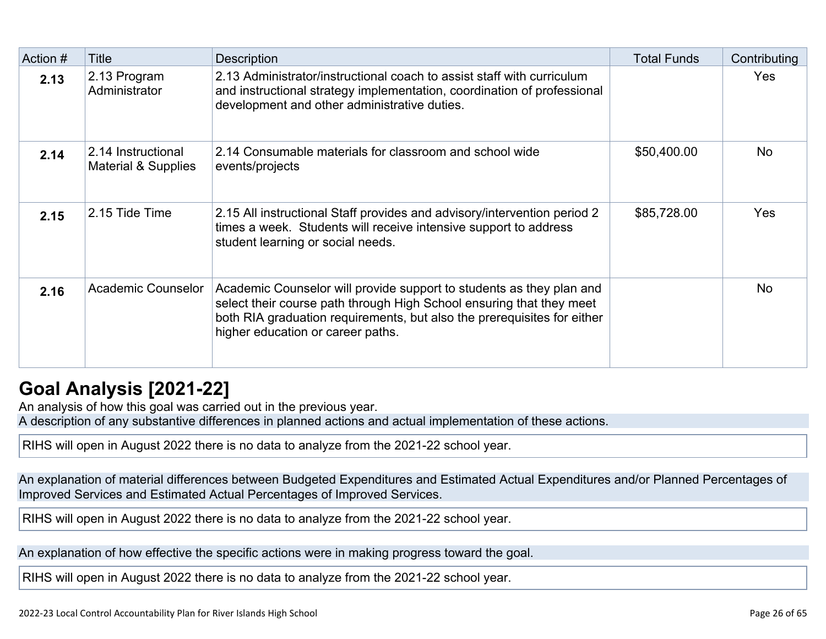| Action # | <b>Title</b>                                         | <b>Description</b>                                                                                                                                                                                                                                           | <b>Total Funds</b> | Contributing |
|----------|------------------------------------------------------|--------------------------------------------------------------------------------------------------------------------------------------------------------------------------------------------------------------------------------------------------------------|--------------------|--------------|
| 2.13     | 2.13 Program<br>Administrator                        | 2.13 Administrator/instructional coach to assist staff with curriculum<br>and instructional strategy implementation, coordination of professional<br>development and other administrative duties.                                                            |                    | Yes          |
| 2.14     | 2.14 Instructional<br><b>Material &amp; Supplies</b> | 2.14 Consumable materials for classroom and school wide<br>events/projects                                                                                                                                                                                   | \$50,400.00        | No.          |
| 2.15     | 2.15 Tide Time                                       | 2.15 All instructional Staff provides and advisory/intervention period 2<br>times a week. Students will receive intensive support to address<br>student learning or social needs.                                                                            | \$85,728.00        | <b>Yes</b>   |
| 2.16     | <b>Academic Counselor</b>                            | Academic Counselor will provide support to students as they plan and<br>select their course path through High School ensuring that they meet<br>both RIA graduation requirements, but also the prerequisites for either<br>higher education or career paths. |                    | <b>No</b>    |

## **[Goal Analysis \[2021-22\]](http://www.doc-tracking.com/screenshots/22LCAP/Instructions/22LCAPInstructions.htm#GoalAnalysis)**

An analysis of how this goal was carried out in the previous year.

A description of any substantive differences in planned actions and actual implementation of these actions.

RIHS will open in August 2022 there is no data to analyze from the 2021-22 school year.

An explanation of material differences between Budgeted Expenditures and Estimated Actual Expenditures and/or Planned Percentages of Improved Services and Estimated Actual Percentages of Improved Services.

RIHS will open in August 2022 there is no data to analyze from the 2021-22 school year.

An explanation of how effective the specific actions were in making progress toward the goal.

RIHS will open in August 2022 there is no data to analyze from the 2021-22 school year.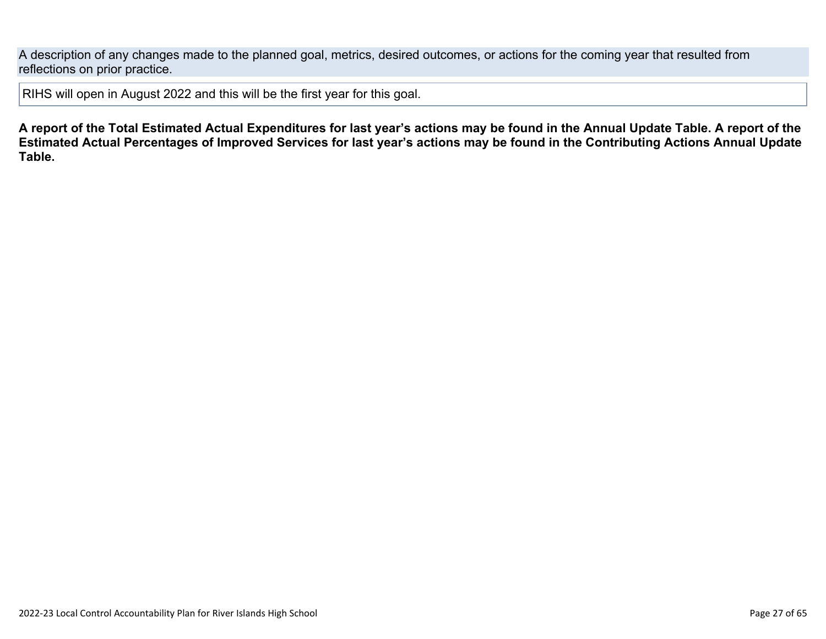A description of any changes made to the planned goal, metrics, desired outcomes, or actions for the coming year that resulted from reflections on prior practice.

RIHS will open in August 2022 and this will be the first year for this goal.

**A report of the Total Estimated Actual Expenditures for last year's actions may be found in the Annual Update Table. A report of the Estimated Actual Percentages of Improved Services for last year's actions may be found in the Contributing Actions Annual Update Table.**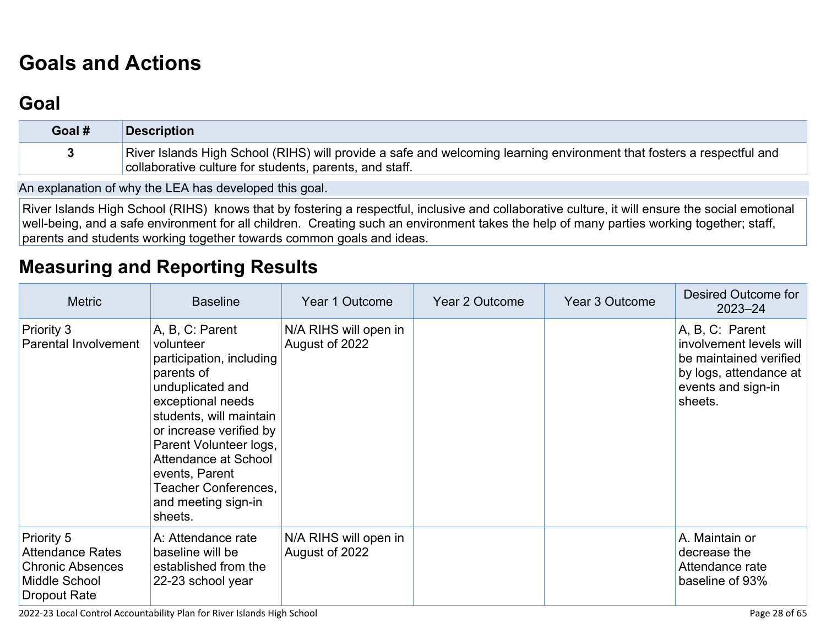# **[Goals and Actions](http://www.doc-tracking.com/screenshots/22LCAP/Instructions/22LCAPInstructions.htm#GoalsandActions)**

## **[Goal](http://www.doc-tracking.com/screenshots/22LCAP/Instructions/22LCAPInstructions.htm#goalDescription)**

| Goal # | <b>Description</b>                                                                                                                                                               |
|--------|----------------------------------------------------------------------------------------------------------------------------------------------------------------------------------|
|        | River Islands High School (RIHS) will provide a safe and welcoming learning environment that fosters a respectful and<br>collaborative culture for students, parents, and staff. |

An explanation of why the LEA has developed this goal.

River Islands High School (RIHS) knows that by fostering a respectful, inclusive and collaborative culture, it will ensure the social emotional well-being, and a safe environment for all children. Creating such an environment takes the help of many parties working together; staff, parents and students working together towards common goals and ideas.

## **[Measuring and Reporting Results](http://www.doc-tracking.com/screenshots/22LCAP/Instructions/22LCAPInstructions.htm#MeasuringandReportingResults)**

| <b>Metric</b>                                                                                            | <b>Baseline</b>                                                                                                                                                                                                                                                                                     | Year 1 Outcome                          | <b>Year 2 Outcome</b> | Year 3 Outcome | Desired Outcome for<br>$2023 - 24$                                                                                              |
|----------------------------------------------------------------------------------------------------------|-----------------------------------------------------------------------------------------------------------------------------------------------------------------------------------------------------------------------------------------------------------------------------------------------------|-----------------------------------------|-----------------------|----------------|---------------------------------------------------------------------------------------------------------------------------------|
| Priority 3<br>Parental Involvement                                                                       | A, B, C: Parent<br>volunteer<br>participation, including<br>parents of<br>unduplicated and<br>exceptional needs<br>students, will maintain<br>or increase verified by<br>Parent Volunteer logs,<br>Attendance at School<br>events, Parent<br>Teacher Conferences,<br>and meeting sign-in<br>sheets. | N/A RIHS will open in<br>August of 2022 |                       |                | A, B, C: Parent<br>involvement levels will<br>be maintained verified<br>by logs, attendance at<br>events and sign-in<br>sheets. |
| Priority 5<br><b>Attendance Rates</b><br><b>Chronic Absences</b><br>Middle School<br><b>Dropout Rate</b> | A: Attendance rate<br>baseline will be<br>established from the<br>22-23 school year                                                                                                                                                                                                                 | N/A RIHS will open in<br>August of 2022 |                       |                | A. Maintain or<br>decrease the<br>Attendance rate<br>baseline of 93%                                                            |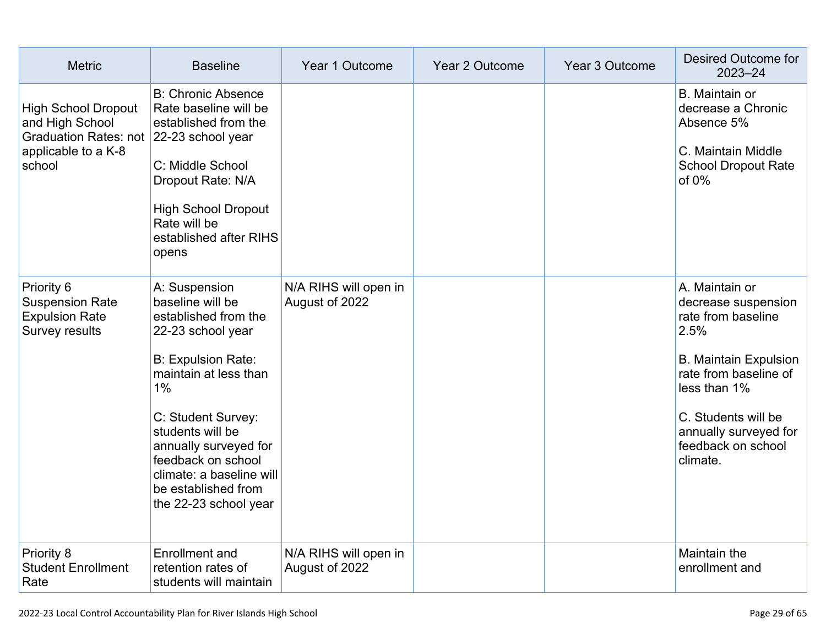| <b>Metric</b>                                                                                                             | <b>Baseline</b>                                                                                                                                                                                                                                                                                                 | Year 1 Outcome                          | Year 2 Outcome | Year 3 Outcome | <b>Desired Outcome for</b><br>$2023 - 24$                                                                                                                                                                                      |
|---------------------------------------------------------------------------------------------------------------------------|-----------------------------------------------------------------------------------------------------------------------------------------------------------------------------------------------------------------------------------------------------------------------------------------------------------------|-----------------------------------------|----------------|----------------|--------------------------------------------------------------------------------------------------------------------------------------------------------------------------------------------------------------------------------|
| <b>High School Dropout</b><br>and High School<br>Graduation Rates: not 22-23 school year<br>applicable to a K-8<br>school | <b>B: Chronic Absence</b><br>Rate baseline will be<br>established from the<br>C: Middle School<br>Dropout Rate: N/A<br><b>High School Dropout</b><br>Rate will be<br>established after RIHS<br>opens                                                                                                            |                                         |                |                | <b>B.</b> Maintain or<br>decrease a Chronic<br>Absence 5%<br>C. Maintain Middle<br><b>School Dropout Rate</b><br>of $0\%$                                                                                                      |
| Priority 6<br><b>Suspension Rate</b><br><b>Expulsion Rate</b><br><b>Survey results</b>                                    | A: Suspension<br>baseline will be<br>established from the<br>22-23 school year<br><b>B: Expulsion Rate:</b><br>maintain at less than<br>1%<br>C: Student Survey:<br>students will be<br>annually surveyed for<br>feedback on school<br>climate: a baseline will<br>be established from<br>the 22-23 school year | N/A RIHS will open in<br>August of 2022 |                |                | A. Maintain or<br>decrease suspension<br>rate from baseline<br>2.5%<br><b>B. Maintain Expulsion</b><br>rate from baseline of<br>less than 1%<br>C. Students will be<br>annually surveyed for<br>feedback on school<br>climate. |
| Priority 8<br><b>Student Enrollment</b><br>Rate                                                                           | <b>Enrollment</b> and<br>retention rates of<br>students will maintain                                                                                                                                                                                                                                           | N/A RIHS will open in<br>August of 2022 |                |                | Maintain the<br>enrollment and                                                                                                                                                                                                 |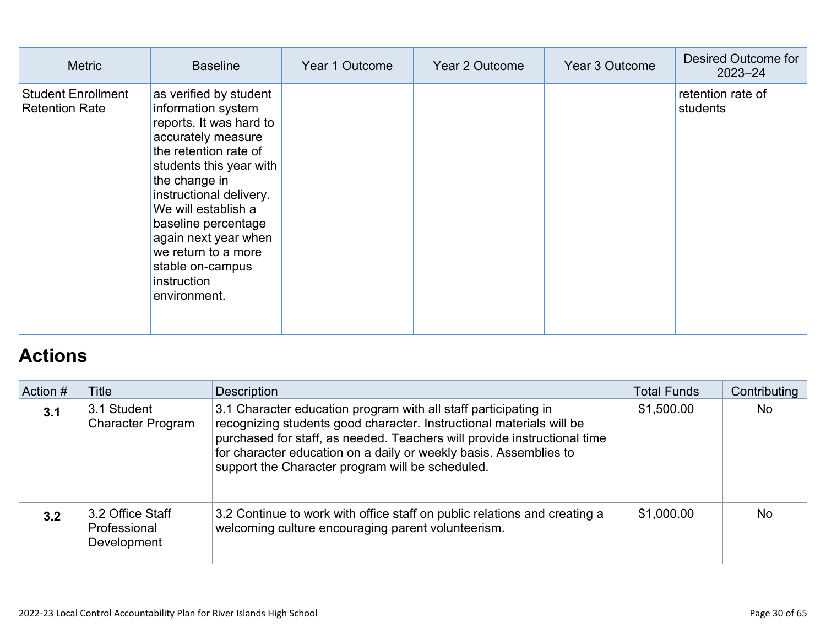| <b>Metric</b>                                      | <b>Baseline</b>                                                                                                                                                                                                                                                                                                                               | Year 1 Outcome | Year 2 Outcome | Year 3 Outcome | Desired Outcome for<br>$2023 - 24$ |
|----------------------------------------------------|-----------------------------------------------------------------------------------------------------------------------------------------------------------------------------------------------------------------------------------------------------------------------------------------------------------------------------------------------|----------------|----------------|----------------|------------------------------------|
| <b>Student Enrollment</b><br><b>Retention Rate</b> | as verified by student<br>information system<br>reports. It was hard to<br>accurately measure<br>the retention rate of<br>students this year with<br>the change in<br>instructional delivery.<br>We will establish a<br>baseline percentage<br>again next year when<br>we return to a more<br>stable on-campus<br>instruction<br>environment. |                |                |                | retention rate of<br>students      |

# **[Actions](http://www.doc-tracking.com/screenshots/22LCAP/Instructions/22LCAPInstructions.htm#actions)**

| Action # | Title                                           | <b>Description</b>                                                                                                                                                                                                                                                                                                                           | <b>Total Funds</b> | Contributing |
|----------|-------------------------------------------------|----------------------------------------------------------------------------------------------------------------------------------------------------------------------------------------------------------------------------------------------------------------------------------------------------------------------------------------------|--------------------|--------------|
| 3.1      | 3.1 Student<br><b>Character Program</b>         | 3.1 Character education program with all staff participating in<br>recognizing students good character. Instructional materials will be<br>purchased for staff, as needed. Teachers will provide instructional time<br>for character education on a daily or weekly basis. Assemblies to<br>support the Character program will be scheduled. | \$1,500.00         | <b>No</b>    |
| 3.2      | 3.2 Office Staff<br>Professional<br>Development | 3.2 Continue to work with office staff on public relations and creating a<br>welcoming culture encouraging parent volunteerism.                                                                                                                                                                                                              | \$1,000.00         | <b>No</b>    |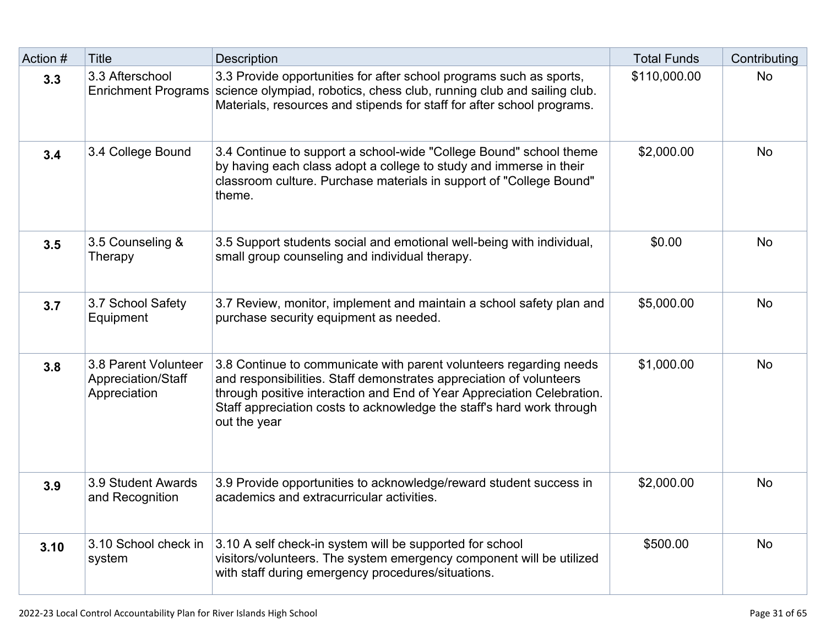| Action # | <b>Title</b>                                               | <b>Description</b>                                                                                                                                                                                                                                                                                           | <b>Total Funds</b> | Contributing |
|----------|------------------------------------------------------------|--------------------------------------------------------------------------------------------------------------------------------------------------------------------------------------------------------------------------------------------------------------------------------------------------------------|--------------------|--------------|
| 3.3      | 3.3 Afterschool<br><b>Enrichment Programs</b>              | 3.3 Provide opportunities for after school programs such as sports,<br>science olympiad, robotics, chess club, running club and sailing club.<br>Materials, resources and stipends for staff for after school programs.                                                                                      | \$110,000.00       | <b>No</b>    |
| 3.4      | 3.4 College Bound                                          | 3.4 Continue to support a school-wide "College Bound" school theme<br>by having each class adopt a college to study and immerse in their<br>classroom culture. Purchase materials in support of "College Bound"<br>theme.                                                                                    | \$2,000.00         | <b>No</b>    |
| 3.5      | 3.5 Counseling &<br>Therapy                                | 3.5 Support students social and emotional well-being with individual,<br>small group counseling and individual therapy.                                                                                                                                                                                      | \$0.00             | <b>No</b>    |
| 3.7      | 3.7 School Safety<br>Equipment                             | 3.7 Review, monitor, implement and maintain a school safety plan and<br>purchase security equipment as needed.                                                                                                                                                                                               | \$5,000.00         | <b>No</b>    |
| 3.8      | 3.8 Parent Volunteer<br>Appreciation/Staff<br>Appreciation | 3.8 Continue to communicate with parent volunteers regarding needs<br>and responsibilities. Staff demonstrates appreciation of volunteers<br>through positive interaction and End of Year Appreciation Celebration.<br>Staff appreciation costs to acknowledge the staff's hard work through<br>out the year | \$1,000.00         | <b>No</b>    |
| 3.9      | 3.9 Student Awards<br>and Recognition                      | 3.9 Provide opportunities to acknowledge/reward student success in<br>academics and extracurricular activities.                                                                                                                                                                                              | \$2,000.00         | <b>No</b>    |
| 3.10     | 3.10 School check in<br>system                             | 3.10 A self check-in system will be supported for school<br>visitors/volunteers. The system emergency component will be utilized<br>with staff during emergency procedures/situations.                                                                                                                       | \$500.00           | <b>No</b>    |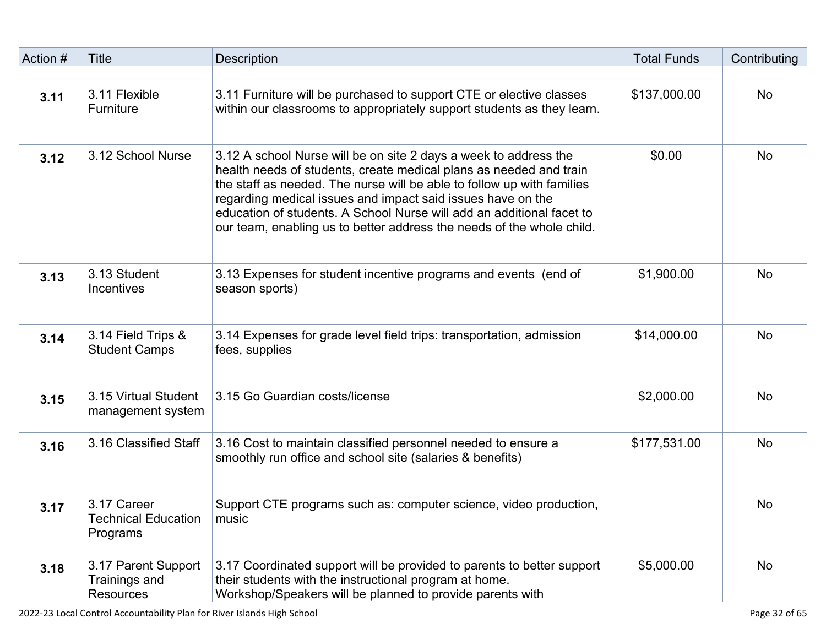| Action # | <b>Title</b>                                             | <b>Description</b>                                                                                                                                                                                                                                                                                                                                                                                                                | <b>Total Funds</b> | Contributing |
|----------|----------------------------------------------------------|-----------------------------------------------------------------------------------------------------------------------------------------------------------------------------------------------------------------------------------------------------------------------------------------------------------------------------------------------------------------------------------------------------------------------------------|--------------------|--------------|
|          |                                                          |                                                                                                                                                                                                                                                                                                                                                                                                                                   |                    |              |
| 3.11     | 3.11 Flexible<br>Furniture                               | 3.11 Furniture will be purchased to support CTE or elective classes<br>within our classrooms to appropriately support students as they learn.                                                                                                                                                                                                                                                                                     | \$137,000.00       | <b>No</b>    |
| 3.12     | 3.12 School Nurse                                        | 3.12 A school Nurse will be on site 2 days a week to address the<br>health needs of students, create medical plans as needed and train<br>the staff as needed. The nurse will be able to follow up with families<br>regarding medical issues and impact said issues have on the<br>education of students. A School Nurse will add an additional facet to<br>our team, enabling us to better address the needs of the whole child. | \$0.00             | <b>No</b>    |
| 3.13     | 3.13 Student<br><b>Incentives</b>                        | 3.13 Expenses for student incentive programs and events (end of<br>season sports)                                                                                                                                                                                                                                                                                                                                                 | \$1,900.00         | <b>No</b>    |
| 3.14     | 3.14 Field Trips &<br><b>Student Camps</b>               | 3.14 Expenses for grade level field trips: transportation, admission<br>fees, supplies                                                                                                                                                                                                                                                                                                                                            | \$14,000.00        | <b>No</b>    |
| 3.15     | 3.15 Virtual Student<br>management system                | 3.15 Go Guardian costs/license                                                                                                                                                                                                                                                                                                                                                                                                    | \$2,000.00         | <b>No</b>    |
| 3.16     | 3.16 Classified Staff                                    | 3.16 Cost to maintain classified personnel needed to ensure a<br>smoothly run office and school site (salaries & benefits)                                                                                                                                                                                                                                                                                                        | \$177,531.00       | <b>No</b>    |
| 3.17     | 3.17 Career<br>Technical Education<br>Programs           | Support CTE programs such as: computer science, video production,<br>music                                                                                                                                                                                                                                                                                                                                                        |                    | <b>No</b>    |
| 3.18     | 3.17 Parent Support<br>Trainings and<br><b>Resources</b> | 3.17 Coordinated support will be provided to parents to better support<br>their students with the instructional program at home.<br>Workshop/Speakers will be planned to provide parents with                                                                                                                                                                                                                                     | \$5,000.00         | No           |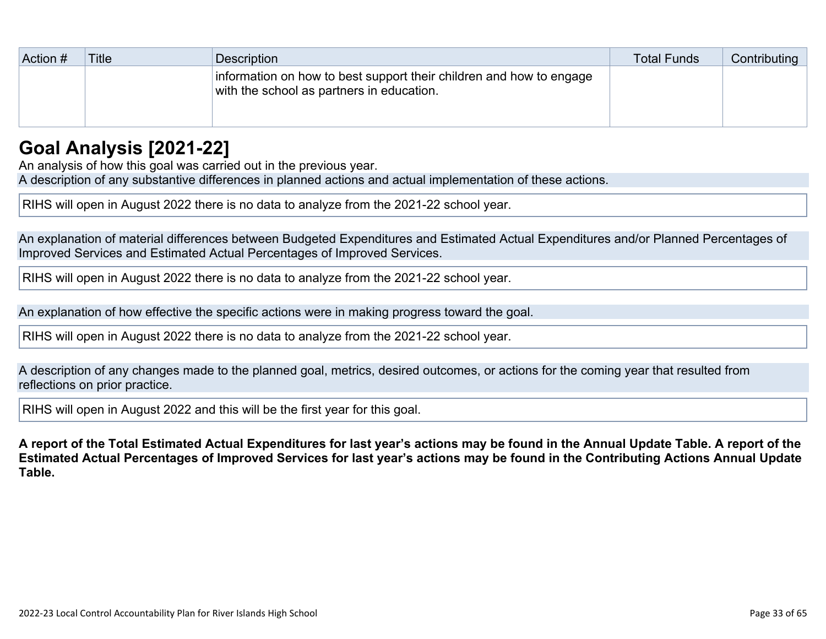| Action # | <b>Title</b> | <b>Description</b>                                                                                               | <b>Total Funds</b> | Contributing |
|----------|--------------|------------------------------------------------------------------------------------------------------------------|--------------------|--------------|
|          |              | information on how to best support their children and how to engage<br>with the school as partners in education. |                    |              |
|          |              |                                                                                                                  |                    |              |

## **[Goal Analysis \[2021-22\]](http://www.doc-tracking.com/screenshots/22LCAP/Instructions/22LCAPInstructions.htm#GoalAnalysis)**

An analysis of how this goal was carried out in the previous year. A description of any substantive differences in planned actions and actual implementation of these actions.

RIHS will open in August 2022 there is no data to analyze from the 2021-22 school year.

An explanation of material differences between Budgeted Expenditures and Estimated Actual Expenditures and/or Planned Percentages of Improved Services and Estimated Actual Percentages of Improved Services.

RIHS will open in August 2022 there is no data to analyze from the 2021-22 school year.

An explanation of how effective the specific actions were in making progress toward the goal.

RIHS will open in August 2022 there is no data to analyze from the 2021-22 school year.

A description of any changes made to the planned goal, metrics, desired outcomes, or actions for the coming year that resulted from reflections on prior practice.

RIHS will open in August 2022 and this will be the first year for this goal.

**A report of the Total Estimated Actual Expenditures for last year's actions may be found in the Annual Update Table. A report of the Estimated Actual Percentages of Improved Services for last year's actions may be found in the Contributing Actions Annual Update Table.**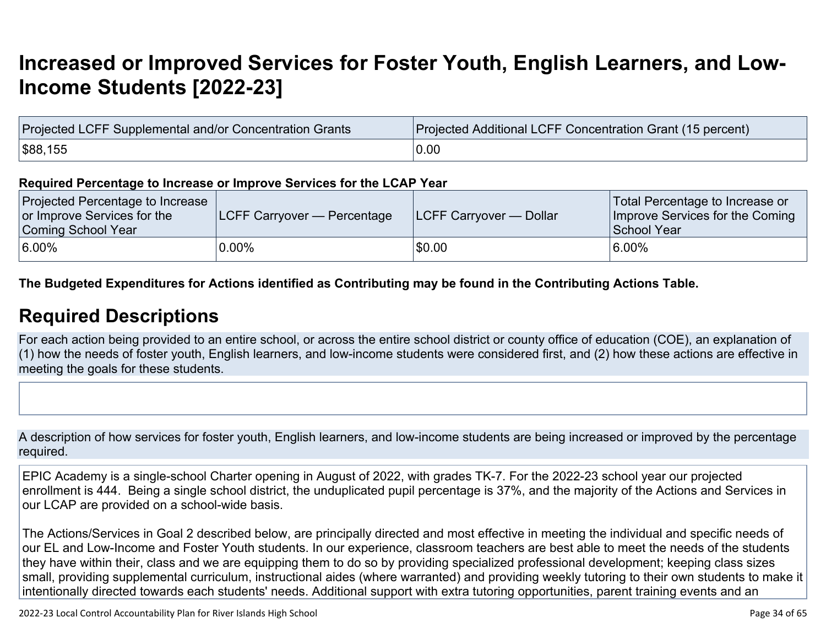# **[Increased or Improved Services for Foster Youth, English Learners, and Low-](http://www.doc-tracking.com/screenshots/22LCAP/Instructions/22LCAPInstructions.htm#IncreasedImprovedServices)[Income Students \[2022-23\]](http://www.doc-tracking.com/screenshots/22LCAP/Instructions/22LCAPInstructions.htm#IncreasedImprovedServices)**

| Projected LCFF Supplemental and/or Concentration Grants | Projected Additional LCFF Concentration Grant (15 percent) |
|---------------------------------------------------------|------------------------------------------------------------|
| \$88,155                                                | 0.00                                                       |

#### **Required Percentage to Increase or Improve Services for the LCAP Year**

| Projected Percentage to Increase<br>or Improve Services for the<br>Coming School Year | <b>ILCFF Carryover — Percentage</b> | <b>ILCFF Carryover — Dollar</b> | Total Percentage to Increase or<br>Improve Services for the Coming<br>School Year |
|---------------------------------------------------------------------------------------|-------------------------------------|---------------------------------|-----------------------------------------------------------------------------------|
| $6.00\%$                                                                              | $0.00\%$                            | \$0.00                          | 6.00%                                                                             |

**The Budgeted Expenditures for Actions identified as Contributing may be found in the Contributing Actions Table.**

### **[Required Descriptions](http://www.doc-tracking.com/screenshots/22LCAP/Instructions/22LCAPInstructions.htm#RequiredDescriptions)**

For each action being provided to an entire school, or across the entire school district or county office of education (COE), an explanation of (1) how the needs of foster youth, English learners, and low-income students were considered first, and (2) how these actions are effective in meeting the goals for these students.

A description of how services for foster youth, English learners, and low-income students are being increased or improved by the percentage required.

EPIC Academy is a single-school Charter opening in August of 2022, with grades TK-7. For the 2022-23 school year our projected enrollment is 444. Being a single school district, the unduplicated pupil percentage is 37%, and the majority of the Actions and Services in our LCAP are provided on a school-wide basis.

The Actions/Services in Goal 2 described below, are principally directed and most effective in meeting the individual and specific needs of our EL and Low-Income and Foster Youth students. In our experience, classroom teachers are best able to meet the needs of the students they have within their, class and we are equipping them to do so by providing specialized professional development; keeping class sizes small, providing supplemental curriculum, instructional aides (where warranted) and providing weekly tutoring to their own students to make it intentionally directed towards each students' needs. Additional support with extra tutoring opportunities, parent training events and an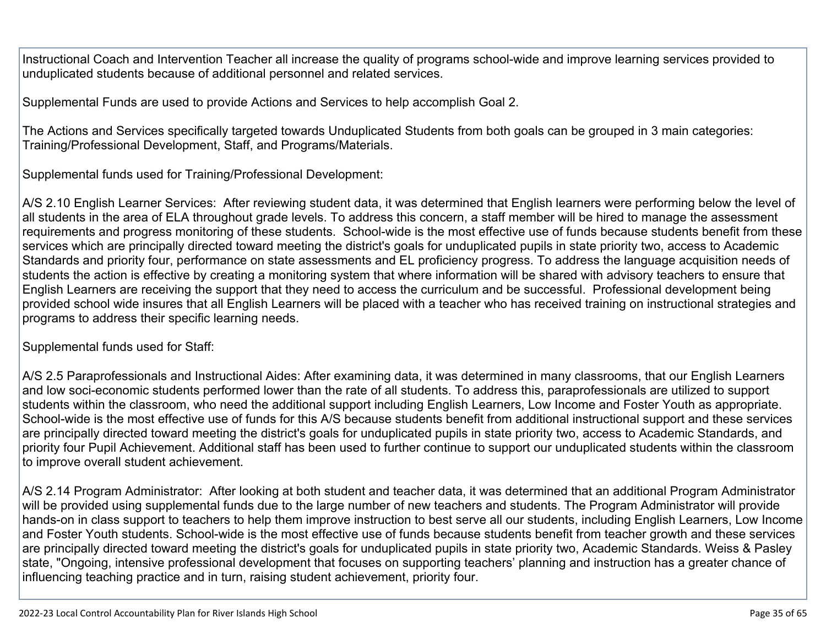Instructional Coach and Intervention Teacher all increase the quality of programs school-wide and improve learning services provided to unduplicated students because of additional personnel and related services.

Supplemental Funds are used to provide Actions and Services to help accomplish Goal 2.

The Actions and Services specifically targeted towards Unduplicated Students from both goals can be grouped in 3 main categories: Training/Professional Development, Staff, and Programs/Materials.

Supplemental funds used for Training/Professional Development:

A/S 2.10 English Learner Services: After reviewing student data, it was determined that English learners were performing below the level of all students in the area of ELA throughout grade levels. To address this concern, a staff member will be hired to manage the assessment requirements and progress monitoring of these students. School-wide is the most effective use of funds because students benefit from these services which are principally directed toward meeting the district's goals for unduplicated pupils in state priority two, access to Academic Standards and priority four, performance on state assessments and EL proficiency progress. To address the language acquisition needs of students the action is effective by creating a monitoring system that where information will be shared with advisory teachers to ensure that English Learners are receiving the support that they need to access the curriculum and be successful. Professional development being provided school wide insures that all English Learners will be placed with a teacher who has received training on instructional strategies and programs to address their specific learning needs.

Supplemental funds used for Staff:

A/S 2.5 Paraprofessionals and Instructional Aides: After examining data, it was determined in many classrooms, that our English Learners and low soci-economic students performed lower than the rate of all students. To address this, paraprofessionals are utilized to support students within the classroom, who need the additional support including English Learners, Low Income and Foster Youth as appropriate. School-wide is the most effective use of funds for this A/S because students benefit from additional instructional support and these services are principally directed toward meeting the district's goals for unduplicated pupils in state priority two, access to Academic Standards, and priority four Pupil Achievement. Additional staff has been used to further continue to support our unduplicated students within the classroom to improve overall student achievement.

A/S 2.14 Program Administrator: After looking at both student and teacher data, it was determined that an additional Program Administrator will be provided using supplemental funds due to the large number of new teachers and students. The Program Administrator will provide hands-on in class support to teachers to help them improve instruction to best serve all our students, including English Learners, Low Income and Foster Youth students. School-wide is the most effective use of funds because students benefit from teacher growth and these services are principally directed toward meeting the district's goals for unduplicated pupils in state priority two, Academic Standards. Weiss & Pasley state, "Ongoing, intensive professional development that focuses on supporting teachers' planning and instruction has a greater chance of influencing teaching practice and in turn, raising student achievement, priority four.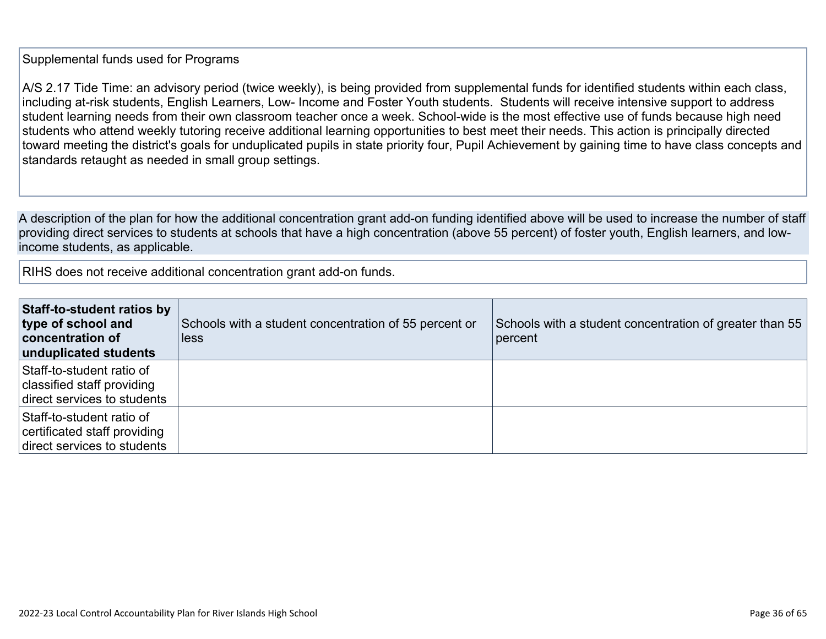#### Supplemental funds used for Programs

A/S 2.17 Tide Time: an advisory period (twice weekly), is being provided from supplemental funds for identified students within each class, including at-risk students, English Learners, Low- Income and Foster Youth students. Students will receive intensive support to address student learning needs from their own classroom teacher once a week. School-wide is the most effective use of funds because high need students who attend weekly tutoring receive additional learning opportunities to best meet their needs. This action is principally directed toward meeting the district's goals for unduplicated pupils in state priority four, Pupil Achievement by gaining time to have class concepts and standards retaught as needed in small group settings.

A description of the plan for how the additional concentration grant add-on funding identified above will be used to increase the number of staff providing direct services to students at schools that have a high concentration (above 55 percent) of foster youth, English learners, and lowincome students, as applicable.

RIHS does not receive additional concentration grant add-on funds.

| Staff-to-student ratios by<br>type of school and<br>concentration of<br>unduplicated students | Schools with a student concentration of 55 percent or<br>less | Schools with a student concentration of greater than 55<br>percent |
|-----------------------------------------------------------------------------------------------|---------------------------------------------------------------|--------------------------------------------------------------------|
| Staff-to-student ratio of<br>classified staff providing<br>direct services to students        |                                                               |                                                                    |
| Staff-to-student ratio of<br>certificated staff providing<br>direct services to students      |                                                               |                                                                    |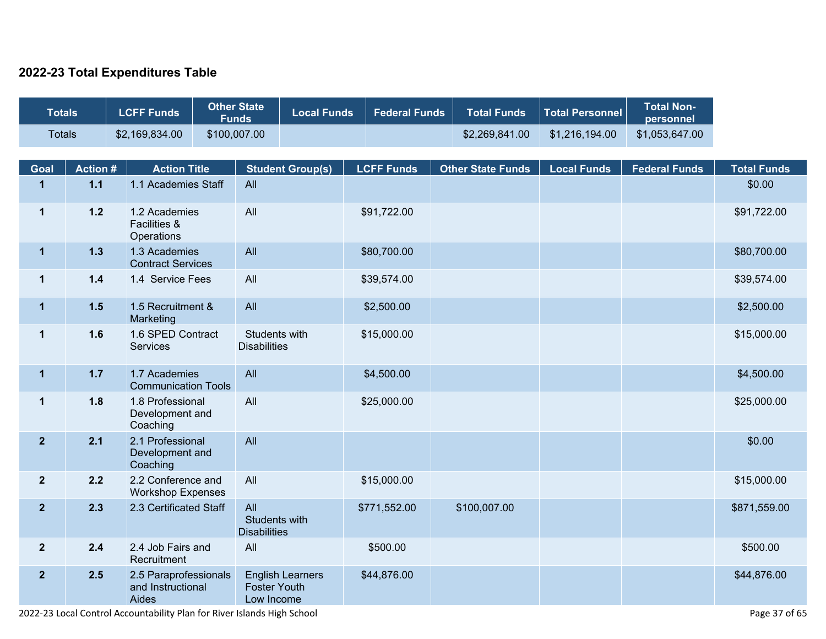### **2022-23 Total Expenditures Table**

| <b>Totals</b>        |                         | <b>LCFF Funds</b>                                   | <b>Other State</b><br><b>Funds</b> |                                                              | <b>Local Funds</b> | <b>Federal Funds</b> | <b>Total Funds</b>       | <b>Total Personnel</b> | <b>Total Non-</b><br>personnel |                              |
|----------------------|-------------------------|-----------------------------------------------------|------------------------------------|--------------------------------------------------------------|--------------------|----------------------|--------------------------|------------------------|--------------------------------|------------------------------|
| <b>Totals</b>        |                         | \$2,169,834.00                                      | \$100,007.00                       |                                                              |                    |                      | \$2,269,841.00           | \$1,216,194.00         | \$1,053,647.00                 |                              |
|                      |                         |                                                     |                                    |                                                              |                    |                      |                          |                        |                                |                              |
| Goal<br>$\mathbf{1}$ | <b>Action#</b><br>$1.1$ | <b>Action Title</b><br>1.1 Academies Staff          |                                    | <b>Student Group(s)</b><br>All                               |                    | <b>LCFF Funds</b>    | <b>Other State Funds</b> | <b>Local Funds</b>     | <b>Federal Funds</b>           | <b>Total Funds</b><br>\$0.00 |
|                      |                         |                                                     |                                    |                                                              |                    |                      |                          |                        |                                |                              |
| $\mathbf 1$          | $1.2$                   | 1.2 Academies<br>Facilities &<br>Operations         |                                    | All                                                          |                    | \$91,722.00          |                          |                        |                                | \$91,722.00                  |
| $\mathbf{1}$         | $1.3$                   | 1.3 Academies<br><b>Contract Services</b>           |                                    | All                                                          |                    | \$80,700.00          |                          |                        |                                | \$80,700.00                  |
| $\mathbf 1$          | $1.4$                   | 1.4 Service Fees                                    |                                    | All                                                          |                    | \$39,574.00          |                          |                        |                                | \$39,574.00                  |
| $\mathbf{1}$         | $1.5$                   | 1.5 Recruitment &<br>Marketing                      |                                    | All                                                          |                    | \$2,500.00           |                          |                        |                                | \$2,500.00                   |
| $\mathbf{1}$         | 1.6                     | 1.6 SPED Contract<br><b>Services</b>                |                                    | Students with<br><b>Disabilities</b>                         |                    | \$15,000.00          |                          |                        |                                | \$15,000.00                  |
| $\mathbf{1}$         | $1.7$                   | 1.7 Academies<br><b>Communication Tools</b>         |                                    | All                                                          |                    | \$4,500.00           |                          |                        |                                | \$4,500.00                   |
| $\mathbf 1$          | 1.8                     | 1.8 Professional<br>Development and<br>Coaching     |                                    | All                                                          |                    | \$25,000.00          |                          |                        |                                | \$25,000.00                  |
| $\overline{2}$       | 2.1                     | 2.1 Professional<br>Development and<br>Coaching     |                                    | All                                                          |                    |                      |                          |                        |                                | \$0.00                       |
| $\mathbf{2}$         | 2.2                     | 2.2 Conference and<br><b>Workshop Expenses</b>      |                                    | All                                                          |                    | \$15,000.00          |                          |                        |                                | \$15,000.00                  |
| $\mathbf{2}$         | 2.3                     | 2.3 Certificated Staff                              |                                    | All<br>Students with<br><b>Disabilities</b>                  |                    | \$771,552.00         | \$100,007.00             |                        |                                | \$871,559.00                 |
| $\overline{2}$       | 2.4                     | 2.4 Job Fairs and<br>Recruitment                    |                                    | All                                                          |                    | \$500.00             |                          |                        |                                | \$500.00                     |
| $\mathbf{2}$         | 2.5                     | 2.5 Paraprofessionals<br>and Instructional<br>Aides |                                    | <b>English Learners</b><br><b>Foster Youth</b><br>Low Income |                    | \$44,876.00          |                          |                        |                                | \$44,876.00                  |

2022-23 Local Control Accountability Plan for River Islands High School Page 37 of 65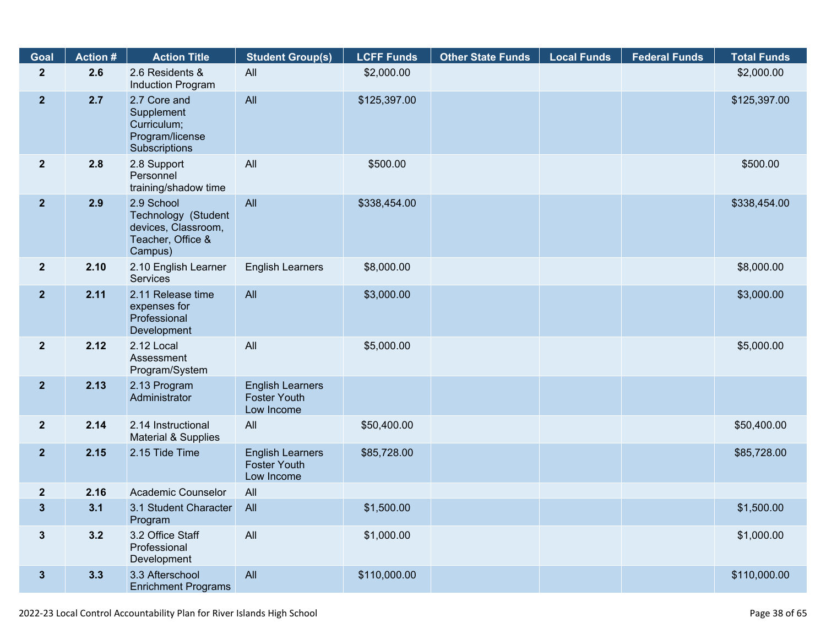| Goal                    | <b>Action #</b> | <b>Action Title</b>                                                                      | <b>Student Group(s)</b>                                      | <b>LCFF Funds</b> | <b>Other State Funds</b> | <b>Local Funds</b> | <b>Federal Funds</b> | <b>Total Funds</b> |
|-------------------------|-----------------|------------------------------------------------------------------------------------------|--------------------------------------------------------------|-------------------|--------------------------|--------------------|----------------------|--------------------|
| $\overline{2}$          | 2.6             | 2.6 Residents &<br>Induction Program                                                     | All                                                          | \$2,000.00        |                          |                    |                      | \$2,000.00         |
| $\overline{2}$          | 2.7             | 2.7 Core and<br>Supplement<br>Curriculum;<br>Program/license<br>Subscriptions            | All                                                          | \$125,397.00      |                          |                    |                      | \$125,397.00       |
| $\overline{2}$          | 2.8             | 2.8 Support<br>Personnel<br>training/shadow time                                         | All                                                          | \$500.00          |                          |                    |                      | \$500.00           |
| 2 <sup>2</sup>          | 2.9             | 2.9 School<br>Technology (Student<br>devices, Classroom,<br>Teacher, Office &<br>Campus) | All                                                          | \$338,454.00      |                          |                    |                      | \$338,454.00       |
| 2 <sup>2</sup>          | 2.10            | 2.10 English Learner<br><b>Services</b>                                                  | <b>English Learners</b>                                      | \$8,000.00        |                          |                    |                      | \$8,000.00         |
| 2 <sup>1</sup>          | 2.11            | 2.11 Release time<br>expenses for<br>Professional<br>Development                         | All                                                          | \$3,000.00        |                          |                    |                      | \$3,000.00         |
| $\overline{2}$          | 2.12            | 2.12 Local<br>Assessment<br>Program/System                                               | All                                                          | \$5,000.00        |                          |                    |                      | \$5,000.00         |
| 2 <sub>2</sub>          | 2.13            | 2.13 Program<br>Administrator                                                            | <b>English Learners</b><br><b>Foster Youth</b><br>Low Income |                   |                          |                    |                      |                    |
| 2 <sup>1</sup>          | 2.14            | 2.14 Instructional<br>Material & Supplies                                                | All                                                          | \$50,400.00       |                          |                    |                      | \$50,400.00        |
| 2 <sup>2</sup>          | 2.15            | 2.15 Tide Time                                                                           | <b>English Learners</b><br><b>Foster Youth</b><br>Low Income | \$85,728.00       |                          |                    |                      | \$85,728.00        |
| $\overline{\mathbf{2}}$ | 2.16            | <b>Academic Counselor</b>                                                                | All                                                          |                   |                          |                    |                      |                    |
| $\mathbf{3}$            | 3.1             | 3.1 Student Character<br>Program                                                         | All                                                          | \$1,500.00        |                          |                    |                      | \$1,500.00         |
| $\mathbf{3}$            | 3.2             | 3.2 Office Staff<br>Professional<br>Development                                          | All                                                          | \$1,000.00        |                          |                    |                      | \$1,000.00         |
| $\mathbf{3}$            | 3.3             | 3.3 Afterschool<br><b>Enrichment Programs</b>                                            | All                                                          | \$110,000.00      |                          |                    |                      | \$110,000.00       |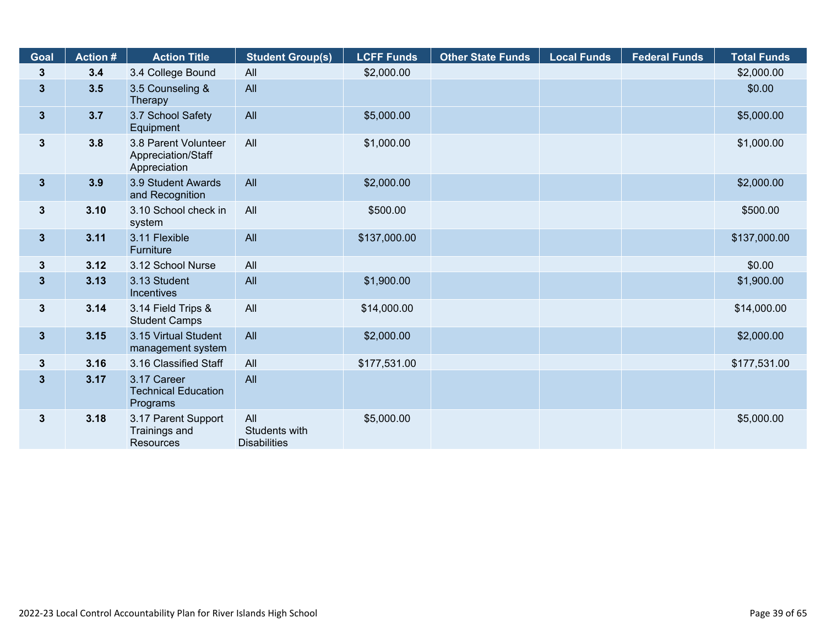| Goal                    | <b>Action#</b> | <b>Action Title</b>                                        | <b>Student Group(s)</b>                     | <b>LCFF Funds</b> | <b>Other State Funds</b> | <b>Local Funds</b> | <b>Federal Funds</b> | <b>Total Funds</b> |
|-------------------------|----------------|------------------------------------------------------------|---------------------------------------------|-------------------|--------------------------|--------------------|----------------------|--------------------|
| 3                       | 3.4            | 3.4 College Bound                                          | All                                         | \$2,000.00        |                          |                    |                      | \$2,000.00         |
| $\mathbf{3}$            | 3.5            | 3.5 Counseling &<br>Therapy                                | All                                         |                   |                          |                    |                      | \$0.00             |
| 3 <sup>5</sup>          | 3.7            | 3.7 School Safety<br>Equipment                             | All                                         | \$5,000.00        |                          |                    |                      | \$5,000.00         |
| $\mathbf{3}$            | 3.8            | 3.8 Parent Volunteer<br>Appreciation/Staff<br>Appreciation | All                                         | \$1,000.00        |                          |                    |                      | \$1,000.00         |
| 3 <sup>1</sup>          | 3.9            | 3.9 Student Awards<br>and Recognition                      | All                                         | \$2,000.00        |                          |                    |                      | \$2,000.00         |
| $3\phantom{a}$          | 3.10           | 3.10 School check in<br>system                             | All                                         | \$500.00          |                          |                    |                      | \$500.00           |
| $\overline{\mathbf{3}}$ | 3.11           | 3.11 Flexible<br>Furniture                                 | All                                         | \$137,000.00      |                          |                    |                      | \$137,000.00       |
| 3                       | 3.12           | 3.12 School Nurse                                          | All                                         |                   |                          |                    |                      | \$0.00             |
| $\mathbf{3}$            | 3.13           | 3.13 Student<br>Incentives                                 | All                                         | \$1,900.00        |                          |                    |                      | \$1,900.00         |
| 3                       | 3.14           | 3.14 Field Trips &<br><b>Student Camps</b>                 | All                                         | \$14,000.00       |                          |                    |                      | \$14,000.00        |
| 3 <sup>1</sup>          | 3.15           | 3.15 Virtual Student<br>management system                  | All                                         | \$2,000.00        |                          |                    |                      | \$2,000.00         |
| $\mathbf{3}$            | 3.16           | 3.16 Classified Staff                                      | All                                         | \$177,531.00      |                          |                    |                      | \$177,531.00       |
| $\overline{\mathbf{3}}$ | 3.17           | 3.17 Career<br><b>Technical Education</b><br>Programs      | All                                         |                   |                          |                    |                      |                    |
| $\mathbf{3}$            | 3.18           | 3.17 Parent Support<br>Trainings and<br>Resources          | All<br>Students with<br><b>Disabilities</b> | \$5,000.00        |                          |                    |                      | \$5,000.00         |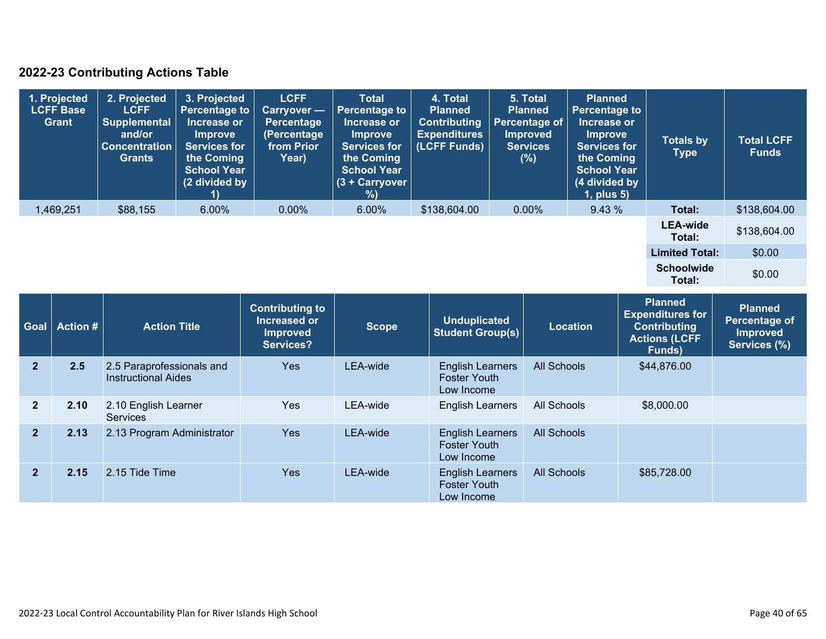### **2022-23 Contributing Actions Table**

| 1. Projected<br><b>LCFF Base</b><br>Grant | 2. Projected<br><b>LCFF</b><br>Supplemental<br>and/or<br><b>Concentration</b><br><b>Grants</b> | 3. Projected<br>Percentage to<br>Increase or<br><b>Improve</b><br><b>Services for</b><br>the Coming<br><b>School Year</b><br>(2 divided by | <b>LCFF</b><br><b>Carryover</b> —<br>Percentage<br>(Percentage<br>from Prior<br>Year) | <b>Total</b><br><b>Percentage to</b><br>Increase or<br><b>Improve</b><br><b>Services for</b><br>the Coming<br><b>School Year</b><br>(3 + Carryover<br>$\%$ | 4. Total<br><b>Planned</b><br><b>Contributing</b><br><b>Expenditures</b><br>(LCFF Funds) | 5. Total<br><b>Planned</b><br>Percentage of<br><b>Improved</b><br><b>Services</b><br>(%) | <b>Planned</b><br><b>Percentage to</b><br>Increase or<br><b>Improve</b><br><b>Services for</b><br>the Coming<br><b>School Year</b><br>(4 divided by<br>$1$ , plus $5$ ) | <b>Totals by</b><br><b>Type</b> | <b>Total LCFF</b><br><b>Funds</b> |
|-------------------------------------------|------------------------------------------------------------------------------------------------|--------------------------------------------------------------------------------------------------------------------------------------------|---------------------------------------------------------------------------------------|------------------------------------------------------------------------------------------------------------------------------------------------------------|------------------------------------------------------------------------------------------|------------------------------------------------------------------------------------------|-------------------------------------------------------------------------------------------------------------------------------------------------------------------------|---------------------------------|-----------------------------------|
| 1,469,251                                 | \$88,155                                                                                       | $6.00\%$                                                                                                                                   | $0.00\%$                                                                              | 6.00%                                                                                                                                                      | \$138,604.00                                                                             | $0.00\%$                                                                                 | 9.43%                                                                                                                                                                   | Total:                          | \$138,604.00                      |
|                                           |                                                                                                |                                                                                                                                            |                                                                                       |                                                                                                                                                            |                                                                                          |                                                                                          |                                                                                                                                                                         | <b>LEA-wide</b><br>Total:       | \$138,604.00                      |
|                                           |                                                                                                |                                                                                                                                            |                                                                                       |                                                                                                                                                            |                                                                                          |                                                                                          |                                                                                                                                                                         | <b>Limited Total:</b>           | \$0.00                            |
|                                           |                                                                                                |                                                                                                                                            |                                                                                       |                                                                                                                                                            |                                                                                          |                                                                                          |                                                                                                                                                                         | <b>Schoolwide</b><br>Total:     | \$0.00                            |

| Goal           | Action # | <b>Action Title</b>                                     | <b>Contributing to</b><br>Increased or<br><b>Improved</b><br>Services? | <b>Scope</b> | <b>Unduplicated</b><br><b>Student Group(s)</b>               | <b>Location</b>    | Planned<br><b>Expenditures for</b><br><b>Contributing</b><br><b>Actions (LCFF</b><br><b>Funds</b> ) | <b>Planned</b><br>Percentage of<br><b>Improved</b><br>Services (%) |
|----------------|----------|---------------------------------------------------------|------------------------------------------------------------------------|--------------|--------------------------------------------------------------|--------------------|-----------------------------------------------------------------------------------------------------|--------------------------------------------------------------------|
| $\overline{2}$ | 2.5      | 2.5 Paraprofessionals and<br><b>Instructional Aides</b> | Yes                                                                    | LEA-wide     | <b>English Learners</b><br><b>Foster Youth</b><br>Low Income | All Schools        | \$44,876.00                                                                                         |                                                                    |
| $\overline{2}$ | 2.10     | 2.10 English Learner<br><b>Services</b>                 | <b>Yes</b>                                                             | LEA-wide     | <b>English Learners</b>                                      | All Schools        | \$8,000.00                                                                                          |                                                                    |
| $\overline{2}$ | 2.13     | 2.13 Program Administrator                              | <b>Yes</b>                                                             | LEA-wide     | <b>English Learners</b><br><b>Foster Youth</b><br>Low Income | <b>All Schools</b> |                                                                                                     |                                                                    |
| $\overline{2}$ | 2.15     | 2.15 Tide Time                                          | <b>Yes</b>                                                             | LEA-wide     | <b>English Learners</b><br><b>Foster Youth</b><br>Low Income | <b>All Schools</b> | \$85,728.00                                                                                         |                                                                    |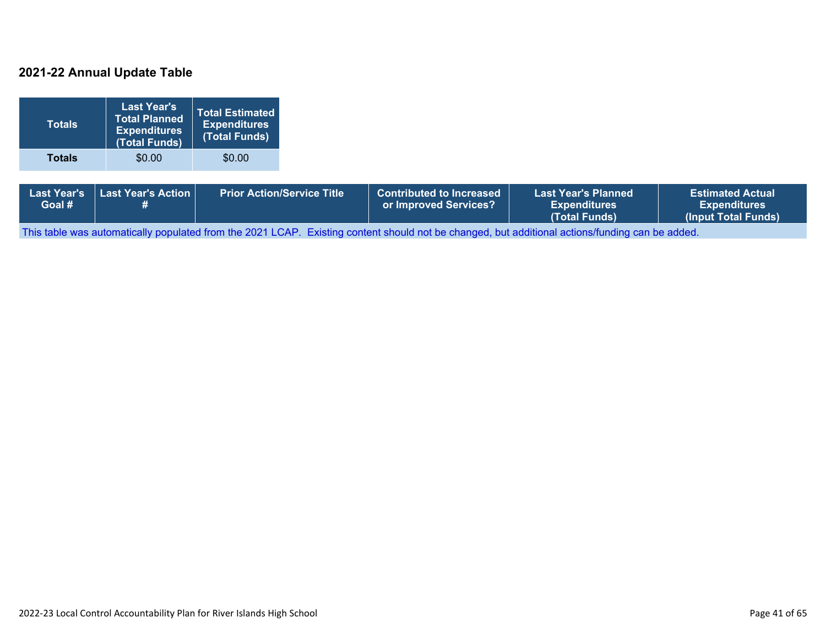#### **2021-22 Annual Update Table**

| <b>Totals</b>                | <b>Last Year's</b><br><b>Total Planned</b><br><b>Expenditures</b><br>(Total Funds) | <b>Total Estimated</b><br><b>Expenditures</b><br>(Total Funds) |                                   |                                                          |                                                                    |                                                                       |
|------------------------------|------------------------------------------------------------------------------------|----------------------------------------------------------------|-----------------------------------|----------------------------------------------------------|--------------------------------------------------------------------|-----------------------------------------------------------------------|
| <b>Totals</b>                | \$0.00                                                                             | \$0.00                                                         |                                   |                                                          |                                                                    |                                                                       |
| <b>Last Year's</b><br>Goal # | Last Year's Action<br>#                                                            |                                                                | <b>Prior Action/Service Title</b> | <b>Contributed to Increased</b><br>or Improved Services? | <b>Last Year's Planned</b><br><b>Expenditures</b><br>(Total Funds) | <b>Estimated Actual</b><br><b>Expenditures</b><br>(Input Total Funds) |

This table was automatically populated from the 2021 LCAP. Existing content should not be changed, but additional actions/funding can be added.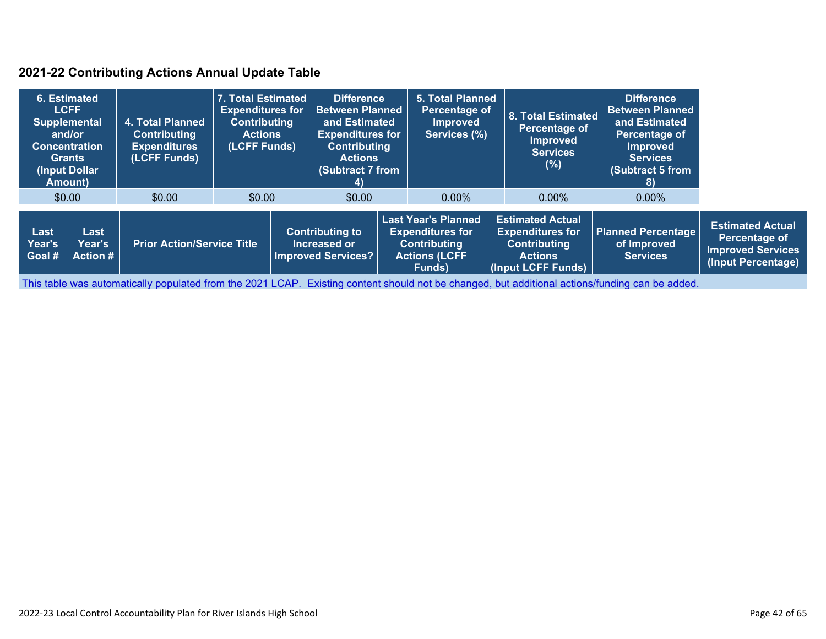#### **2021-22 Contributing Actions Annual Update Table**

|                                        | 6. Estimated<br><b>LCFF</b><br><b>Supplemental</b><br>and/or<br><b>Concentration</b><br><b>Grants</b><br>(Input Dollar)<br>Amount) | 4. Total Planned<br><b>Contributing</b><br><b>Expenditures</b><br>(LCFF Funds) | 7. Total Estimated<br><b>Expenditures for</b><br><b>Contributing</b><br><b>Actions</b><br>(LCFF Funds) |                                                                     | <b>Difference</b><br><b>Between Planned</b><br>and Estimated<br><b>Expenditures for</b><br><b>Contributing</b><br><b>Actions</b><br>(Subtract 7 from<br>4) |                                                                                                                | <b>5. Total Planned</b><br>Percentage of<br><b>Improved</b><br>Services (%) | <b>8. Total Estimated</b><br>Percentage of<br>Improved<br><b>Services</b><br>(%)                                  | <b>Difference</b><br><b>Between Planned</b><br>and Estimated<br>Percentage of<br><b>Improved</b><br><b>Services</b><br>(Subtract 5 from<br>8) |                                                                                            |
|----------------------------------------|------------------------------------------------------------------------------------------------------------------------------------|--------------------------------------------------------------------------------|--------------------------------------------------------------------------------------------------------|---------------------------------------------------------------------|------------------------------------------------------------------------------------------------------------------------------------------------------------|----------------------------------------------------------------------------------------------------------------|-----------------------------------------------------------------------------|-------------------------------------------------------------------------------------------------------------------|-----------------------------------------------------------------------------------------------------------------------------------------------|--------------------------------------------------------------------------------------------|
|                                        | \$0.00                                                                                                                             | \$0.00                                                                         | \$0.00                                                                                                 |                                                                     | \$0.00                                                                                                                                                     |                                                                                                                | $0.00\%$                                                                    | $0.00\%$                                                                                                          | $0.00\%$                                                                                                                                      |                                                                                            |
| Last<br>Year's<br>∣Goal # <sup>∣</sup> | Last<br><b>Year's</b><br><b>Action #</b>                                                                                           | <b>Prior Action/Service Title</b>                                              |                                                                                                        | <b>Contributing to</b><br>Increased or<br><b>Improved Services?</b> |                                                                                                                                                            | <b>Last Year's Planned</b><br><b>Expenditures for</b><br><b>Contributing</b><br><b>Actions (LCFF</b><br>Funds) |                                                                             | <b>Estimated Actual</b><br><b>Expenditures for</b><br><b>Contributing</b><br><b>Actions</b><br>(Input LCFF Funds) | <b>Planned Percentage</b><br>of Improved<br><b>Services</b>                                                                                   | <b>Estimated Actual</b><br>Percentage of<br><b>Improved Services</b><br>(Input Percentage) |

This table was automatically populated from the 2021 LCAP. Existing content should not be changed, but additional actions/funding can be added.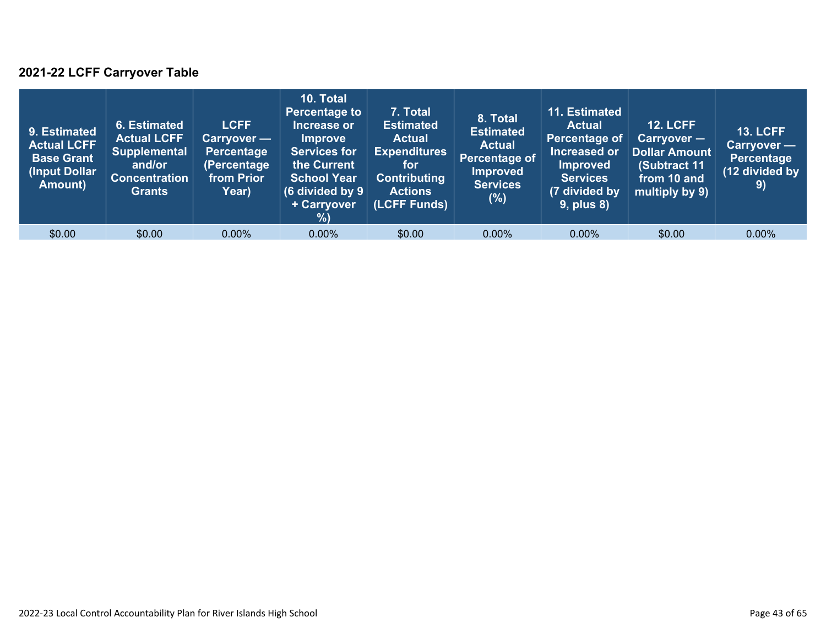### **2021-22 LCFF Carryover Table**

| 9. Estimated<br><b>Actual LCFF</b><br><b>Base Grant</b><br>(Input Dollar <sup>)</sup><br>Amount) | 6. Estimated<br><b>Actual LCFF</b><br><b>Supplemental</b><br>and/or<br><b>Concentration</b><br><b>Grants</b> | <b>LCFF</b><br>Carryover —<br>Percentage<br>(Percentage<br>from Prior<br>Year) | 10. Total<br><b>Percentage to</b><br>Increase or<br><b>Improve</b><br><b>Services for</b><br>the Current<br><b>School Year</b><br>(6 divided by $9$ $ $<br>+ Carryover<br>%) | 7. Total<br><b>Estimated</b><br><b>Actual</b><br><b>Expenditures</b><br>for<br><b>Contributing</b><br><b>Actions</b><br>(LCFF Funds) | 8. Total<br><b>Estimated</b><br><b>Actual</b><br><b>Percentage of</b><br><b>Improved</b><br><b>Services</b><br>(%) | 11. Estimated<br><b>Actual</b><br>Percentage of<br>Increased or<br><b>Improved</b><br><b>Services</b><br>(7 divided by<br><b>9, plus 8)</b> | <b>12. LCFF</b><br>Carryover -<br>Dollar Amount<br>(Subtract 11<br>from 10 and<br>multiply by 9) | <b>13. LCFF</b><br><b>Carryover -</b><br><b>Percentage</b><br>(12 divided by<br>9) |
|--------------------------------------------------------------------------------------------------|--------------------------------------------------------------------------------------------------------------|--------------------------------------------------------------------------------|------------------------------------------------------------------------------------------------------------------------------------------------------------------------------|--------------------------------------------------------------------------------------------------------------------------------------|--------------------------------------------------------------------------------------------------------------------|---------------------------------------------------------------------------------------------------------------------------------------------|--------------------------------------------------------------------------------------------------|------------------------------------------------------------------------------------|
| \$0.00                                                                                           | \$0.00                                                                                                       | $0.00\%$                                                                       | $0.00\%$                                                                                                                                                                     | \$0.00                                                                                                                               | $0.00\%$                                                                                                           | $0.00\%$                                                                                                                                    | \$0.00                                                                                           | $0.00\%$                                                                           |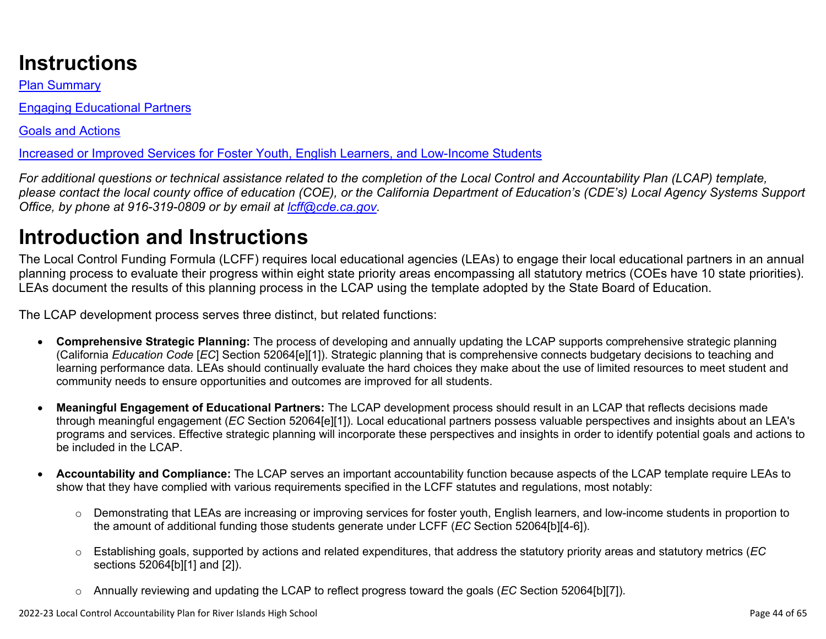# **Instructions**

Plan Summary

Engaging Educational Partners

Goals and Actions

Increased or Improved Services for Foster Youth, English Learners, and Low-Income Students

*For additional questions or technical assistance related to the completion of the Local Control and Accountability Plan (LCAP) template, please contact the local county office of education (COE), or the California Department of Education's (CDE's) Local Agency Systems Support Office, by phone at 916-319-0809 or by email at [lcff@cde.ca.gov](mailto:lcff@cde.ca.gov).*

# **Introduction and Instructions**

The Local Control Funding Formula (LCFF) requires local educational agencies (LEAs) to engage their local educational partners in an annual planning process to evaluate their progress within eight state priority areas encompassing all statutory metrics (COEs have 10 state priorities). LEAs document the results of this planning process in the LCAP using the template adopted by the State Board of Education.

The LCAP development process serves three distinct, but related functions:

- **Comprehensive Strategic Planning:** The process of developing and annually updating the LCAP supports comprehensive strategic planning (California *Education Code* [*EC*] Section 52064[e][1]). Strategic planning that is comprehensive connects budgetary decisions to teaching and learning performance data. LEAs should continually evaluate the hard choices they make about the use of limited resources to meet student and community needs to ensure opportunities and outcomes are improved for all students.
- **Meaningful Engagement of Educational Partners:** The LCAP development process should result in an LCAP that reflects decisions made through meaningful engagement (*EC* Section 52064[e][1]). Local educational partners possess valuable perspectives and insights about an LEA's programs and services. Effective strategic planning will incorporate these perspectives and insights in order to identify potential goals and actions to be included in the LCAP.
- **Accountability and Compliance:** The LCAP serves an important accountability function because aspects of the LCAP template require LEAs to show that they have complied with various requirements specified in the LCFF statutes and regulations, most notably:
	- o Demonstrating that LEAs are increasing or improving services for foster youth, English learners, and low-income students in proportion to the amount of additional funding those students generate under LCFF (*EC* Section 52064[b][4-6]).
	- o Establishing goals, supported by actions and related expenditures, that address the statutory priority areas and statutory metrics (*EC* sections 52064[b][1] and [2]).
	- o Annually reviewing and updating the LCAP to reflect progress toward the goals (*EC* Section 52064[b][7]).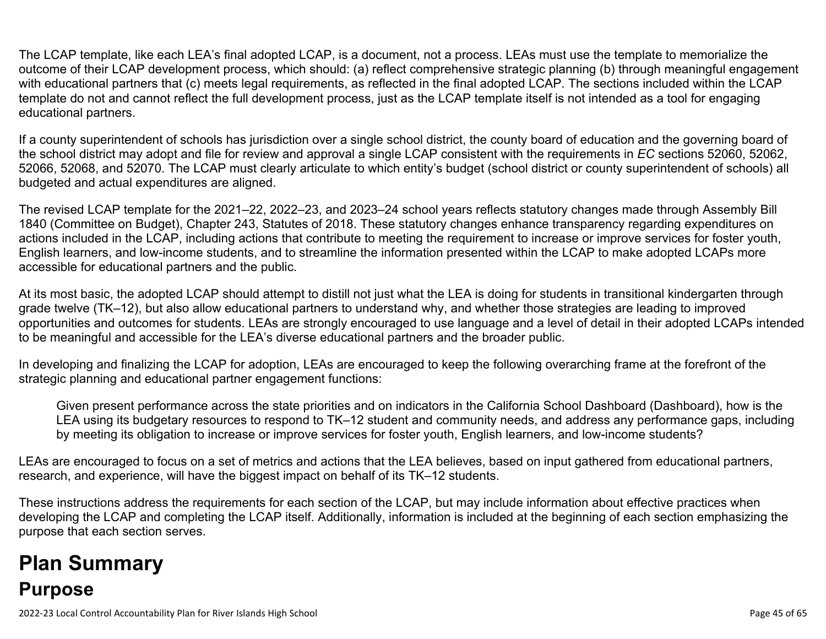The LCAP template, like each LEA's final adopted LCAP, is a document, not a process. LEAs must use the template to memorialize the outcome of their LCAP development process, which should: (a) reflect comprehensive strategic planning (b) through meaningful engagement with educational partners that (c) meets legal requirements, as reflected in the final adopted LCAP. The sections included within the LCAP template do not and cannot reflect the full development process, just as the LCAP template itself is not intended as a tool for engaging educational partners.

If a county superintendent of schools has jurisdiction over a single school district, the county board of education and the governing board of the school district may adopt and file for review and approval a single LCAP consistent with the requirements in *EC* sections 52060, 52062, 52066, 52068, and 52070. The LCAP must clearly articulate to which entity's budget (school district or county superintendent of schools) all budgeted and actual expenditures are aligned.

The revised LCAP template for the 2021–22, 2022–23, and 2023–24 school years reflects statutory changes made through Assembly Bill 1840 (Committee on Budget), Chapter 243, Statutes of 2018. These statutory changes enhance transparency regarding expenditures on actions included in the LCAP, including actions that contribute to meeting the requirement to increase or improve services for foster youth, English learners, and low-income students, and to streamline the information presented within the LCAP to make adopted LCAPs more accessible for educational partners and the public.

At its most basic, the adopted LCAP should attempt to distill not just what the LEA is doing for students in transitional kindergarten through grade twelve (TK–12), but also allow educational partners to understand why, and whether those strategies are leading to improved opportunities and outcomes for students. LEAs are strongly encouraged to use language and a level of detail in their adopted LCAPs intended to be meaningful and accessible for the LEA's diverse educational partners and the broader public.

In developing and finalizing the LCAP for adoption, LEAs are encouraged to keep the following overarching frame at the forefront of the strategic planning and educational partner engagement functions:

Given present performance across the state priorities and on indicators in the California School Dashboard (Dashboard), how is the LEA using its budgetary resources to respond to TK–12 student and community needs, and address any performance gaps, including by meeting its obligation to increase or improve services for foster youth, English learners, and low-income students?

LEAs are encouraged to focus on a set of metrics and actions that the LEA believes, based on input gathered from educational partners, research, and experience, will have the biggest impact on behalf of its TK–12 students.

These instructions address the requirements for each section of the LCAP, but may include information about effective practices when developing the LCAP and completing the LCAP itself. Additionally, information is included at the beginning of each section emphasizing the purpose that each section serves.

# **Plan Summary Purpose**

2022-23 Local Control Accountability Plan for River Islands High School Page 45 of 65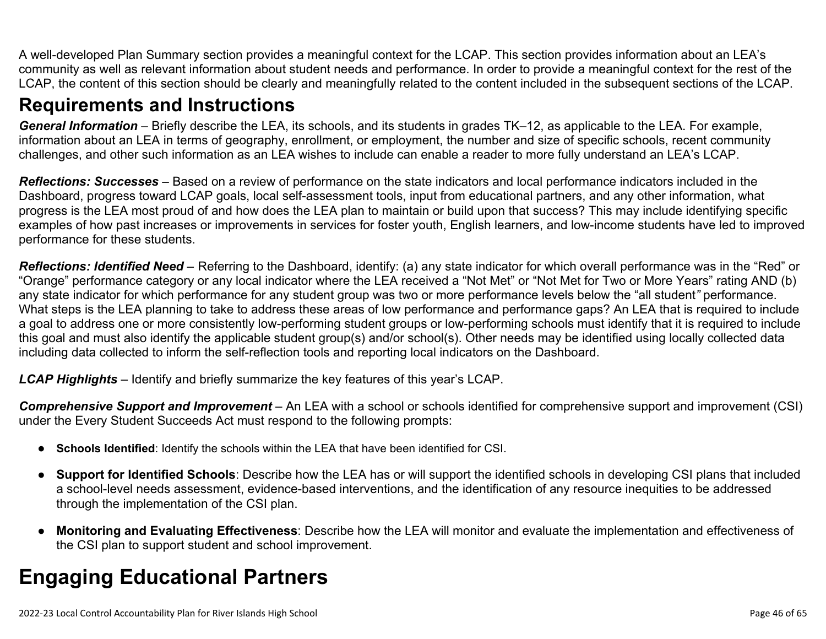A well-developed Plan Summary section provides a meaningful context for the LCAP. This section provides information about an LEA's community as well as relevant information about student needs and performance. In order to provide a meaningful context for the rest of the LCAP, the content of this section should be clearly and meaningfully related to the content included in the subsequent sections of the LCAP.

### **Requirements and Instructions**

*General Information* – Briefly describe the LEA, its schools, and its students in grades TK–12, as applicable to the LEA. For example, information about an LEA in terms of geography, enrollment, or employment, the number and size of specific schools, recent community challenges, and other such information as an LEA wishes to include can enable a reader to more fully understand an LEA's LCAP.

*Reflections: Successes* – Based on a review of performance on the state indicators and local performance indicators included in the Dashboard, progress toward LCAP goals, local self-assessment tools, input from educational partners, and any other information, what progress is the LEA most proud of and how does the LEA plan to maintain or build upon that success? This may include identifying specific examples of how past increases or improvements in services for foster youth, English learners, and low-income students have led to improved performance for these students.

*Reflections: Identified Need* – Referring to the Dashboard, identify: (a) any state indicator for which overall performance was in the "Red" or "Orange" performance category or any local indicator where the LEA received a "Not Met" or "Not Met for Two or More Years" rating AND (b) any state indicator for which performance for any student group was two or more performance levels below the "all student*"* performance. What steps is the LEA planning to take to address these areas of low performance and performance gaps? An LEA that is required to include a goal to address one or more consistently low-performing student groups or low-performing schools must identify that it is required to include this goal and must also identify the applicable student group(s) and/or school(s). Other needs may be identified using locally collected data including data collected to inform the self-reflection tools and reporting local indicators on the Dashboard.

*LCAP Highlights* – Identify and briefly summarize the key features of this year's LCAP.

*Comprehensive Support and Improvement* – An LEA with a school or schools identified for comprehensive support and improvement (CSI) under the Every Student Succeeds Act must respond to the following prompts:

- **Schools Identified**: Identify the schools within the LEA that have been identified for CSI.
- **Support for Identified Schools**: Describe how the LEA has or will support the identified schools in developing CSI plans that included a school-level needs assessment, evidence-based interventions, and the identification of any resource inequities to be addressed through the implementation of the CSI plan.
- **Monitoring and Evaluating Effectiveness**: Describe how the LEA will monitor and evaluate the implementation and effectiveness of the CSI plan to support student and school improvement.

# **Engaging Educational Partners**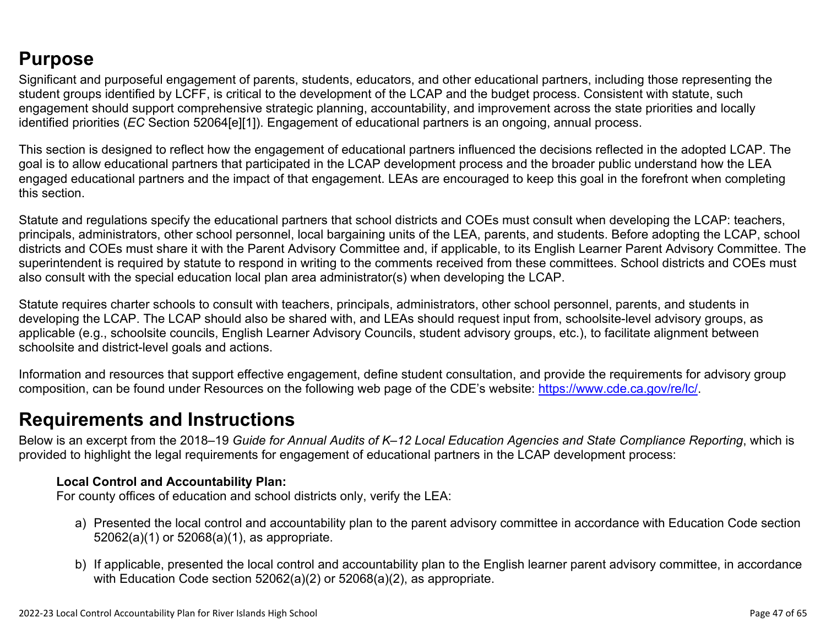## **Purpose**

Significant and purposeful engagement of parents, students, educators, and other educational partners, including those representing the student groups identified by LCFF, is critical to the development of the LCAP and the budget process. Consistent with statute, such engagement should support comprehensive strategic planning, accountability, and improvement across the state priorities and locally identified priorities (*EC* Section 52064[e][1]). Engagement of educational partners is an ongoing, annual process.

This section is designed to reflect how the engagement of educational partners influenced the decisions reflected in the adopted LCAP. The goal is to allow educational partners that participated in the LCAP development process and the broader public understand how the LEA engaged educational partners and the impact of that engagement. LEAs are encouraged to keep this goal in the forefront when completing this section.

Statute and regulations specify the educational partners that school districts and COEs must consult when developing the LCAP: teachers, principals, administrators, other school personnel, local bargaining units of the LEA, parents, and students. Before adopting the LCAP, school districts and COEs must share it with the Parent Advisory Committee and, if applicable, to its English Learner Parent Advisory Committee. The superintendent is required by statute to respond in writing to the comments received from these committees. School districts and COEs must also consult with the special education local plan area administrator(s) when developing the LCAP.

Statute requires charter schools to consult with teachers, principals, administrators, other school personnel, parents, and students in developing the LCAP. The LCAP should also be shared with, and LEAs should request input from, schoolsite-level advisory groups, as applicable (e.g., schoolsite councils, English Learner Advisory Councils, student advisory groups, etc.), to facilitate alignment between schoolsite and district-level goals and actions.

Information and resources that support effective engagement, define student consultation, and provide the requirements for advisory group composition, can be found under Resources on the following web page of the CDE's website: <https://www.cde.ca.gov/re/lc/>.

### **Requirements and Instructions**

Below is an excerpt from the 2018–19 *Guide for Annual Audits of K–12 Local Education Agencies and State Compliance Reporting*, which is provided to highlight the legal requirements for engagement of educational partners in the LCAP development process:

#### **Local Control and Accountability Plan:**

For county offices of education and school districts only, verify the LEA:

- a) Presented the local control and accountability plan to the parent advisory committee in accordance with Education Code section 52062(a)(1) or 52068(a)(1), as appropriate.
- b) If applicable, presented the local control and accountability plan to the English learner parent advisory committee, in accordance with Education Code section 52062(a)(2) or 52068(a)(2), as appropriate.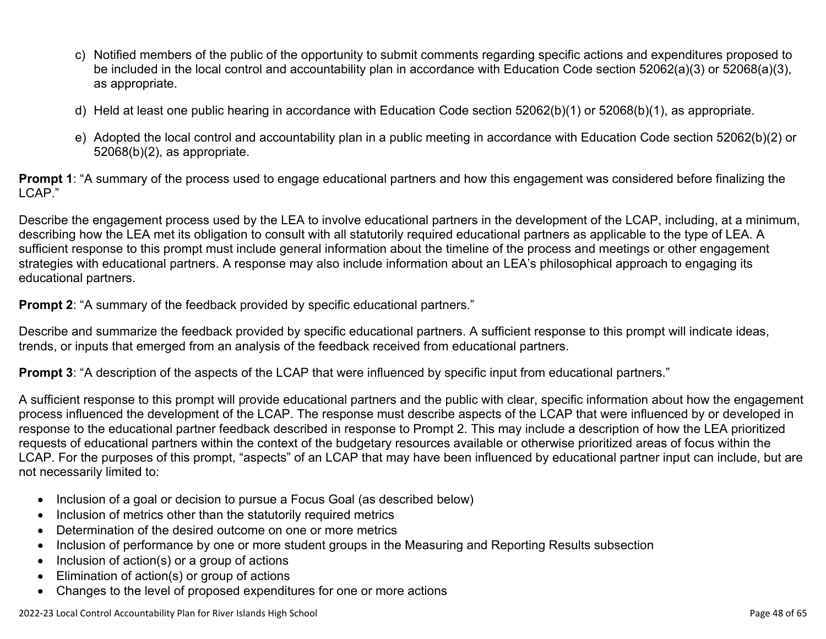- c) Notified members of the public of the opportunity to submit comments regarding specific actions and expenditures proposed to be included in the local control and accountability plan in accordance with Education Code section 52062(a)(3) or 52068(a)(3), as appropriate.
- d) Held at least one public hearing in accordance with Education Code section 52062(b)(1) or 52068(b)(1), as appropriate.
- e) Adopted the local control and accountability plan in a public meeting in accordance with Education Code section 52062(b)(2) or 52068(b)(2), as appropriate.

**Prompt 1**: "A summary of the process used to engage educational partners and how this engagement was considered before finalizing the LCAP."

Describe the engagement process used by the LEA to involve educational partners in the development of the LCAP, including, at a minimum, describing how the LEA met its obligation to consult with all statutorily required educational partners as applicable to the type of LEA. A sufficient response to this prompt must include general information about the timeline of the process and meetings or other engagement strategies with educational partners. A response may also include information about an LEA's philosophical approach to engaging its educational partners.

**Prompt 2:** "A summary of the feedback provided by specific educational partners."

Describe and summarize the feedback provided by specific educational partners. A sufficient response to this prompt will indicate ideas, trends, or inputs that emerged from an analysis of the feedback received from educational partners.

**Prompt 3**: "A description of the aspects of the LCAP that were influenced by specific input from educational partners."

A sufficient response to this prompt will provide educational partners and the public with clear, specific information about how the engagement process influenced the development of the LCAP. The response must describe aspects of the LCAP that were influenced by or developed in response to the educational partner feedback described in response to Prompt 2. This may include a description of how the LEA prioritized requests of educational partners within the context of the budgetary resources available or otherwise prioritized areas of focus within the LCAP. For the purposes of this prompt, "aspects" of an LCAP that may have been influenced by educational partner input can include, but are not necessarily limited to:

- Inclusion of a goal or decision to pursue a Focus Goal (as described below)
- Inclusion of metrics other than the statutorily required metrics
- Determination of the desired outcome on one or more metrics
- Inclusion of performance by one or more student groups in the Measuring and Reporting Results subsection
- Inclusion of action(s) or a group of actions
- Elimination of action(s) or group of actions
- Changes to the level of proposed expenditures for one or more actions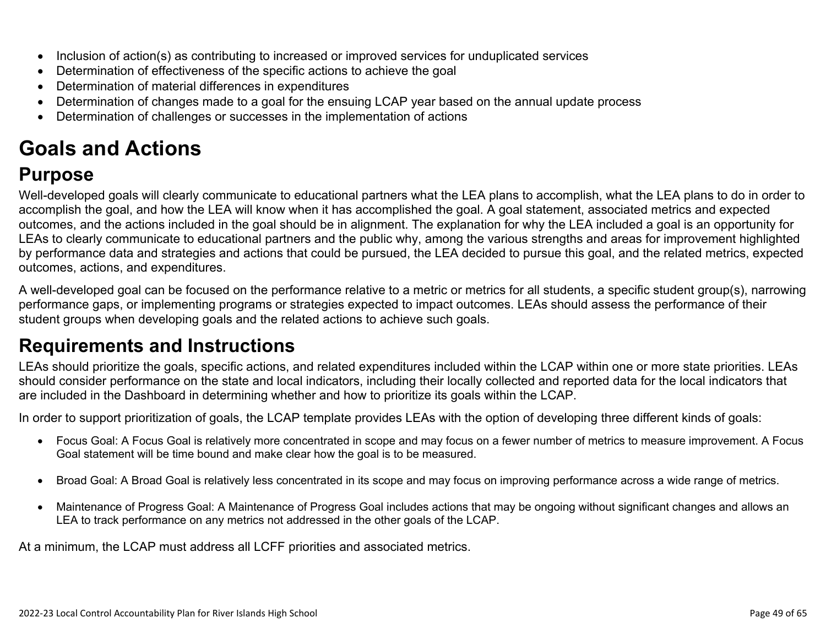- Inclusion of action(s) as contributing to increased or improved services for unduplicated services
- Determination of effectiveness of the specific actions to achieve the goal
- Determination of material differences in expenditures
- Determination of changes made to a goal for the ensuing LCAP year based on the annual update process
- Determination of challenges or successes in the implementation of actions

# **Goals and Actions**

## **Purpose**

Well-developed goals will clearly communicate to educational partners what the LEA plans to accomplish, what the LEA plans to do in order to accomplish the goal, and how the LEA will know when it has accomplished the goal. A goal statement, associated metrics and expected outcomes, and the actions included in the goal should be in alignment. The explanation for why the LEA included a goal is an opportunity for LEAs to clearly communicate to educational partners and the public why, among the various strengths and areas for improvement highlighted by performance data and strategies and actions that could be pursued, the LEA decided to pursue this goal, and the related metrics, expected outcomes, actions, and expenditures.

A well-developed goal can be focused on the performance relative to a metric or metrics for all students, a specific student group(s), narrowing performance gaps, or implementing programs or strategies expected to impact outcomes. LEAs should assess the performance of their student groups when developing goals and the related actions to achieve such goals.

## **Requirements and Instructions**

LEAs should prioritize the goals, specific actions, and related expenditures included within the LCAP within one or more state priorities. LEAs should consider performance on the state and local indicators, including their locally collected and reported data for the local indicators that are included in the Dashboard in determining whether and how to prioritize its goals within the LCAP.

In order to support prioritization of goals, the LCAP template provides LEAs with the option of developing three different kinds of goals:

- Focus Goal: A Focus Goal is relatively more concentrated in scope and may focus on a fewer number of metrics to measure improvement. A Focus Goal statement will be time bound and make clear how the goal is to be measured.
- Broad Goal: A Broad Goal is relatively less concentrated in its scope and may focus on improving performance across a wide range of metrics.
- Maintenance of Progress Goal: A Maintenance of Progress Goal includes actions that may be ongoing without significant changes and allows an LEA to track performance on any metrics not addressed in the other goals of the LCAP.

At a minimum, the LCAP must address all LCFF priorities and associated metrics.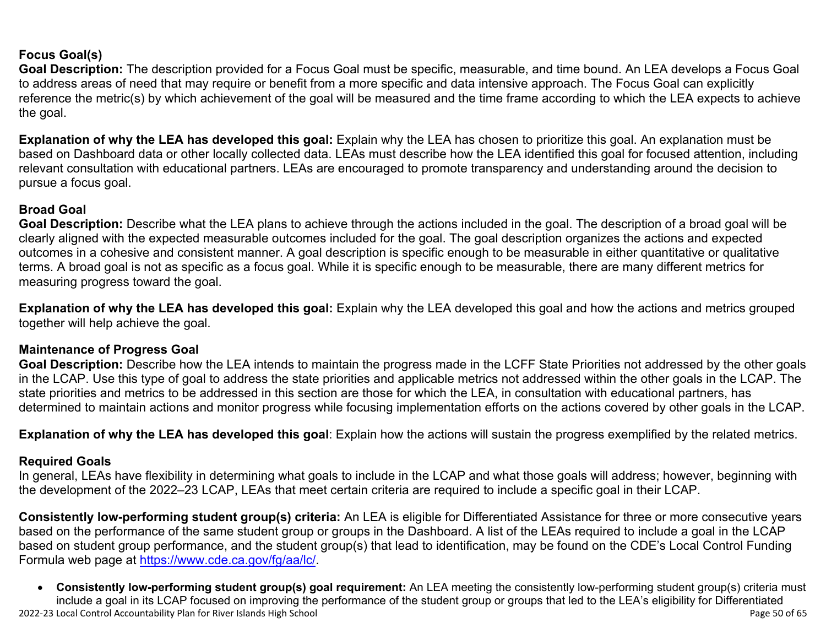#### **Focus Goal(s)**

**Goal Description:** The description provided for a Focus Goal must be specific, measurable, and time bound. An LEA develops a Focus Goal to address areas of need that may require or benefit from a more specific and data intensive approach. The Focus Goal can explicitly reference the metric(s) by which achievement of the goal will be measured and the time frame according to which the LEA expects to achieve the goal.

**Explanation of why the LEA has developed this goal:** Explain why the LEA has chosen to prioritize this goal. An explanation must be based on Dashboard data or other locally collected data. LEAs must describe how the LEA identified this goal for focused attention, including relevant consultation with educational partners. LEAs are encouraged to promote transparency and understanding around the decision to pursue a focus goal.

#### **Broad Goal**

Goal Description: Describe what the LEA plans to achieve through the actions included in the goal. The description of a broad goal will be clearly aligned with the expected measurable outcomes included for the goal. The goal description organizes the actions and expected outcomes in a cohesive and consistent manner. A goal description is specific enough to be measurable in either quantitative or qualitative terms. A broad goal is not as specific as a focus goal. While it is specific enough to be measurable, there are many different metrics for measuring progress toward the goal.

**Explanation of why the LEA has developed this goal:** Explain why the LEA developed this goal and how the actions and metrics grouped together will help achieve the goal.

#### **Maintenance of Progress Goal**

**Goal Description:** Describe how the LEA intends to maintain the progress made in the LCFF State Priorities not addressed by the other goals in the LCAP. Use this type of goal to address the state priorities and applicable metrics not addressed within the other goals in the LCAP. The state priorities and metrics to be addressed in this section are those for which the LEA, in consultation with educational partners, has determined to maintain actions and monitor progress while focusing implementation efforts on the actions covered by other goals in the LCAP.

**Explanation of why the LEA has developed this goal**: Explain how the actions will sustain the progress exemplified by the related metrics.

#### **Required Goals**

In general, LEAs have flexibility in determining what goals to include in the LCAP and what those goals will address; however, beginning with the development of the 2022–23 LCAP, LEAs that meet certain criteria are required to include a specific goal in their LCAP.

**Consistently low-performing student group(s) criteria:** An LEA is eligible for Differentiated Assistance for three or more consecutive years based on the performance of the same student group or groups in the Dashboard. A list of the LEAs required to include a goal in the LCAP based on student group performance, and the student group(s) that lead to identification, may be found on the CDE's Local Control Funding Formula web page at [https://www.cde.ca.gov/fg/aa/lc/.](https://www.cde.ca.gov/fg/aa/lc/)

2022-23 Local Control Accountability Plan for River Islands High School Page 50 of 65 • **Consistently low-performing student group(s) goal requirement:** An LEA meeting the consistently low-performing student group(s) criteria must include a goal in its LCAP focused on improving the performance of the student group or groups that led to the LEA's eligibility for Differentiated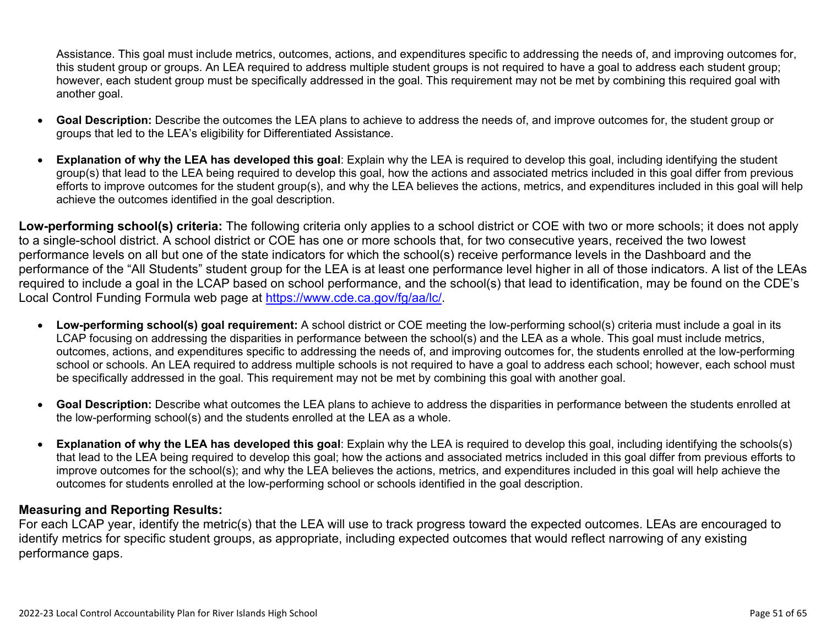Assistance. This goal must include metrics, outcomes, actions, and expenditures specific to addressing the needs of, and improving outcomes for, this student group or groups. An LEA required to address multiple student groups is not required to have a goal to address each student group; however, each student group must be specifically addressed in the goal. This requirement may not be met by combining this required goal with another goal.

- **Goal Description:** Describe the outcomes the LEA plans to achieve to address the needs of, and improve outcomes for, the student group or groups that led to the LEA's eligibility for Differentiated Assistance.
- **Explanation of why the LEA has developed this goal**: Explain why the LEA is required to develop this goal, including identifying the student group(s) that lead to the LEA being required to develop this goal, how the actions and associated metrics included in this goal differ from previous efforts to improve outcomes for the student group(s), and why the LEA believes the actions, metrics, and expenditures included in this goal will help achieve the outcomes identified in the goal description.

**Low-performing school(s) criteria:** The following criteria only applies to a school district or COE with two or more schools; it does not apply to a single-school district. A school district or COE has one or more schools that, for two consecutive years, received the two lowest performance levels on all but one of the state indicators for which the school(s) receive performance levels in the Dashboard and the performance of the "All Students" student group for the LEA is at least one performance level higher in all of those indicators. A list of the LEAs required to include a goal in the LCAP based on school performance, and the school(s) that lead to identification, may be found on the CDE's Local Control Funding Formula web page at [https://www.cde.ca.gov/fg/aa/lc/.](https://www.cde.ca.gov/fg/aa/lc/)

- **Low-performing school(s) goal requirement:** A school district or COE meeting the low-performing school(s) criteria must include a goal in its LCAP focusing on addressing the disparities in performance between the school(s) and the LEA as a whole. This goal must include metrics, outcomes, actions, and expenditures specific to addressing the needs of, and improving outcomes for, the students enrolled at the low-performing school or schools. An LEA required to address multiple schools is not required to have a goal to address each school; however, each school must be specifically addressed in the goal. This requirement may not be met by combining this goal with another goal.
- **Goal Description:** Describe what outcomes the LEA plans to achieve to address the disparities in performance between the students enrolled at the low-performing school(s) and the students enrolled at the LEA as a whole.
- **Explanation of why the LEA has developed this goal**: Explain why the LEA is required to develop this goal, including identifying the schools(s) that lead to the LEA being required to develop this goal; how the actions and associated metrics included in this goal differ from previous efforts to improve outcomes for the school(s); and why the LEA believes the actions, metrics, and expenditures included in this goal will help achieve the outcomes for students enrolled at the low-performing school or schools identified in the goal description.

#### **Measuring and Reporting Results:**

For each LCAP year, identify the metric(s) that the LEA will use to track progress toward the expected outcomes. LEAs are encouraged to identify metrics for specific student groups, as appropriate, including expected outcomes that would reflect narrowing of any existing performance gaps.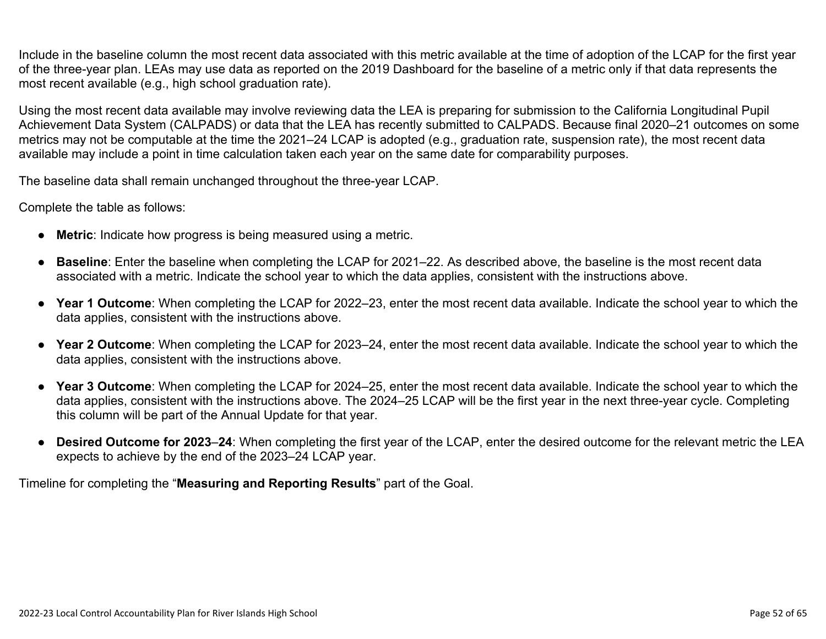Include in the baseline column the most recent data associated with this metric available at the time of adoption of the LCAP for the first year of the three-year plan. LEAs may use data as reported on the 2019 Dashboard for the baseline of a metric only if that data represents the most recent available (e.g., high school graduation rate).

Using the most recent data available may involve reviewing data the LEA is preparing for submission to the California Longitudinal Pupil Achievement Data System (CALPADS) or data that the LEA has recently submitted to CALPADS. Because final 2020–21 outcomes on some metrics may not be computable at the time the 2021–24 LCAP is adopted (e.g., graduation rate, suspension rate), the most recent data available may include a point in time calculation taken each year on the same date for comparability purposes.

The baseline data shall remain unchanged throughout the three-year LCAP.

Complete the table as follows:

- **Metric**: Indicate how progress is being measured using a metric.
- **Baseline**: Enter the baseline when completing the LCAP for 2021–22. As described above, the baseline is the most recent data associated with a metric. Indicate the school year to which the data applies, consistent with the instructions above.
- **Year 1 Outcome**: When completing the LCAP for 2022–23, enter the most recent data available. Indicate the school year to which the data applies, consistent with the instructions above.
- **Year 2 Outcome**: When completing the LCAP for 2023–24, enter the most recent data available. Indicate the school year to which the data applies, consistent with the instructions above.
- **Year 3 Outcome**: When completing the LCAP for 2024–25, enter the most recent data available. Indicate the school year to which the data applies, consistent with the instructions above. The 2024–25 LCAP will be the first year in the next three-year cycle. Completing this column will be part of the Annual Update for that year.
- **Desired Outcome for 2023**–**24**: When completing the first year of the LCAP, enter the desired outcome for the relevant metric the LEA expects to achieve by the end of the 2023–24 LCAP year.

Timeline for completing the "**Measuring and Reporting Results**" part of the Goal.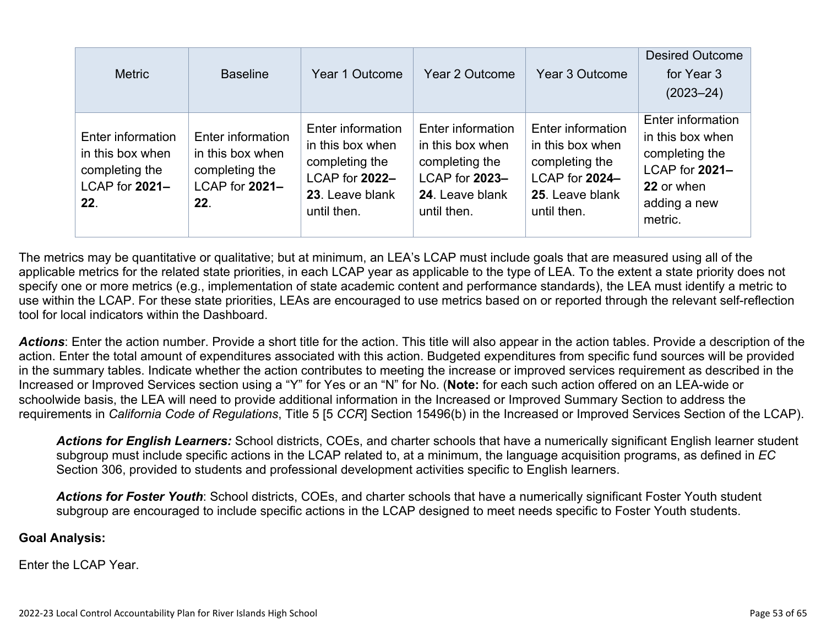| <b>Metric</b>                                                                    | <b>Baseline</b>                                                                  | Year 1 Outcome                                                                                              | Year 2 Outcome                                                                                              | Year 3 Outcome                                                                                              | <b>Desired Outcome</b><br>for Year 3<br>$(2023 - 24)$                                                              |
|----------------------------------------------------------------------------------|----------------------------------------------------------------------------------|-------------------------------------------------------------------------------------------------------------|-------------------------------------------------------------------------------------------------------------|-------------------------------------------------------------------------------------------------------------|--------------------------------------------------------------------------------------------------------------------|
| Enter information<br>in this box when<br>completing the<br>LCAP for 2021-<br>22. | Enter information<br>in this box when<br>completing the<br>LCAP for 2021-<br>22. | Enter information<br>in this box when<br>completing the<br>LCAP for 2022-<br>23. Leave blank<br>until then. | Enter information<br>in this box when<br>completing the<br>LCAP for 2023-<br>24. Leave blank<br>until then. | Enter information<br>in this box when<br>completing the<br>LCAP for 2024-<br>25. Leave blank<br>until then. | Enter information<br>in this box when<br>completing the<br>LCAP for 2021-<br>22 or when<br>adding a new<br>metric. |

The metrics may be quantitative or qualitative; but at minimum, an LEA's LCAP must include goals that are measured using all of the applicable metrics for the related state priorities, in each LCAP year as applicable to the type of LEA. To the extent a state priority does not specify one or more metrics (e.g., implementation of state academic content and performance standards), the LEA must identify a metric to use within the LCAP. For these state priorities, LEAs are encouraged to use metrics based on or reported through the relevant self-reflection tool for local indicators within the Dashboard.

*Actions*: Enter the action number. Provide a short title for the action. This title will also appear in the action tables. Provide a description of the action. Enter the total amount of expenditures associated with this action. Budgeted expenditures from specific fund sources will be provided in the summary tables. Indicate whether the action contributes to meeting the increase or improved services requirement as described in the Increased or Improved Services section using a "Y" for Yes or an "N" for No. (**Note:** for each such action offered on an LEA-wide or schoolwide basis, the LEA will need to provide additional information in the Increased or Improved Summary Section to address the requirements in *California Code of Regulations*, Title 5 [5 *CCR*] Section 15496(b) in the Increased or Improved Services Section of the LCAP).

*Actions for English Learners:* School districts, COEs, and charter schools that have a numerically significant English learner student subgroup must include specific actions in the LCAP related to, at a minimum, the language acquisition programs, as defined in *EC* Section 306, provided to students and professional development activities specific to English learners.

*Actions for Foster Youth*: School districts, COEs, and charter schools that have a numerically significant Foster Youth student subgroup are encouraged to include specific actions in the LCAP designed to meet needs specific to Foster Youth students.

#### **Goal Analysis:**

Enter the LCAP Year.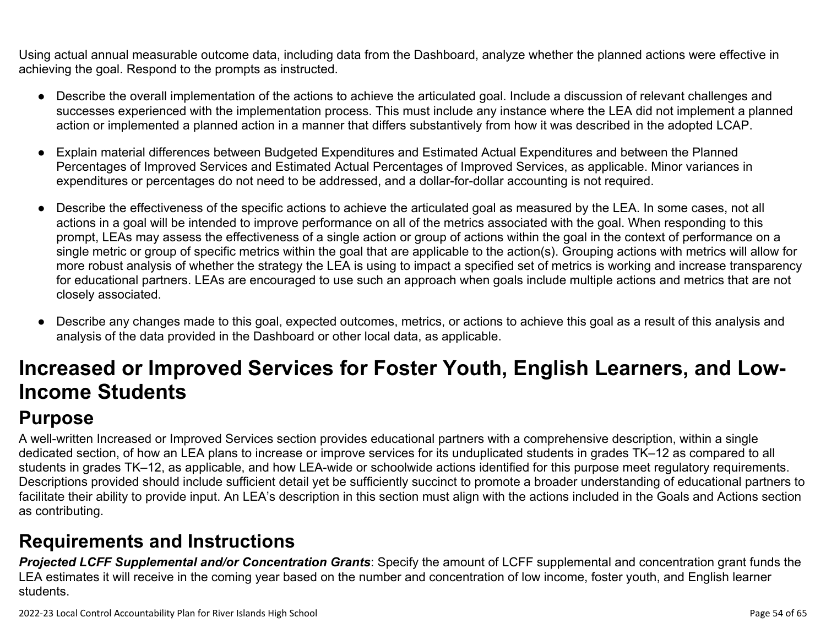Using actual annual measurable outcome data, including data from the Dashboard, analyze whether the planned actions were effective in achieving the goal. Respond to the prompts as instructed.

- Describe the overall implementation of the actions to achieve the articulated goal. Include a discussion of relevant challenges and successes experienced with the implementation process. This must include any instance where the LEA did not implement a planned action or implemented a planned action in a manner that differs substantively from how it was described in the adopted LCAP.
- Explain material differences between Budgeted Expenditures and Estimated Actual Expenditures and between the Planned Percentages of Improved Services and Estimated Actual Percentages of Improved Services, as applicable. Minor variances in expenditures or percentages do not need to be addressed, and a dollar-for-dollar accounting is not required.
- Describe the effectiveness of the specific actions to achieve the articulated goal as measured by the LEA. In some cases, not all actions in a goal will be intended to improve performance on all of the metrics associated with the goal. When responding to this prompt, LEAs may assess the effectiveness of a single action or group of actions within the goal in the context of performance on a single metric or group of specific metrics within the goal that are applicable to the action(s). Grouping actions with metrics will allow for more robust analysis of whether the strategy the LEA is using to impact a specified set of metrics is working and increase transparency for educational partners. LEAs are encouraged to use such an approach when goals include multiple actions and metrics that are not closely associated.
- Describe any changes made to this goal, expected outcomes, metrics, or actions to achieve this goal as a result of this analysis and analysis of the data provided in the Dashboard or other local data, as applicable.

# **Increased or Improved Services for Foster Youth, English Learners, and Low-Income Students**

# **Purpose**

A well-written Increased or Improved Services section provides educational partners with a comprehensive description, within a single dedicated section, of how an LEA plans to increase or improve services for its unduplicated students in grades TK–12 as compared to all students in grades TK–12, as applicable, and how LEA-wide or schoolwide actions identified for this purpose meet regulatory requirements. Descriptions provided should include sufficient detail yet be sufficiently succinct to promote a broader understanding of educational partners to facilitate their ability to provide input. An LEA's description in this section must align with the actions included in the Goals and Actions section as contributing.

## **Requirements and Instructions**

*Projected LCFF Supplemental and/or Concentration Grants*: Specify the amount of LCFF supplemental and concentration grant funds the LEA estimates it will receive in the coming year based on the number and concentration of low income, foster youth, and English learner students.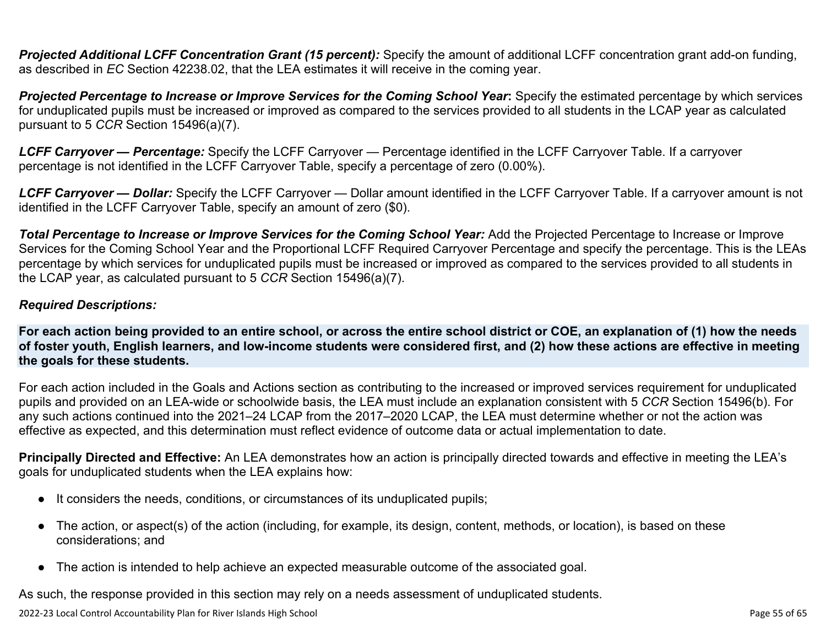**Projected Additional LCFF Concentration Grant (15 percent):** Specify the amount of additional LCFF concentration grant add-on funding, as described in *EC* Section 42238.02, that the LEA estimates it will receive in the coming year.

*Projected Percentage to Increase or Improve Services for the Coming School Year***:** Specify the estimated percentage by which services for unduplicated pupils must be increased or improved as compared to the services provided to all students in the LCAP year as calculated pursuant to 5 *CCR* Section 15496(a)(7).

*LCFF Carryover — Percentage:* Specify the LCFF Carryover — Percentage identified in the LCFF Carryover Table. If a carryover percentage is not identified in the LCFF Carryover Table, specify a percentage of zero (0.00%).

*LCFF Carryover — Dollar:* Specify the LCFF Carryover — Dollar amount identified in the LCFF Carryover Table. If a carryover amount is not identified in the LCFF Carryover Table, specify an amount of zero (\$0).

**Total Percentage to Increase or Improve Services for the Coming School Year:** Add the Projected Percentage to Increase or Improve Services for the Coming School Year and the Proportional LCFF Required Carryover Percentage and specify the percentage. This is the LEAs percentage by which services for unduplicated pupils must be increased or improved as compared to the services provided to all students in the LCAP year, as calculated pursuant to 5 *CCR* Section 15496(a)(7).

#### *Required Descriptions:*

**For each action being provided to an entire school, or across the entire school district or COE, an explanation of (1) how the needs of foster youth, English learners, and low-income students were considered first, and (2) how these actions are effective in meeting the goals for these students.**

For each action included in the Goals and Actions section as contributing to the increased or improved services requirement for unduplicated pupils and provided on an LEA-wide or schoolwide basis, the LEA must include an explanation consistent with 5 *CCR* Section 15496(b). For any such actions continued into the 2021–24 LCAP from the 2017–2020 LCAP, the LEA must determine whether or not the action was effective as expected, and this determination must reflect evidence of outcome data or actual implementation to date.

**Principally Directed and Effective:** An LEA demonstrates how an action is principally directed towards and effective in meeting the LEA's goals for unduplicated students when the LEA explains how:

- It considers the needs, conditions, or circumstances of its unduplicated pupils;
- The action, or aspect(s) of the action (including, for example, its design, content, methods, or location), is based on these considerations; and
- The action is intended to help achieve an expected measurable outcome of the associated goal.

As such, the response provided in this section may rely on a needs assessment of unduplicated students.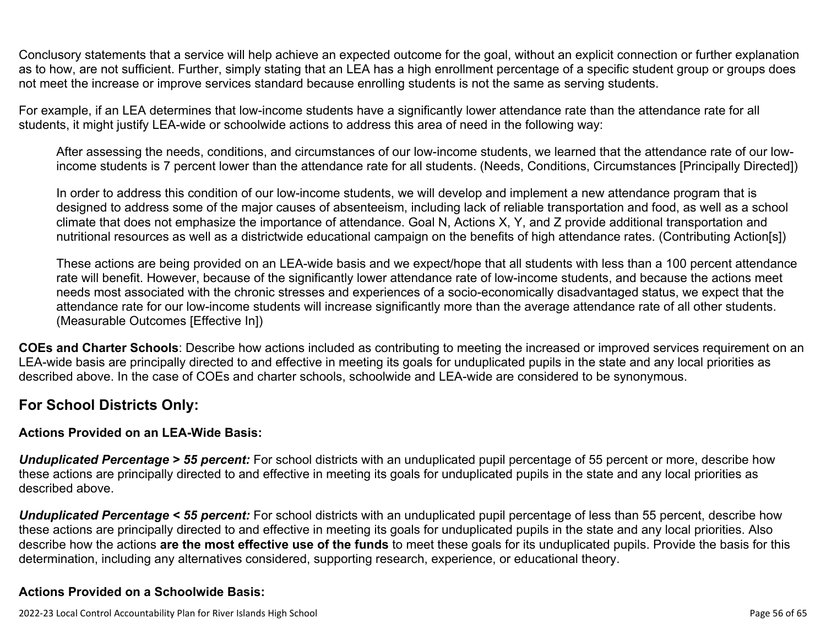Conclusory statements that a service will help achieve an expected outcome for the goal, without an explicit connection or further explanation as to how, are not sufficient. Further, simply stating that an LEA has a high enrollment percentage of a specific student group or groups does not meet the increase or improve services standard because enrolling students is not the same as serving students.

For example, if an LEA determines that low-income students have a significantly lower attendance rate than the attendance rate for all students, it might justify LEA-wide or schoolwide actions to address this area of need in the following way:

After assessing the needs, conditions, and circumstances of our low-income students, we learned that the attendance rate of our lowincome students is 7 percent lower than the attendance rate for all students. (Needs, Conditions, Circumstances [Principally Directed])

In order to address this condition of our low-income students, we will develop and implement a new attendance program that is designed to address some of the major causes of absenteeism, including lack of reliable transportation and food, as well as a school climate that does not emphasize the importance of attendance. Goal N, Actions X, Y, and Z provide additional transportation and nutritional resources as well as a districtwide educational campaign on the benefits of high attendance rates. (Contributing Action[s])

These actions are being provided on an LEA-wide basis and we expect/hope that all students with less than a 100 percent attendance rate will benefit. However, because of the significantly lower attendance rate of low-income students, and because the actions meet needs most associated with the chronic stresses and experiences of a socio-economically disadvantaged status, we expect that the attendance rate for our low-income students will increase significantly more than the average attendance rate of all other students. (Measurable Outcomes [Effective In])

**COEs and Charter Schools**: Describe how actions included as contributing to meeting the increased or improved services requirement on an LEA-wide basis are principally directed to and effective in meeting its goals for unduplicated pupils in the state and any local priorities as described above. In the case of COEs and charter schools, schoolwide and LEA-wide are considered to be synonymous.

#### **For School Districts Only:**

#### **Actions Provided on an LEA-Wide Basis:**

*Unduplicated Percentage > 55 percent:* For school districts with an unduplicated pupil percentage of 55 percent or more, describe how these actions are principally directed to and effective in meeting its goals for unduplicated pupils in the state and any local priorities as described above.

*Unduplicated Percentage < 55 percent:* For school districts with an unduplicated pupil percentage of less than 55 percent, describe how these actions are principally directed to and effective in meeting its goals for unduplicated pupils in the state and any local priorities. Also describe how the actions **are the most effective use of the funds** to meet these goals for its unduplicated pupils. Provide the basis for this determination, including any alternatives considered, supporting research, experience, or educational theory.

#### **Actions Provided on a Schoolwide Basis:**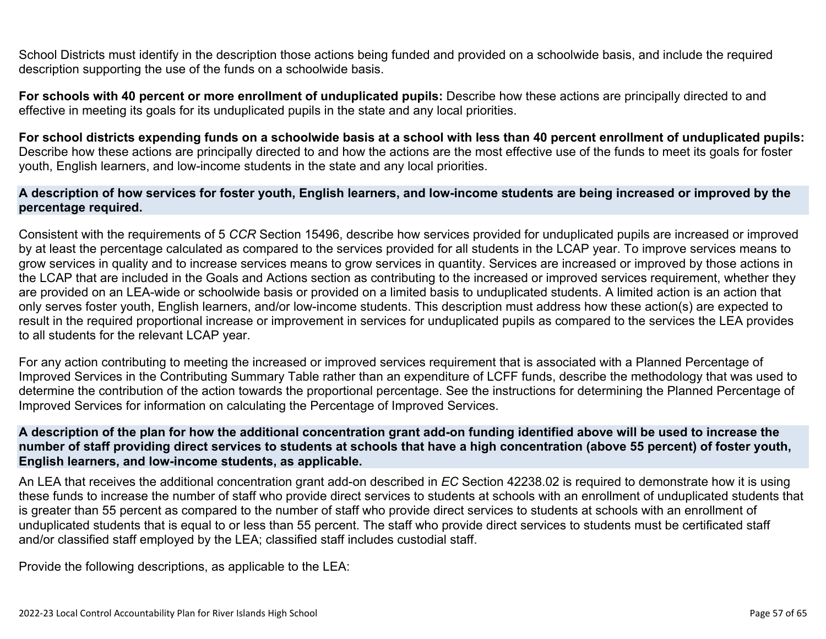School Districts must identify in the description those actions being funded and provided on a schoolwide basis, and include the required description supporting the use of the funds on a schoolwide basis.

**For schools with 40 percent or more enrollment of unduplicated pupils:** Describe how these actions are principally directed to and effective in meeting its goals for its unduplicated pupils in the state and any local priorities.

**For school districts expending funds on a schoolwide basis at a school with less than 40 percent enrollment of unduplicated pupils:** Describe how these actions are principally directed to and how the actions are the most effective use of the funds to meet its goals for foster youth, English learners, and low-income students in the state and any local priorities.

#### **A description of how services for foster youth, English learners, and low-income students are being increased or improved by the percentage required.**

Consistent with the requirements of 5 *CCR* Section 15496, describe how services provided for unduplicated pupils are increased or improved by at least the percentage calculated as compared to the services provided for all students in the LCAP year. To improve services means to grow services in quality and to increase services means to grow services in quantity. Services are increased or improved by those actions in the LCAP that are included in the Goals and Actions section as contributing to the increased or improved services requirement, whether they are provided on an LEA-wide or schoolwide basis or provided on a limited basis to unduplicated students. A limited action is an action that only serves foster youth, English learners, and/or low-income students. This description must address how these action(s) are expected to result in the required proportional increase or improvement in services for unduplicated pupils as compared to the services the LEA provides to all students for the relevant LCAP year.

For any action contributing to meeting the increased or improved services requirement that is associated with a Planned Percentage of Improved Services in the Contributing Summary Table rather than an expenditure of LCFF funds, describe the methodology that was used to determine the contribution of the action towards the proportional percentage. See the instructions for determining the Planned Percentage of Improved Services for information on calculating the Percentage of Improved Services.

#### **A description of the plan for how the additional concentration grant add-on funding identified above will be used to increase the number of staff providing direct services to students at schools that have a high concentration (above 55 percent) of foster youth, English learners, and low-income students, as applicable.**

An LEA that receives the additional concentration grant add-on described in *EC* Section 42238.02 is required to demonstrate how it is using these funds to increase the number of staff who provide direct services to students at schools with an enrollment of unduplicated students that is greater than 55 percent as compared to the number of staff who provide direct services to students at schools with an enrollment of unduplicated students that is equal to or less than 55 percent. The staff who provide direct services to students must be certificated staff and/or classified staff employed by the LEA; classified staff includes custodial staff.

Provide the following descriptions, as applicable to the LEA: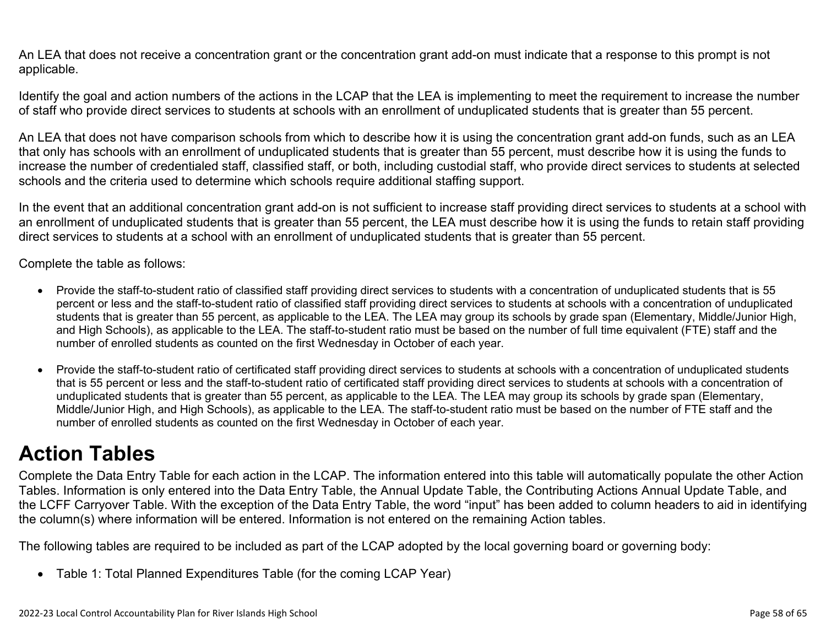An LEA that does not receive a concentration grant or the concentration grant add-on must indicate that a response to this prompt is not applicable.

Identify the goal and action numbers of the actions in the LCAP that the LEA is implementing to meet the requirement to increase the number of staff who provide direct services to students at schools with an enrollment of unduplicated students that is greater than 55 percent.

An LEA that does not have comparison schools from which to describe how it is using the concentration grant add-on funds, such as an LEA that only has schools with an enrollment of unduplicated students that is greater than 55 percent, must describe how it is using the funds to increase the number of credentialed staff, classified staff, or both, including custodial staff, who provide direct services to students at selected schools and the criteria used to determine which schools require additional staffing support.

In the event that an additional concentration grant add-on is not sufficient to increase staff providing direct services to students at a school with an enrollment of unduplicated students that is greater than 55 percent, the LEA must describe how it is using the funds to retain staff providing direct services to students at a school with an enrollment of unduplicated students that is greater than 55 percent.

Complete the table as follows:

- Provide the staff-to-student ratio of classified staff providing direct services to students with a concentration of unduplicated students that is 55 percent or less and the staff-to-student ratio of classified staff providing direct services to students at schools with a concentration of unduplicated students that is greater than 55 percent, as applicable to the LEA. The LEA may group its schools by grade span (Elementary, Middle/Junior High, and High Schools), as applicable to the LEA. The staff-to-student ratio must be based on the number of full time equivalent (FTE) staff and the number of enrolled students as counted on the first Wednesday in October of each year.
- Provide the staff-to-student ratio of certificated staff providing direct services to students at schools with a concentration of unduplicated students that is 55 percent or less and the staff-to-student ratio of certificated staff providing direct services to students at schools with a concentration of unduplicated students that is greater than 55 percent, as applicable to the LEA. The LEA may group its schools by grade span (Elementary, Middle/Junior High, and High Schools), as applicable to the LEA. The staff-to-student ratio must be based on the number of FTE staff and the number of enrolled students as counted on the first Wednesday in October of each year.

# **Action Tables**

Complete the Data Entry Table for each action in the LCAP. The information entered into this table will automatically populate the other Action Tables. Information is only entered into the Data Entry Table, the Annual Update Table, the Contributing Actions Annual Update Table, and the LCFF Carryover Table. With the exception of the Data Entry Table, the word "input" has been added to column headers to aid in identifying the column(s) where information will be entered. Information is not entered on the remaining Action tables.

The following tables are required to be included as part of the LCAP adopted by the local governing board or governing body:

• Table 1: Total Planned Expenditures Table (for the coming LCAP Year)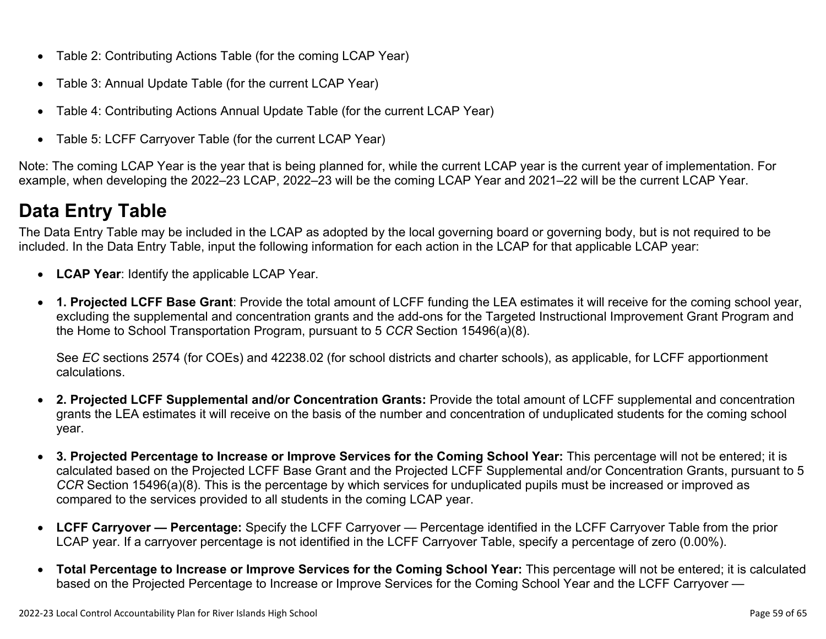- Table 2: Contributing Actions Table (for the coming LCAP Year)
- Table 3: Annual Update Table (for the current LCAP Year)
- Table 4: Contributing Actions Annual Update Table (for the current LCAP Year)
- Table 5: LCFF Carryover Table (for the current LCAP Year)

Note: The coming LCAP Year is the year that is being planned for, while the current LCAP year is the current year of implementation. For example, when developing the 2022–23 LCAP, 2022–23 will be the coming LCAP Year and 2021–22 will be the current LCAP Year.

# **Data Entry Table**

The Data Entry Table may be included in the LCAP as adopted by the local governing board or governing body, but is not required to be included. In the Data Entry Table, input the following information for each action in the LCAP for that applicable LCAP year:

- **LCAP Year**: Identify the applicable LCAP Year.
- **1. Projected LCFF Base Grant**: Provide the total amount of LCFF funding the LEA estimates it will receive for the coming school year, excluding the supplemental and concentration grants and the add-ons for the Targeted Instructional Improvement Grant Program and the Home to School Transportation Program, pursuant to 5 *CCR* Section 15496(a)(8).

See *EC* sections 2574 (for COEs) and 42238.02 (for school districts and charter schools), as applicable, for LCFF apportionment calculations.

- **2. Projected LCFF Supplemental and/or Concentration Grants:** Provide the total amount of LCFF supplemental and concentration grants the LEA estimates it will receive on the basis of the number and concentration of unduplicated students for the coming school year.
- **3. Projected Percentage to Increase or Improve Services for the Coming School Year:** This percentage will not be entered; it is calculated based on the Projected LCFF Base Grant and the Projected LCFF Supplemental and/or Concentration Grants, pursuant to 5 *CCR* Section 15496(a)(8). This is the percentage by which services for unduplicated pupils must be increased or improved as compared to the services provided to all students in the coming LCAP year.
- **LCFF Carryover Percentage:** Specify the LCFF Carryover Percentage identified in the LCFF Carryover Table from the prior LCAP year. If a carryover percentage is not identified in the LCFF Carryover Table, specify a percentage of zero (0.00%).
- **Total Percentage to Increase or Improve Services for the Coming School Year:** This percentage will not be entered; it is calculated based on the Projected Percentage to Increase or Improve Services for the Coming School Year and the LCFF Carryover —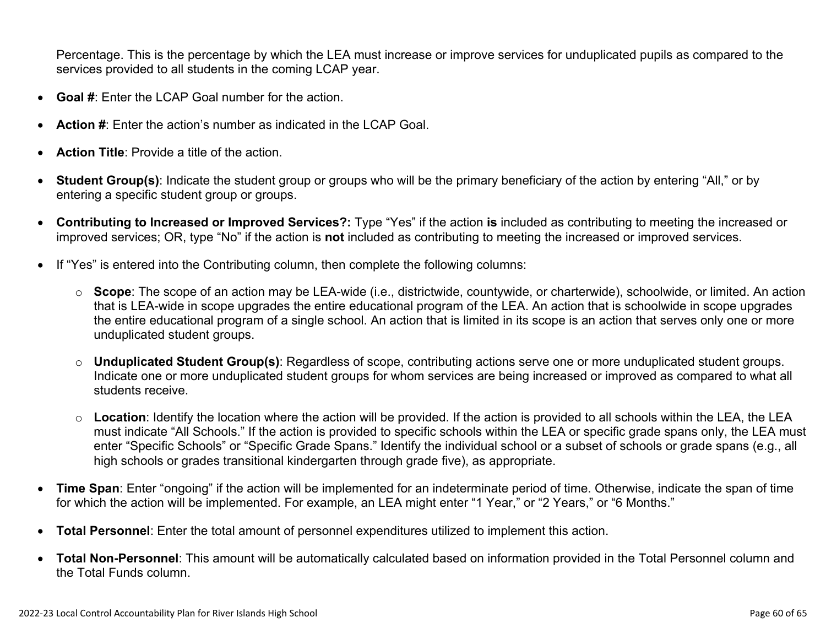Percentage. This is the percentage by which the LEA must increase or improve services for unduplicated pupils as compared to the services provided to all students in the coming LCAP year.

- **Goal #**: Enter the LCAP Goal number for the action.
- **Action #**: Enter the action's number as indicated in the LCAP Goal.
- **Action Title**: Provide a title of the action.
- **Student Group(s)**: Indicate the student group or groups who will be the primary beneficiary of the action by entering "All," or by entering a specific student group or groups.
- **Contributing to Increased or Improved Services?:** Type "Yes" if the action **is** included as contributing to meeting the increased or improved services; OR, type "No" if the action is **not** included as contributing to meeting the increased or improved services.
- If "Yes" is entered into the Contributing column, then complete the following columns:
	- o **Scope**: The scope of an action may be LEA-wide (i.e., districtwide, countywide, or charterwide), schoolwide, or limited. An action that is LEA-wide in scope upgrades the entire educational program of the LEA. An action that is schoolwide in scope upgrades the entire educational program of a single school. An action that is limited in its scope is an action that serves only one or more unduplicated student groups.
	- o **Unduplicated Student Group(s)**: Regardless of scope, contributing actions serve one or more unduplicated student groups. Indicate one or more unduplicated student groups for whom services are being increased or improved as compared to what all students receive.
	- o **Location**: Identify the location where the action will be provided. If the action is provided to all schools within the LEA, the LEA must indicate "All Schools." If the action is provided to specific schools within the LEA or specific grade spans only, the LEA must enter "Specific Schools" or "Specific Grade Spans." Identify the individual school or a subset of schools or grade spans (e.g., all high schools or grades transitional kindergarten through grade five), as appropriate.
- **Time Span**: Enter "ongoing" if the action will be implemented for an indeterminate period of time. Otherwise, indicate the span of time for which the action will be implemented. For example, an LEA might enter "1 Year," or "2 Years," or "6 Months."
- **Total Personnel**: Enter the total amount of personnel expenditures utilized to implement this action.
- **Total Non-Personnel**: This amount will be automatically calculated based on information provided in the Total Personnel column and the Total Funds column.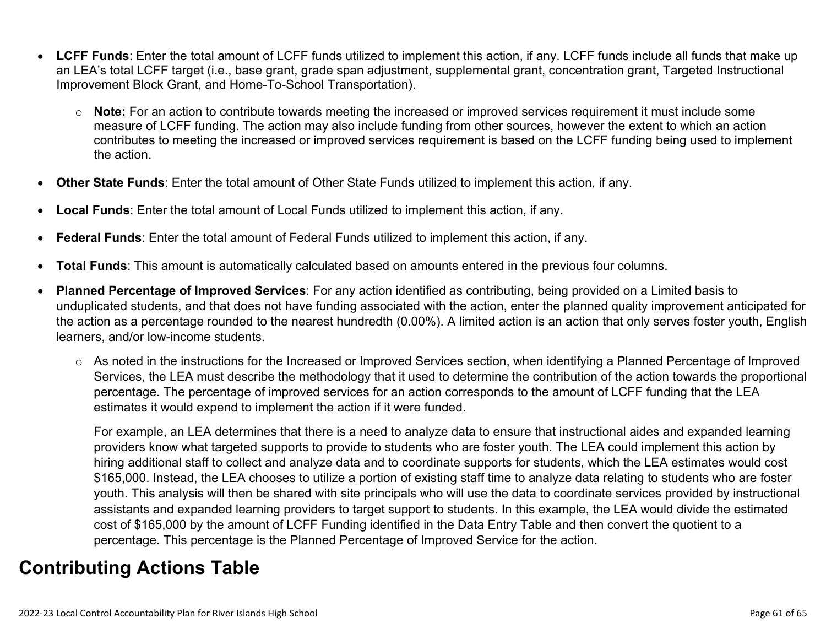- **LCFF Funds**: Enter the total amount of LCFF funds utilized to implement this action, if any. LCFF funds include all funds that make up an LEA's total LCFF target (i.e., base grant, grade span adjustment, supplemental grant, concentration grant, Targeted Instructional Improvement Block Grant, and Home-To-School Transportation).
	- o **Note:** For an action to contribute towards meeting the increased or improved services requirement it must include some measure of LCFF funding. The action may also include funding from other sources, however the extent to which an action contributes to meeting the increased or improved services requirement is based on the LCFF funding being used to implement the action.
- **Other State Funds**: Enter the total amount of Other State Funds utilized to implement this action, if any.
- **Local Funds**: Enter the total amount of Local Funds utilized to implement this action, if any.
- **Federal Funds**: Enter the total amount of Federal Funds utilized to implement this action, if any.
- **Total Funds**: This amount is automatically calculated based on amounts entered in the previous four columns.
- **Planned Percentage of Improved Services**: For any action identified as contributing, being provided on a Limited basis to unduplicated students, and that does not have funding associated with the action, enter the planned quality improvement anticipated for the action as a percentage rounded to the nearest hundredth (0.00%). A limited action is an action that only serves foster youth, English learners, and/or low-income students.
	- o As noted in the instructions for the Increased or Improved Services section, when identifying a Planned Percentage of Improved Services, the LEA must describe the methodology that it used to determine the contribution of the action towards the proportional percentage. The percentage of improved services for an action corresponds to the amount of LCFF funding that the LEA estimates it would expend to implement the action if it were funded.

For example, an LEA determines that there is a need to analyze data to ensure that instructional aides and expanded learning providers know what targeted supports to provide to students who are foster youth. The LEA could implement this action by hiring additional staff to collect and analyze data and to coordinate supports for students, which the LEA estimates would cost \$165,000. Instead, the LEA chooses to utilize a portion of existing staff time to analyze data relating to students who are foster youth. This analysis will then be shared with site principals who will use the data to coordinate services provided by instructional assistants and expanded learning providers to target support to students. In this example, the LEA would divide the estimated cost of \$165,000 by the amount of LCFF Funding identified in the Data Entry Table and then convert the quotient to a percentage. This percentage is the Planned Percentage of Improved Service for the action.

## **Contributing Actions Table**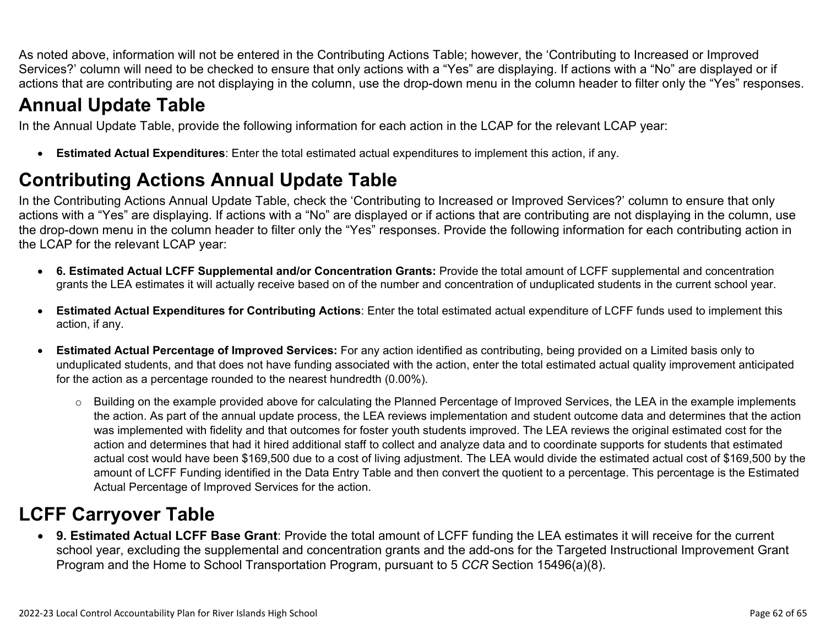As noted above, information will not be entered in the Contributing Actions Table; however, the 'Contributing to Increased or Improved Services?' column will need to be checked to ensure that only actions with a "Yes" are displaying. If actions with a "No" are displayed or if actions that are contributing are not displaying in the column, use the drop-down menu in the column header to filter only the "Yes" responses.

# **Annual Update Table**

In the Annual Update Table, provide the following information for each action in the LCAP for the relevant LCAP year:

• **Estimated Actual Expenditures**: Enter the total estimated actual expenditures to implement this action, if any.

# **Contributing Actions Annual Update Table**

In the Contributing Actions Annual Update Table, check the 'Contributing to Increased or Improved Services?' column to ensure that only actions with a "Yes" are displaying. If actions with a "No" are displayed or if actions that are contributing are not displaying in the column, use the drop-down menu in the column header to filter only the "Yes" responses. Provide the following information for each contributing action in the LCAP for the relevant LCAP year:

- **6. Estimated Actual LCFF Supplemental and/or Concentration Grants:** Provide the total amount of LCFF supplemental and concentration grants the LEA estimates it will actually receive based on of the number and concentration of unduplicated students in the current school year.
- **Estimated Actual Expenditures for Contributing Actions**: Enter the total estimated actual expenditure of LCFF funds used to implement this action, if any.
- **Estimated Actual Percentage of Improved Services:** For any action identified as contributing, being provided on a Limited basis only to unduplicated students, and that does not have funding associated with the action, enter the total estimated actual quality improvement anticipated for the action as a percentage rounded to the nearest hundredth (0.00%).
	- o Building on the example provided above for calculating the Planned Percentage of Improved Services, the LEA in the example implements the action. As part of the annual update process, the LEA reviews implementation and student outcome data and determines that the action was implemented with fidelity and that outcomes for foster youth students improved. The LEA reviews the original estimated cost for the action and determines that had it hired additional staff to collect and analyze data and to coordinate supports for students that estimated actual cost would have been \$169,500 due to a cost of living adjustment. The LEA would divide the estimated actual cost of \$169,500 by the amount of LCFF Funding identified in the Data Entry Table and then convert the quotient to a percentage. This percentage is the Estimated Actual Percentage of Improved Services for the action.

# **LCFF Carryover Table**

• **9. Estimated Actual LCFF Base Grant**: Provide the total amount of LCFF funding the LEA estimates it will receive for the current school year, excluding the supplemental and concentration grants and the add-ons for the Targeted Instructional Improvement Grant Program and the Home to School Transportation Program, pursuant to 5 *CCR* Section 15496(a)(8).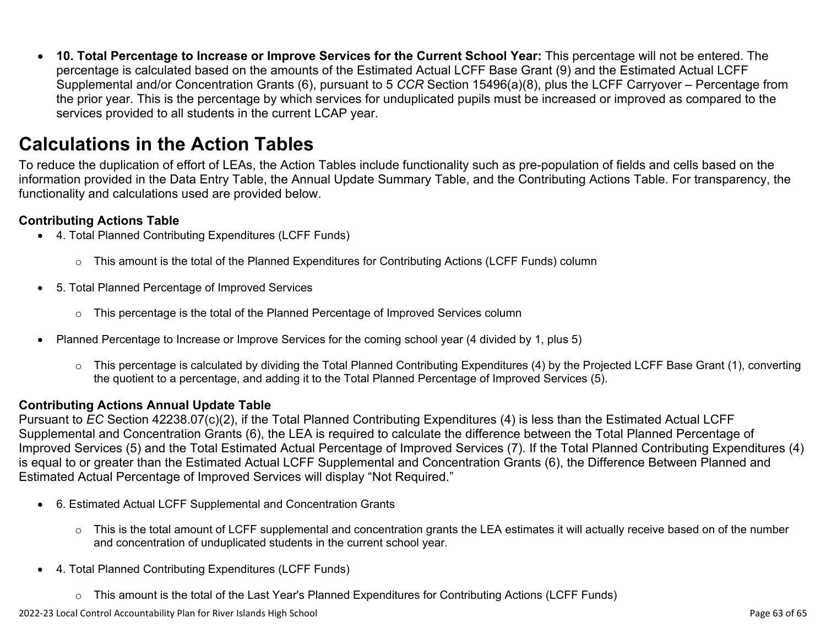• **10. Total Percentage to Increase or Improve Services for the Current School Year:** This percentage will not be entered. The percentage is calculated based on the amounts of the Estimated Actual LCFF Base Grant (9) and the Estimated Actual LCFF Supplemental and/or Concentration Grants (6), pursuant to 5 *CCR* Section 15496(a)(8), plus the LCFF Carryover – Percentage from the prior year. This is the percentage by which services for unduplicated pupils must be increased or improved as compared to the services provided to all students in the current LCAP year.

### **Calculations in the Action Tables**

To reduce the duplication of effort of LEAs, the Action Tables include functionality such as pre-population of fields and cells based on the information provided in the Data Entry Table, the Annual Update Summary Table, and the Contributing Actions Table. For transparency, the functionality and calculations used are provided below.

#### **Contributing Actions Table**

- 4. Total Planned Contributing Expenditures (LCFF Funds)
	- $\circ$  This amount is the total of the Planned Expenditures for Contributing Actions (LCFF Funds) column
- 5. Total Planned Percentage of Improved Services
	- $\circ$  This percentage is the total of the Planned Percentage of Improved Services column
- Planned Percentage to Increase or Improve Services for the coming school year (4 divided by 1, plus 5)
	- o This percentage is calculated by dividing the Total Planned Contributing Expenditures (4) by the Projected LCFF Base Grant (1), converting the quotient to a percentage, and adding it to the Total Planned Percentage of Improved Services (5).

#### **Contributing Actions Annual Update Table**

Pursuant to *EC* Section 42238.07(c)(2), if the Total Planned Contributing Expenditures (4) is less than the Estimated Actual LCFF Supplemental and Concentration Grants (6), the LEA is required to calculate the difference between the Total Planned Percentage of Improved Services (5) and the Total Estimated Actual Percentage of Improved Services (7). If the Total Planned Contributing Expenditures (4) is equal to or greater than the Estimated Actual LCFF Supplemental and Concentration Grants (6), the Difference Between Planned and Estimated Actual Percentage of Improved Services will display "Not Required."

- 6. Estimated Actual LCFF Supplemental and Concentration Grants
	- o This is the total amount of LCFF supplemental and concentration grants the LEA estimates it will actually receive based on of the number and concentration of unduplicated students in the current school year.
- 4. Total Planned Contributing Expenditures (LCFF Funds)
	- $\circ$  This amount is the total of the Last Year's Planned Expenditures for Contributing Actions (LCFF Funds)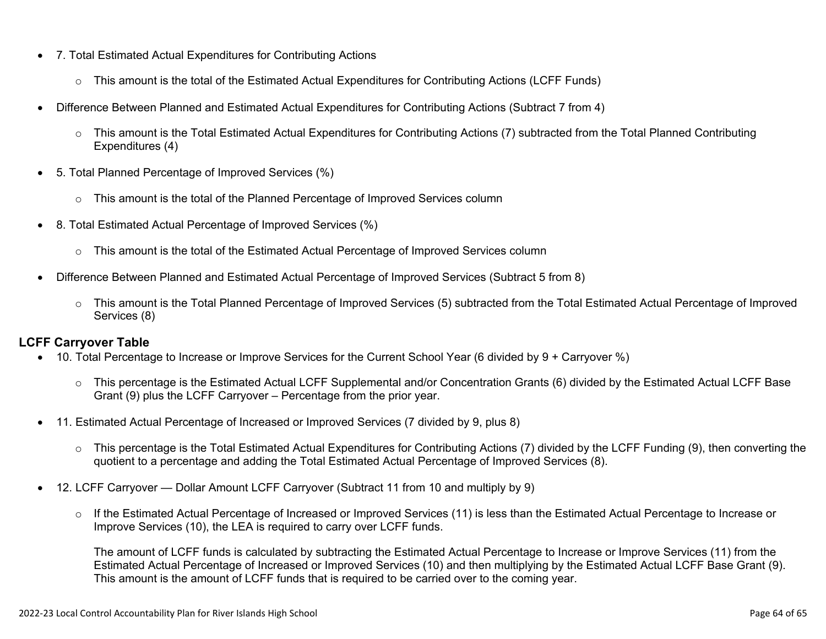- 7. Total Estimated Actual Expenditures for Contributing Actions
	- o This amount is the total of the Estimated Actual Expenditures for Contributing Actions (LCFF Funds)
- Difference Between Planned and Estimated Actual Expenditures for Contributing Actions (Subtract 7 from 4)
	- $\circ$  This amount is the Total Estimated Actual Expenditures for Contributing Actions (7) subtracted from the Total Planned Contributing Expenditures (4)
- 5. Total Planned Percentage of Improved Services (%)
	- $\circ$  This amount is the total of the Planned Percentage of Improved Services column
- 8. Total Estimated Actual Percentage of Improved Services (%)
	- o This amount is the total of the Estimated Actual Percentage of Improved Services column
- Difference Between Planned and Estimated Actual Percentage of Improved Services (Subtract 5 from 8)
	- o This amount is the Total Planned Percentage of Improved Services (5) subtracted from the Total Estimated Actual Percentage of Improved Services (8)

#### **LCFF Carryover Table**

- 10. Total Percentage to Increase or Improve Services for the Current School Year (6 divided by 9 + Carryover %)
	- $\circ$  This percentage is the Estimated Actual LCFF Supplemental and/or Concentration Grants (6) divided by the Estimated Actual LCFF Base Grant (9) plus the LCFF Carryover – Percentage from the prior year.
- 11. Estimated Actual Percentage of Increased or Improved Services (7 divided by 9, plus 8)
	- o This percentage is the Total Estimated Actual Expenditures for Contributing Actions (7) divided by the LCFF Funding (9), then converting the quotient to a percentage and adding the Total Estimated Actual Percentage of Improved Services (8).
- 12. LCFF Carryover Dollar Amount LCFF Carryover (Subtract 11 from 10 and multiply by 9)
	- $\circ$  If the Estimated Actual Percentage of Increased or Improved Services (11) is less than the Estimated Actual Percentage to Increase or Improve Services (10), the LEA is required to carry over LCFF funds.

The amount of LCFF funds is calculated by subtracting the Estimated Actual Percentage to Increase or Improve Services (11) from the Estimated Actual Percentage of Increased or Improved Services (10) and then multiplying by the Estimated Actual LCFF Base Grant (9). This amount is the amount of LCFF funds that is required to be carried over to the coming year.